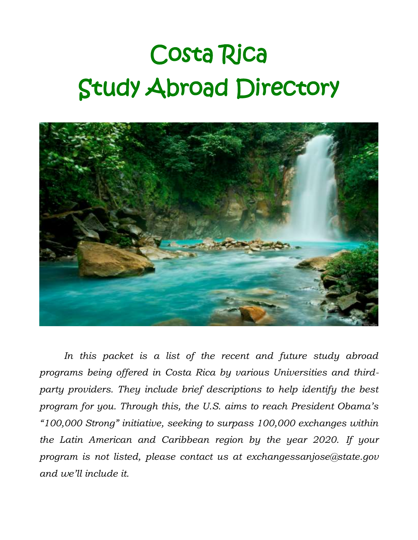## Costa Rica Study Abroad Directory



*In this packet is a list of the recent and future study abroad programs being offered in Costa Rica by various Universities and thirdparty providers. They include brief descriptions to help identify the best program for you. Through this, the U.S. aims to reach President Obama's "100,000 Strong" initiative, seeking to surpass 100,000 exchanges within the Latin American and Caribbean region by the year 2020. If your program is not listed, please contact us at exchangessanjose@state.gov and we'll include it.*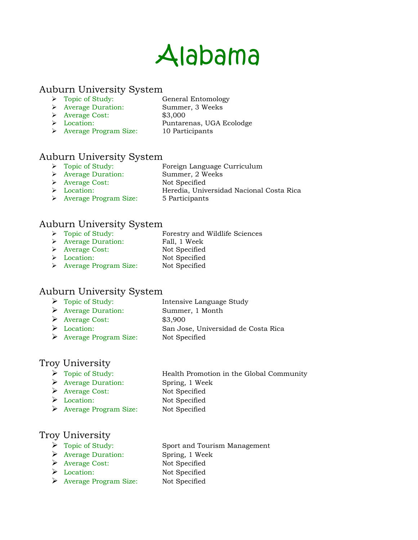### Alabama

#### Auburn University System

- > Topic of Study: General Entomology
- Average Duration: Summer, 3 Weeks
- Average Cost: \$3,000
- Location: Puntarenas, UGA Ecolodge
- 
- > Average Program Size: 10 Participants

### Auburn University System

- Foreign Language Curriculum → Topic of Study:<br>
→ Average Duration: Summer, 2 Weeks
- 
- → Average Cost: Not Specified<br>→ Location: Heredia, Univ
- 
- Heredia, Universidad Nacional Costa Rica
- Average Program Size: 5 Participants

### Auburn University System

- Forestry and Wildlife Sciences → Topic of Study:<br>
→ Average Duration: Fall, 1 Week
- 
- Average Cost: Not Specified
- Location: Not Specified
- > Average Program Size: Not Specified

### Auburn University System

- > Topic of Study: Intensive Language Study
- Average Duration: Summer, 1 Month
- Average Cost: \$3,900
- Location: San Jose, Universidad de Costa Rica
- Average Program Size: Not Specified

### Troy University

- 
- Average Duration: Spring, 1 Week
- > Topic of Study: Health Promotion in the Global Community
	-
- Average Cost: Not Specified
- Location: Not Specified
- Average Program Size: Not Specified

### Troy University

- 
- Average Duration: Spring, 1 Week
- Average Cost: Not Specified
- 
- Average Program Size: Not Specified
- > Topic of Study: Sport and Tourism Management
	-
	-
- Location: Not Specified
	-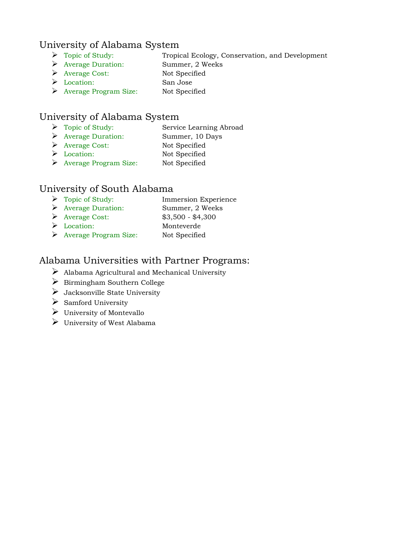### University of Alabama System

- Topic of Study: Tropical Ecology, Conservation, and Development
- Average Duration: Summer, 2 Weeks
- Average Cost: Not Specified
- Location: San Jose
- Average Program Size: Not Specified

### University of Alabama System

- Topic of Study: Service Learning Abroad
- Average Duration: Summer, 10 Days
- Average Cost: Not Specified
- Location: Not Specified
- Average Program Size: Not Specified

### University of South Alabama

- > Topic of Study: Immersion Experience Average Duration: Summer, 2 Weeks Average Cost: \$3,500 - \$4,300
- Location: Monteverde
- Average Program Size: Not Specified

### Alabama Universities with Partner Programs:

- $\triangleright$  Alabama Agricultural and Mechanical University
- $\triangleright$  Birmingham Southern College
- $\triangleright$  Jacksonville State University
- $\triangleright$  Samford University
- $\triangleright$  University of Montevallo
- $\triangleright$  University of West Alabama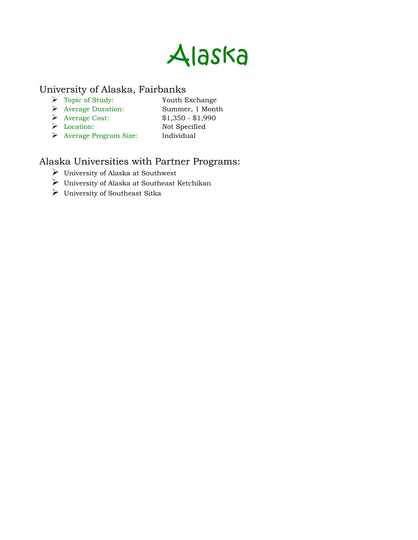

### University of Alaska, Fairbanks

- Topic of Study: Youth Exchange
	-
- Average Duration: Summer, 1 Month
- Average Cost: \$1,350 \$1,990
- Location: Not Specified
- 
- Average Program Size: Individual

### Alaska Universities with Partner Programs:

- University of Alaska at Southwest
- University of Alaska at Southeast Ketchikan
- University of Southeast Sitka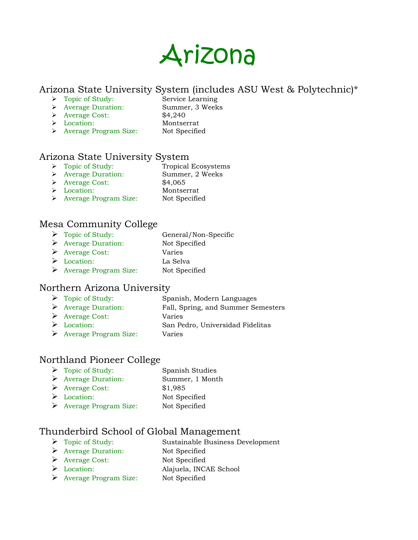

### Arizona State University System (includes ASU West & Polytechnic)\*

- > Topic of Study: Service Learning
	-
- Average Duration: Summer, 3 Weeks Average Cost: \$4,240
- 
- 
- Location: Montserrat > Average Program Size: Not Specified

### Arizona State University System

- > Topic of Study: Tropical Ecosystems
- Average Duration: Summer, 2 Weeks
- Average Cost: \$4,065
- Location: Montserrat
- > Average Program Size: Not Specified

### Mesa Community College

 Topic of Study: General/Non-Specific Average Duration: Not Specified Average Cost: Varies Location: La Selva Average Program Size: Not Specified

### Northern Arizona University

- Topic of Study: Spanish, Modern Languages
- Average Duration: Fall, Spring, and Summer Semesters
- Average Cost: Varies
- Location: San Pedro, Universidad Fidelitas
- Average Program Size: Varies

### Northland Pioneer College

 Topic of Study: Spanish Studies Average Duration: Summer, 1 Month Average Cost: \$1,985 > Location: Not Specified Average Program Size: Not Specified

### Thunderbird School of Global Management

- > Topic of Study: Sustainable Business Development
- Average Duration: Not Specified
- Average Cost: Not Specified
- Location: Alajuela, INCAE School
- Average Program Size: Not Specified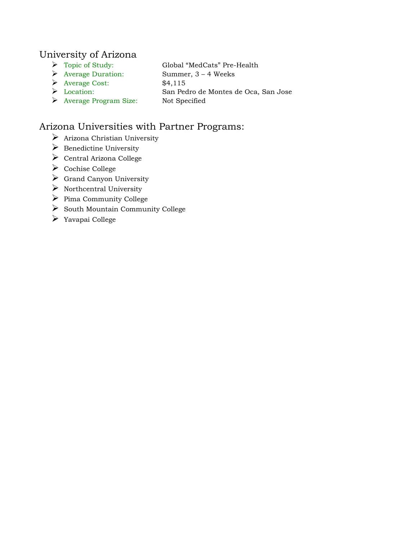### University of Arizona

- Topic of Study: Global "MedCats" Pre-Health
- Average Duration: Summer, 3 4 Weeks
- Average Cost: \$4,115
- Location: San Pedro de Montes de Oca, San Jose
- Average Program Size: Not Specified

### Arizona Universities with Partner Programs:

- $\triangleright$  Arizona Christian University
- $\triangleright$  Benedictine University
- $\triangleright$  Central Arizona College
- $\triangleright$  Cochise College
- $\triangleright$  Grand Canyon University
- $\triangleright$  Northcentral University
- $\triangleright$  Pima Community College
- $\triangleright$  South Mountain Community College
- Yavapai College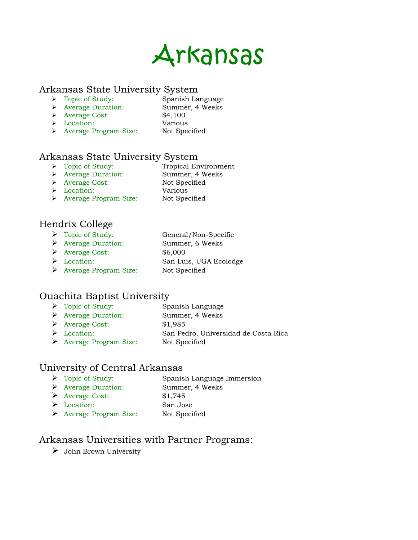

#### Arkansas State University System

- > Topic of Study: Spanish Language
- Average Duration: Summer, 4 Weeks
- $\blacktriangleright$  Average Cost: \$4,100
- Location: Various
- 
- > Average Program Size: Not Specified

### Arkansas State University System

- > Topic of Study: Tropical Environment
- Average Duration: Summer, 4 Weeks
- > Average Cost: Not Specified
- Location: Various
- > Average Program Size: Not Specified

### Hendrix College

- > Topic of Study: General/Non-Specific
- Average Duration: Summer, 6 Weeks
- Average Cost: \$6,000
- Location: San Luis, UGA Ecolodge Average Program Size: Not Specified
- 

### Ouachita Baptist University

- > Topic of Study: Spanish Language
- Average Duration: Summer, 4 Weeks
- Average Cost: \$1,985
- Location: San Pedro, Universidad de Costa Rica
- Average Program Size: Not Specified

### University of Central Arkansas

- > Topic of Study: Spanish Language Immersion Average Duration: Summer, 4 Weeks Average Cost: \$1,745
- Location: San Jose
- Average Program Size: Not Specified

### Arkansas Universities with Partner Programs:

 $\triangleright$  John Brown University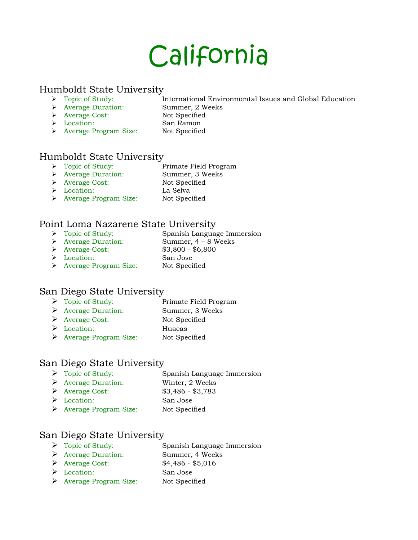## California

#### Humboldt State University

- Topic of Study: International Environmental Issues and Global Education
- Average Duration: Summer, 2 Weeks
- Average Cost: Not Specified
- Location: San Ramon
- 
- > Average Program Size: Not Specified

### Humboldt State University

- > Topic of Study: Primate Field Program
- Average Duration: Summer, 3 Weeks
- > Average Cost: Not Specified
	-
- Location: La Selva
- > Average Program Size: Not Specified

### Point Loma Nazarene State University

- Spanish Language Immersion → Topic of Study: Spanish Language Im<br>
→ Average Duration: Summer, 4 – 8 Weeks
- 
- Average Cost: \$3,800 \$6,800
- Location: San Jose
- > Average Program Size: Not Specified

### San Diego State University

- > Topic of Study: Primate Field Program
- Average Duration: Summer, 3 Weeks
- Average Cost: Not Specified
- Location: Huacas
- Average Program Size: Not Specified

### San Diego State University

- Topic of Study: Spanish Language Immersion
- Average Duration: Winter, 2 Weeks
- Average Cost: \$3,486 \$3,783
- Location: San Jose
- Average Program Size: Not Specified

### San Diego State University

- > Topic of Study: Spanish Language Immersion
- Average Duration: Summer, 4 Weeks
- Average Cost: \$4,486 \$5,016
- Location: San Jose
- Average Program Size: Not Specified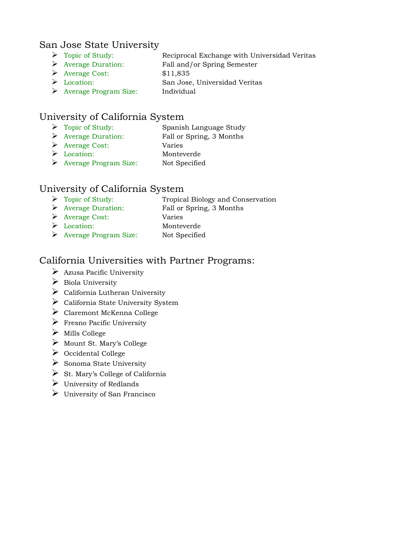### San Jose State University

- Topic of Study: Reciprocal Exchange with Universidad Veritas
- Average Duration: Fall and/or Spring Semester
- Average Cost: \$11,835
- Location: San Jose, Universidad Veritas
- Average Program Size: Individual

### University of California System

- > Topic of Study: Spanish Language Study
- Average Duration: Fall or Spring, 3 Months
- Average Cost: Varies
- Location: Monteverde
- Average Program Size: Not Specified

### University of California System

- Topic of Study: Tropical Biology and Conservation
- Average Duration: Fall or Spring, 3 Months
- Average Cost: Varies
- Location: Monteverde
- Average Program Size: Not Specified

### California Universities with Partner Programs:

- $\triangleright$  Azusa Pacific University
- $\triangleright$  Biola University
- $\triangleright$  California Lutheran University
- $\blacktriangleright$  California State University System
- Claremont McKenna College
- $\triangleright$  Fresno Pacific University
- $\triangleright$  Mills College
- $\triangleright$  Mount St. Mary's College
- $\triangleright$  Occidental College
- $\triangleright$  Sonoma State University
- $\triangleright$  St. Mary's College of California
- $\triangleright$  University of Redlands
- $\triangleright$  University of San Francisco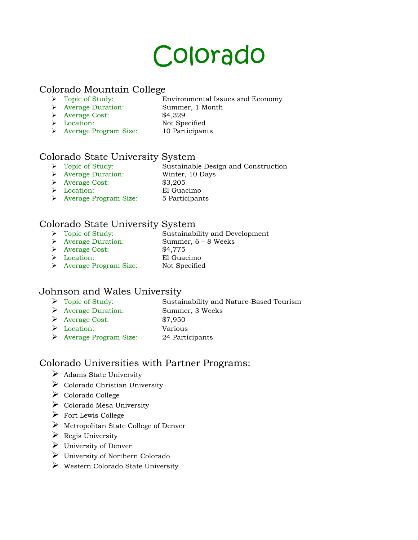### Colorado

#### Colorado Mountain College

- Topic of Study: Environmental Issues and Economy
	- Average Duration: Summer, 1 Month
		-
	- Average Cost: \$4,329 Location: Not Specified
- Average Program Size: 10 Participants

### Colorado State University System<br> $\triangleright$  Topic of Study: Sustainable

- Sustainable Design and Construction
- Average Duration: Winter, 10 Days
	-
- Average Cost: \$3,205
- Location: El Guacimo
- > Average Program Size: 5 Participants

### Colorado State University System

- Sustainability and Development → Topic of Study:<br>
→ Average Duration: Summer, 6 – 8 Weeks
- 
- Average Cost: \$4,775
- 
- Location: El Guacimo
- > Average Program Size: Not Specified

### Johnson and Wales University

- Topic of Study: Sustainability and Nature-Based Tourism
- Average Duration: Summer, 3 Weeks
- Average Cost: \$7,950
- Location: Various
- Average Program Size: 24 Participants

### Colorado Universities with Partner Programs:

- $\triangleright$  Adams State University
- $\triangleright$  Colorado Christian University
- Colorado College
- $\triangleright$  Colorado Mesa University
- $\triangleright$  Fort Lewis College
- $\triangleright$  Metropolitan State College of Denver
- $\triangleright$  Regis University
- $\triangleright$  University of Denver
- University of Northern Colorado
- Western Colorado State University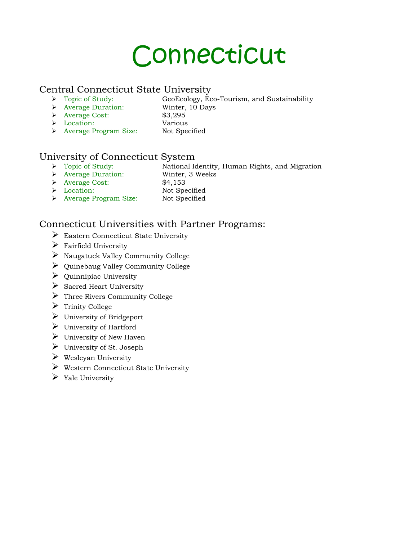### Connecticut

### Central Connecticut State University<br>  $\rightarrow$  Topic of Study: GeoEcology. Eq

- 
- GeoEcology, Eco-Tourism, and Sustainability Average Duration: Winter, 10 Days
- Average Cost: \$3,295
	-
- Location: Various
- Average Program Size: Not Specified

### University of Connecticut System

- National Identity, Human Rights, and Migration → Topic of Study: National Identity<br>
→ Average Duration: Winter, 3 Weeks
	-
- Average Cost: \$4,153
- Location: Not Specified
- 
- > Average Program Size: Not Specified

### Connecticut Universities with Partner Programs:

- Eastern Connecticut State University
- $\triangleright$  Fairfield University
- $\triangleright$  Naugatuck Valley Community College
- $\triangleright$  Quinebaug Valley Community College
- $\triangleright$  Quinnipiac University
- $\triangleright$  Sacred Heart University
- Three Rivers Community College
- $\triangleright$  Trinity College
- $\triangleright$  University of Bridgeport
- University of Hartford
- $\triangleright$  University of New Haven
- $\triangleright$  University of St. Joseph
- $\triangleright$  Wesleyan University
- Western Connecticut State University
- $\triangleright$  Yale University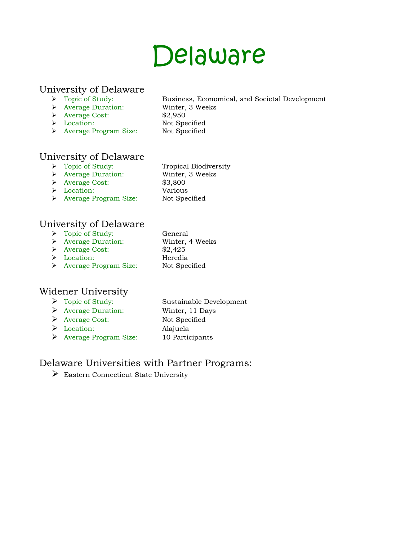### Delaware

### University of Delaware<br> $\rightarrow$  Topic of Study:

- 
- Average Duration: Winter, 3 Weeks
- Average Cost: \$2,950
- > Location: Not Specified
- Average Program Size: Not Specified
- Business, Economical, and Societal Development

### University of Delaware

- > Topic of Study: Tropical Biodiversity
- Average Duration: Winter, 3 Weeks
- Average Cost: \$3,800
- Location: Various
- > Average Program Size: Not Specified
- 

### University of Delaware

- > Topic of Study: General
- Average Duration: Winter, 4 Weeks
- Average Cost: \$2,425
- Location: Heredia
- > Average Program Size: Not Specified

### Widener University

- Topic of Study: Sustainable Development
- Average Duration: Winter, 11 Days
- Average Cost: Not Specified
- Location: Alajuela
- 
- Average Program Size: 10 Participants

### Delaware Universities with Partner Programs:

Eastern Connecticut State University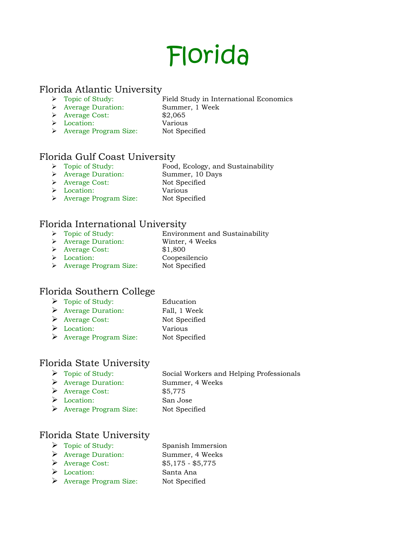## Florida

#### Florida Atlantic University

- Topic of Study: Field Study in International Economics
	- Average Duration: Summer, 1 Week
		-
	- Average Cost: \$2,065 Location: Various
- > Average Program Size: Not Specified

### Florida Gulf Coast University<br> $\triangleright$  Topic of Study: Food

- Food, Ecology, and Sustainability
- Average Duration: Summer, 10 Days
- > Average Cost: Not Specified
- Location: Various
- Average Program Size: Not Specified

### Florida International University

- Environment and Sustainability → Topic of Study: Environment and<br>
→ Average Duration: Winter, 4 Weeks
- 
- Average Cost: \$1,800
- Location: Coopesilencio
- > Average Program Size: Not Specified

### Florida Southern College

- > Topic of Study: Education
- Average Duration: Fall, 1 Week
- Average Cost: Not Specified
- Location: Various
- Average Program Size: Not Specified

### Florida State University

- Topic of Study: Social Workers and Helping Professionals
- Average Duration: Summer, 4 Weeks

 Average Cost: \$5,775 Location: San Jose

Average Program Size: Not Specified

### Florida State University

- > Topic of Study: Spanish Immersion
- Average Duration: Summer, 4 Weeks
- Average Cost: \$5,175 \$5,775
- Location: Santa Ana
- Average Program Size: Not Specified
-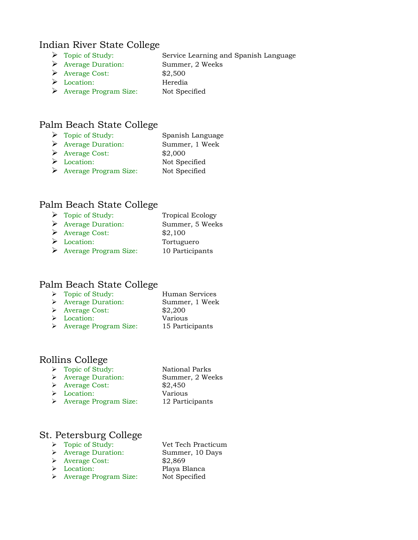#### Indian River State College

- Topic of Study: Service Learning and Spanish Language
- Average Duration: Summer, 2 Weeks
- Average Cost: \$2,500
- 
- Location: Heredia
- Average Program Size: Not Specified

### Palm Beach State College

- > Topic of Study: Spanish Language
- Average Duration: Summer, 1 Week
- Average Cost: \$2,000
- Location: Not Specified
- Average Program Size: Not Specified

### Palm Beach State College

> Topic of Study: Tropical Ecology Average Duration: Summer, 5 Weeks  $\triangleright$  Average Cost: \$2,100 Location: Tortuguero Average Program Size: 10 Participants

### Palm Beach State College

- > Topic of Study: Human Services Average Duration: Summer, 1 Week Average Cost: \$2,200 Location: Various
- Average Program Size: 15 Participants

### Rollins College

- > Topic of Study: National Parks
- Average Duration: Summer, 2 Weeks
- Average Cost: \$2,450
- Location: Various
- > Average Program Size: 12 Participants

### St. Petersburg College

- > Topic of Study: Vet Tech Practicum
- Average Duration: Summer, 10 Days
- > Average Cost: \$2,869
- 
- > Average Program Size: Not Specified
- Location: Playa Blanca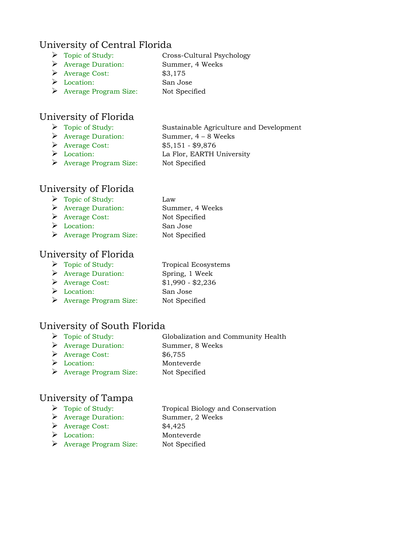### University of Central Florida

- Topic of Study: Cross-Cultural Psychology
- Average Duration: Summer, 4 Weeks
- Average Cost: \$3,175
- 
- Location: San Jose Average Program Size: Not Specified
- University of Florida
	-
	-

> Topic of Study: Sustainable Agriculture and Development Average Duration: Summer, 4 – 8 Weeks Average Cost: \$5,151 - \$9,876 > Location: La Flor, EARTH University

Average Program Size: Not Specified

### University of Florida

- Topic of Study: Law
- Average Duration: Summer, 4 Weeks
- Average Cost: Not Specified
- Location: San Jose
- Average Program Size: Not Specified

### University of Florida

- > Topic of Study: Tropical Ecosystems
- Average Duration: Spring, 1 Week
- Average Cost: \$1,990 \$2,236
- Location: San Jose
- Average Program Size: Not Specified

### University of South Florida

- > Topic of Study: Globalization and Community Health
- Average Duration: Summer, 8 Weeks
- Average Cost: \$6,755
- Location: Monteverde
- Average Program Size: Not Specified

### University of Tampa

- Topic of Study: Tropical Biology and Conservation
- 
- Average Cost: \$4,425
- 
- Average Duration: Summer, 2 Weeks Location: Monteverde Average Program Size: Not Specified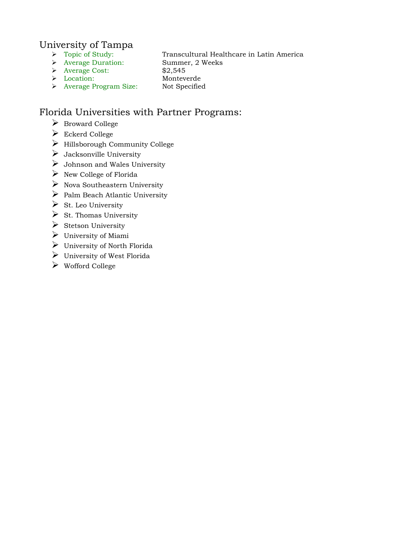### University of Tampa

- $\begin{tabular}{ll} $\triangleright$ & Topic of Study: & Transcultural Head \\ $\triangleright$ & Average Duration: & Summer, 2 Weeks \end{tabular}$
- 
- 

Transcultural Healthcare in Latin America

- Average Cost: \$2,545
- Location: Monteverde
	-
- > Average Program Size: Not Specified

### Florida Universities with Partner Programs:

- Broward College
- Eckerd College
- Hillsborough Community College
- $\triangleright$  Jacksonville University
- $\triangleright$  Johnson and Wales University
- $\triangleright$  New College of Florida
- $\triangleright$  Nova Southeastern University
- $\triangleright$  Palm Beach Atlantic University
- $\triangleright$  St. Leo University
- $\triangleright$  St. Thomas University
- $\triangleright$  Stetson University
- $\triangleright$  University of Miami
- University of North Florida
- $\triangleright$  University of West Florida
- Wofford College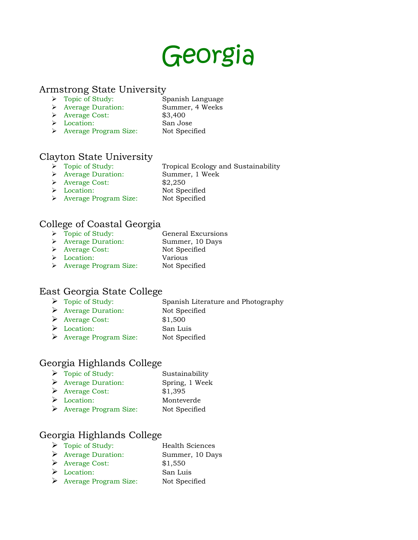### Georgia

#### Armstrong State University

- > Topic of Study: Spanish Language
- Average Duration: Summer, 4 Weeks
- Average Cost: \$3,400
- Location: San Jose
- 
- Average Program Size: Not Specified

### Clayton State University<br>  $\rightarrow$  Topic of Study:

- Tropical Ecology and Sustainability
- Average Duration: Summer, 1 Week
	-
- Average Cost: \$2,250
- Location: Not Specified
- > Average Program Size: Not Specified

### College of Coastal Georgia

- > Topic of Study: General Excursions Average Duration: Summer, 10 Days > Average Cost: Not Specified Location: Various
- > Average Program Size: Not Specified

### East Georgia State College

- $\triangleright$  Topic of Study: Spanish Literature and Photography
- Average Duration: Not Specified
- Average Cost: \$1,500
- Location: San Luis
- Average Program Size: Not Specified

### Georgia Highlands College

- > Topic of Study: Sustainability Average Duration: Spring, 1 Week Average Cost: \$1,395 Location: Monteverde
- Average Program Size: Not Specified

### Georgia Highlands College

 Topic of Study: Health Sciences Average Duration: Summer, 10 Days Average Cost: \$1,550 Location: San Luis Average Program Size: Not Specified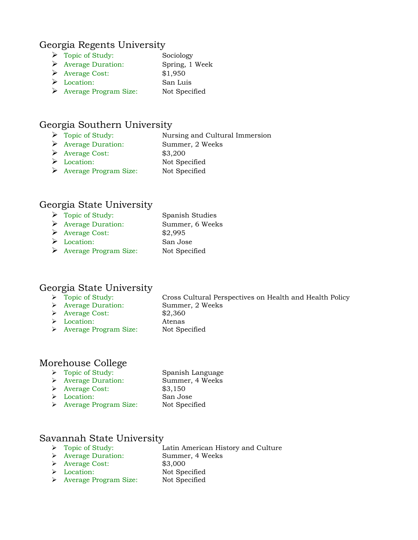#### Georgia Regents University

- > Topic of Study: Sociology Average Duration: Spring, 1 Week Average Cost: \$1,950
- Location: San Luis
- Average Program Size: Not Specified

### Georgia Southern University

- Topic of Study: Nursing and Cultural Immersion
- Average Duration: Summer, 2 Weeks
- $\triangleright$  Average Cost: \$3,200
- Location: Not Specified
- Average Program Size: Not Specified

### Georgia State University

 Topic of Study: Spanish Studies Average Duration: Summer, 6 Weeks Average Cost: \$2,995 Location: San Jose Average Program Size: Not Specified

### Georgia State University

- 
- Average Duration: Summer, 2 Weeks
- Average Cost: \$2,360
- Location: Atenas
- Cross Cultural Perspectives on Health and Health Policy > Average Program Size: Not Specified

### Morehouse College

| $\triangleright$ Topic of Study:       | Spanish Language |
|----------------------------------------|------------------|
| $\triangleright$ Average Duration:     | Summer, 4 Weeks  |
| $\triangleright$ Average Cost:         | \$3,150          |
| $\triangleright$ Location:             | San Jose         |
| $\triangleright$ Average Program Size: | Not Specified    |

### Savannah State University

- Topic of Study: Latin American History and Culture
- Average Duration: Summer, 4 Weeks
- Average Cost: \$3,000
- 
- Location: Not Specified
- Average Program Size: Not Specified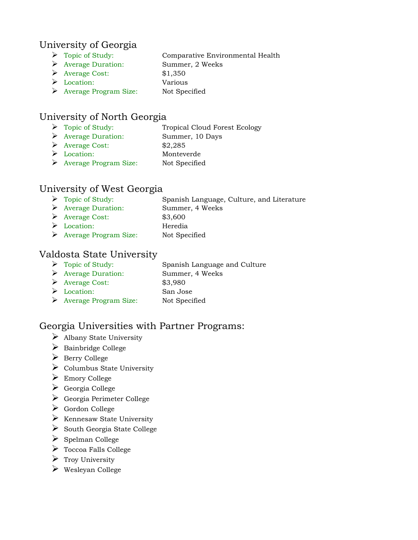### University of Georgia

- > Topic of Study: Comparative Environmental Health
- Average Duration: Summer, 2 Weeks
- Average Cost: \$1,350
- 
- Location: Various Average Program Size: Not Specified
- University of North Georgia
	- > Topic of Study: Tropical Cloud Forest Ecology
	- Average Duration: Summer, 10 Days
	- Average Cost: \$2,285
	- Location: Monteverde
	- Average Program Size: Not Specified

### University of West Georgia

- Topic of Study: Spanish Language, Culture, and Literature
- Average Duration: Summer, 4 Weeks
- Average Cost: \$3,600
- Location: Heredia
- Average Program Size: Not Specified

### Valdosta State University

- Topic of Study: Spanish Language and Culture
- Average Duration: Summer, 4 Weeks
- Average Cost: \$3,980
- Location: San Jose
- 
- Average Program Size: Not Specified

### Georgia Universities with Partner Programs:

- $\triangleright$  Albany State University
- $\triangleright$  Bainbridge College
- $\triangleright$  Berry College
- $\triangleright$  Columbus State University
- Emory College
- $\triangleright$  Georgia College
- Georgia Perimeter College
- Gordon College
- $\triangleright$  Kennesaw State University
- $\triangleright$  South Georgia State College
- $\triangleright$  Spelman College
- Toccoa Falls College
- $\triangleright$  Troy University
- $\triangleright$  Wesleyan College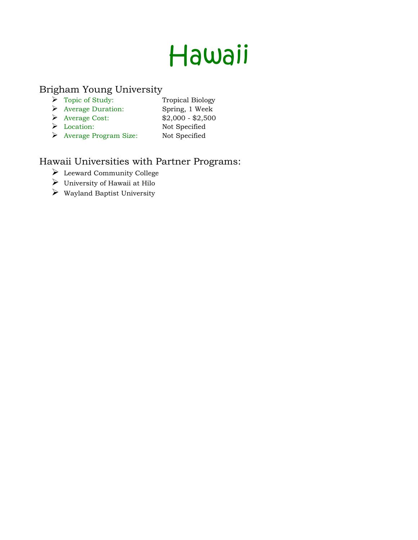# Hawaii

### Brigham Young University

- $\triangleright$  Topic of Study: Tropical Biology
- Average Duration: Spring, 1 Week
- Average Cost: \$2,000 \$2,500
- Location: Not Specified
- Average Program Size: Not Specified

### Hawaii Universities with Partner Programs:

- Leeward Community College
- University of Hawaii at Hilo
- $\triangleright$  Wayland Baptist University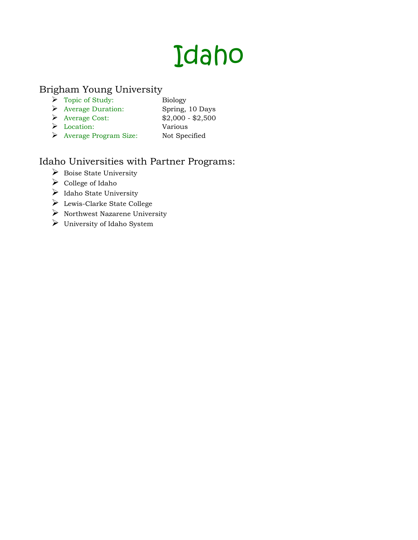## Idaho

### Brigham Young University

- $\triangleright$  Topic of Study: Biology
- Average Duration: Spring, 10 Days
- Average Cost: \$2,000 \$2,500
- Location: Various
- Average Program Size: Not Specified

### Idaho Universities with Partner Programs:

- $\triangleright$  Boise State University
- $\triangleright$  College of Idaho
- $\triangleright$  Idaho State University
- Lewis-Clarke State College
- $\triangleright$  Northwest Nazarene University
- University of Idaho System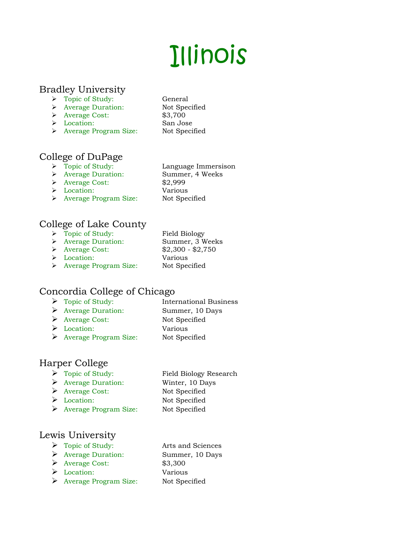# Illinois

### Bradley University

- > Topic of Study: General
- Average Duration: Not Specified
- Average Cost: \$3,700
- Location: San Jose
- > Average Program Size: Not Specified

### College of DuPage

- > Topic of Study: Language Immersison
- Average Duration: Summer, 4 Weeks
- Average Cost: \$2,999
- Location: Various
- > Average Program Size: Not Specified
- 

### College of Lake County

- > Topic of Study: Field Biology Average Duration: Summer, 3 Weeks Average Cost: \$2,300 - \$2,750 Location: Various
- > Average Program Size: Not Specified

### Concordia College of Chicago

- > Topic of Study: International Business Average Duration: Summer, 10 Days Average Cost: Not Specified Location: Various
- Average Program Size: Not Specified

### Harper College

- Topic of Study: Field Biology Research
- Average Duration: Winter, 10 Days
- Average Cost: Not Specified
- Location: Not Specified
- Average Program Size: Not Specified

### Lewis University

- Topic of Study: Arts and Sciences
- Average Duration: Summer, 10 Days
- $\triangleright$  Average Cost: \$3,300
- Location: Various
- Average Program Size: Not Specified
-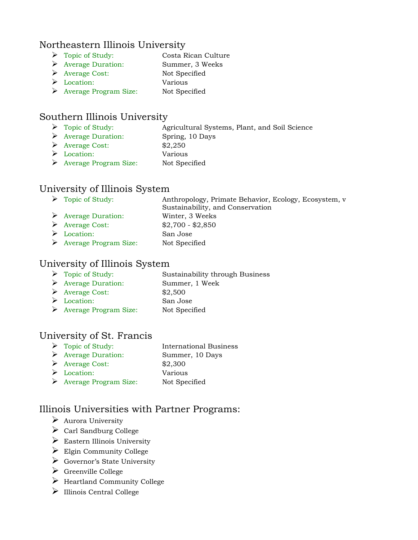### Northeastern Illinois University

- Topic of Study: Costa Rican Culture
- Average Duration: Summer, 3 Weeks
- Average Cost: Not Specified
- Location: Various
- Average Program Size: Not Specified

### Southern Illinois University

- > Topic of Study: Agricultural Systems, Plant, and Soil Science
- Average Duration: Spring, 10 Days
- $\blacktriangleright$  Average Cost: \$2,250
- Location: Various
- Average Program Size: Not Specified

### University of Illinois System

| $\triangleright$ Topic of Study:       | Anthropology, Primate Behavior, Ecology, Ecosystem, v |
|----------------------------------------|-------------------------------------------------------|
|                                        | Sustainability, and Conservation                      |
| $\triangleright$ Average Duration:     | Winter, 3 Weeks                                       |
| $\triangleright$ Average Cost:         | $$2,700 - $2,850$                                     |
| $\triangleright$ Location:             | San Jose                                              |
| $\triangleright$ Average Program Size: | Not Specified                                         |

### University of Illinois System

- Topic of Study: Sustainability through Business Average Duration: Summer, 1 Week
- Average Cost: \$2,500 Location: San Jose
- Average Program Size: Not Specified

### University of St. Francis

| $\triangleright$ Topic of Study:   | International Business |
|------------------------------------|------------------------|
| $\triangleright$ Average Duration: | Summer, 10 Days        |
| $\triangleright$ Average Cost:     | \$2,300                |
| $\triangleright$ Location:         | Various                |
|                                    |                        |

Average Program Size: Not Specified

### Illinois Universities with Partner Programs:

- $\triangleright$  Aurora University
- $\triangleright$  Carl Sandburg College
- $\triangleright$  Eastern Illinois University
- $\triangleright$  Elgin Community College
- Governor's State University
- $\triangleright$  Greenville College
- $\triangleright$  Heartland Community College
- $\triangleright$  Illinois Central College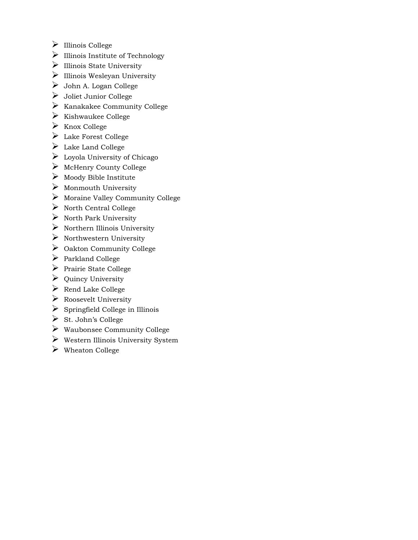- $\triangleright$  Illinois College
- $\triangleright$  Illinois Institute of Technology
- $\blacktriangleright$ Illinois State University
- $\triangleright$  Illinois Wesleyan University
- John A. Logan College
- $\triangleright$  Joliet Junior College
- $\triangleright$  Kanakakee Community College
- $\triangleright$  Kishwaukee College
- $\triangleright$  Knox College
- Lake Forest College
- $\blacktriangleright$  Lake Land College
- $\triangleright$  Loyola University of Chicago
- $\triangleright$  McHenry County College
- $\triangleright$  Moody Bible Institute
- $\triangleright$  Monmouth University
- $\triangleright$  Moraine Valley Community College
- $\triangleright$  North Central College
- $\triangleright$  North Park University
- $\triangleright$  Northern Illinois University
- $\triangleright$  Northwestern University
- $\triangleright$  Oakton Community College
- $\triangleright$  Parkland College
- $\triangleright$  Prairie State College
- $\triangleright$  Quincy University
- $\triangleright$  Rend Lake College
- $\triangleright$  Roosevelt University
- $\triangleright$  Springfield College in Illinois
- $\triangleright$  St. John's College
- $\triangleright$  Waubonsee Community College
- $\triangleright$  Western Illinois University System
- $\triangleright$  Wheaton College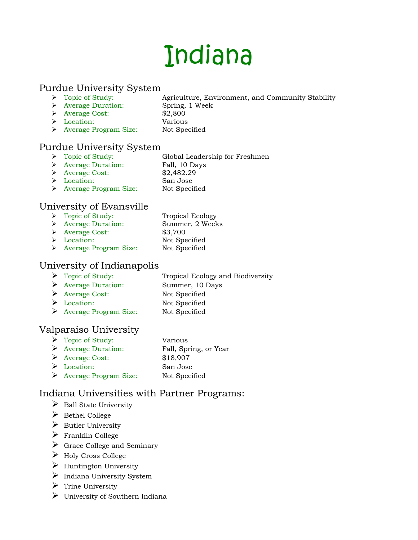## Indiana

### Purdue University System<br>
> Topic of Study:

- Agriculture, Environment, and Community Stability
- Average Duration: Spring, 1 Week
	-
- Average Cost: \$2,800 Location: Various
- Average Program Size: Not Specified

### Purdue University System

- > Topic of Study: Global Leadership for Freshmen
- Average Duration: Fall, 10 Days
- Average Cost: \$2,482.29
- Location: San Jose
- 
- > Average Program Size: Not Specified

### University of Evansville

> Topic of Study: Tropical Ecology Average Duration: Summer, 2 Weeks Average Cost: \$3,700 Location: Not Specified Average Program Size: Not Specified

### University of Indianapolis

- > Topic of Study: Tropical Ecology and Biodiversity
- Average Duration: Summer, 10 Days
- Average Cost: Not Specified
- ▶ Location: Not Specified
- Average Program Size: Not Specified

### Valparaiso University

| $\triangleright$ Topic of Study:       | Various               |
|----------------------------------------|-----------------------|
| $\triangleright$ Average Duration:     | Fall, Spring, or Year |
| $\triangleright$ Average Cost:         | \$18,907              |
| $\triangleright$ Location:             | San Jose              |
| $\triangleright$ Average Program Size: | Not Specified         |

### Indiana Universities with Partner Programs:

- $\triangleright$  Ball State University
- $\triangleright$  Bethel College
- $\triangleright$  Butler University
- $\triangleright$  Franklin College
- $\triangleright$  Grace College and Seminary
- Holy Cross College
- $\triangleright$  Huntington University
- $\triangleright$  Indiana University System
- $\triangleright$  Trine University
- $\triangleright$  University of Southern Indiana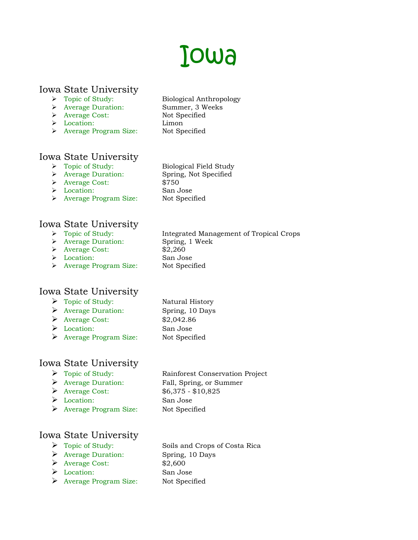### Iowa

Biological Field Study

### Iowa State University

- Topic of Study: Biological Anthropology
- Average Duration: Summer, 3 Weeks
- Average Cost: Not Specified
- Location: Limon
- > Average Program Size: Not Specified

- Iowa State University<br>  $\triangleright$  Topic of Study:
	- Average Duration: Spring, Not Specified
	- Average Cost: \$750
	- Location: San Jose
	- > Average Program Size: Not Specified

Iowa State University

- 
- 
- Average Cost: \$2,260
- Location: San Jose
- > Average Program Size: Not Specified

### Iowa State University

- Topic of Study: Natural History
- Average Duration: Spring, 10 Days
- Average Cost: \$2,042.86
- Location: San Jose
- Average Program Size: Not Specified

### Iowa State University

- 
- 
- 
- Location: San Jose
- Average Program Size: Not Specified

 Topic of Study: Rainforest Conservation Project Average Duration: Fall, Spring, or Summer Average Cost: \$6,375 - \$10,825

### Iowa State University

- 
- Average Duration: Spring, 10 Days
- Average Cost: \$2,600
- Location: San Jose
- Average Program Size: Not Specified

Topic of Study: Soils and Crops of Costa Rica

Integrated Management of Tropical Crops → Topic of Study: Integrated Mana<br>→ Average Duration: Spring, 1 Week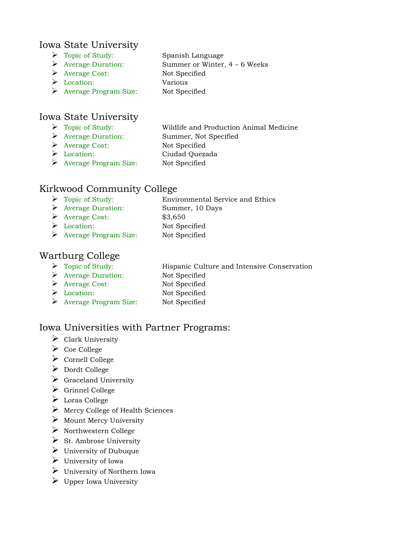### Iowa State University

- > Topic of Study: Spanish Language
- Average Duration: Summer or Winter, 4 6 Weeks
- Average Cost: Not Specified
- Location: Various
- Average Program Size: Not Specified

### Iowa State University

- Topic of Study: Wildlife and Production Animal Medicine
- Average Duration: Summer, Not Specified
- 
- Average Cost: Not Specified
- 
- Location: Ciudad Quezada
- Average Program Size: Not Specified

### Kirkwood Community College

- > Topic of Study: Environmental Service and Ethics
- Average Duration: Summer, 10 Days
- $\triangleright$  Average Cost: \$3,650
- Location: Not Specified
- Average Program Size: Not Specified

### Wartburg College

- Topic of Study: Hispanic Culture and Intensive Conservation
- Average Duration: Not Specified
- Average Cost: Not Specified
- Location: Not Specified
- Average Program Size: Not Specified

### Iowa Universities with Partner Programs:

- $\triangleright$  Clark University
- $\triangleright$  Coe College
- $\triangleright$  Cornell College
- Dordt College
- $\triangleright$  Graceland University
- $\triangleright$  Grinnel College
- Loras College
- $\triangleright$  Mercy College of Health Sciences
- $\triangleright$  Mount Mercy University
- $\triangleright$  Northwestern College
- $\triangleright$  St. Ambrose University
- $\triangleright$  University of Dubuque
- $\triangleright$  University of Iowa
- $\triangleright$  University of Northern Iowa
- $\triangleright$  Upper Iowa University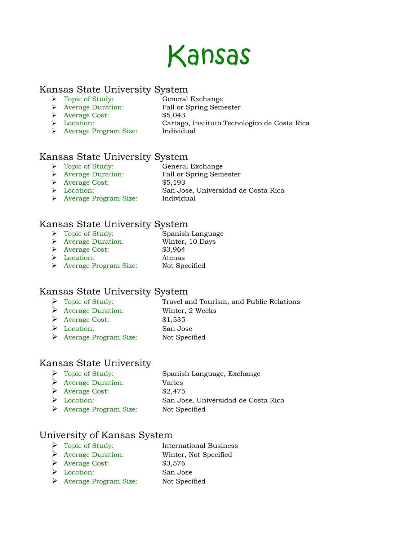

#### Kansas State University System

- 
- > Topic of Study: General Exchange
- Average Duration: Fall or Spring Semester
	- Average Cost: \$5,043
	-
	- Location: Cartago, Instituto Tecnológico de Costa Rica
- > Average Program Size: Individual

### Kansas State University System

- → Topic of Study: General Exchange<br>
→ Average Duration: Fall or Spring Sem
- Fall or Spring Semester
- Average Cost: \$5,193
- Location: San Jose, Universidad de Costa Rica
- > Average Program Size: Individual

### Kansas State University System

- > Topic of Study: Spanish Language
- Average Duration: Winter, 10 Days
- Average Cost: \$3,964
- Location: Atenas
- > Average Program Size: Not Specified

### Kansas State University System

- ▶ Topic of Study: Travel and Tourism, and Public Relations
- Average Duration: Winter, 2 Weeks
- Average Cost: \$1,535
- Location: San Jose
- Average Program Size: Not Specified

### Kansas State University

> Topic of Study: Spanish Language, Exchange Average Duration: Varies Average Cost: \$2,475 Location: San Jose, Universidad de Costa Rica Average Program Size: Not Specified

### University of Kansas System

- > Topic of Study: International Business Average Duration: Winter, Not Specified Average Cost: \$3,576 Location: San Jose
- Average Program Size: Not Specified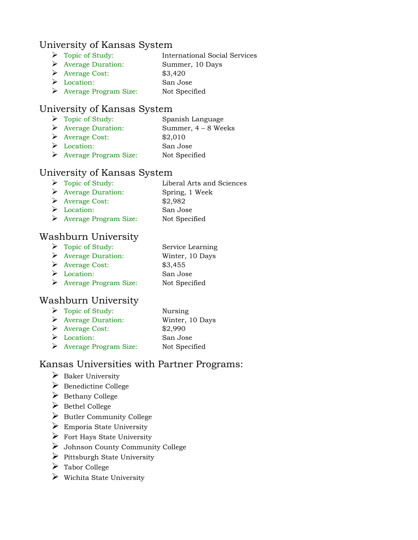### University of Kansas System

- Topic of Study: International Social Services
- Average Duration: Summer, 10 Days
- $\triangleright$  Average Cost: \$3,420
- Location: San Jose Average Program Size: Not Specified

### University of Kansas System

| $\triangleright$ Topic of Study:       | Spanish Language      |
|----------------------------------------|-----------------------|
| $\triangleright$ Average Duration:     | Summer, $4 - 8$ Weeks |
| $\triangleright$ Average Cost:         | \$2,010               |
| $\triangleright$ Location:             | San Jose              |
| $\triangleright$ Average Program Size: | Not Specified         |

### University of Kansas System

| $\triangleright$ Topic of Study:   | Liberal Arts and Sciences |
|------------------------------------|---------------------------|
| $\triangleright$ Average Duration: | Spring, 1 Week            |
| $\triangleright$ Average Cost:     | \$2,982                   |
|                                    |                           |

- Location: San Jose
- Average Program Size: Not Specified

### Washburn University

- Topic of Study: Service Learning Average Duration: Winter, 10 Days Average Cost: \$3,455
- Location: San Jose
- Average Program Size: Not Specified

### Washburn University

| $\triangleright$ Topic of Study:       | Nursing         |
|----------------------------------------|-----------------|
| $\triangleright$ Average Duration:     | Winter, 10 Days |
| $\triangleright$ Average Cost:         | \$2,990         |
| $\triangleright$ Location:             | San Jose        |
| $\triangleright$ Average Program Size: | Not Specified   |

### Kansas Universities with Partner Programs:

- $\triangleright$  Baker University
- $\triangleright$  Benedictine College
- $\triangleright$  Bethany College
- $\triangleright$  Bethel College
- $\triangleright$  Butler Community College
- $\triangleright$  Emporia State University
- $\triangleright$  Fort Hays State University
- Johnson County Community College
- $\triangleright$  Pittsburgh State University
- Tabor College
- $\triangleright$  Wichita State University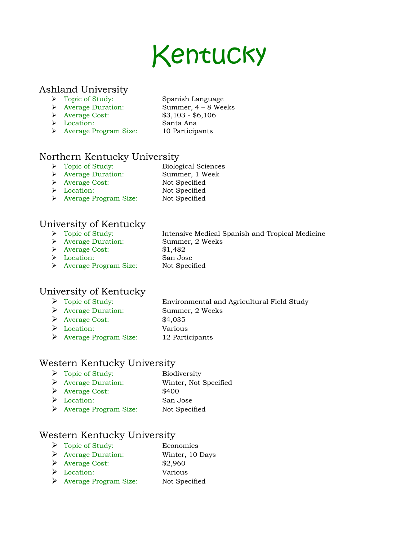### Kentucky

Intensive Medical Spanish and Tropical Medicine

### Ashland University

- > Topic of Study: Spanish Language
- Average Duration: Summer, 4 8 Weeks
- 
- Average Cost: \$3,103 \$6,106
- Location: Santa Ana
- 
- > Average Program Size: 10 Participants

### Northern Kentucky University

- > Topic of Study: Biological Sciences
- Average Duration: Summer, 1 Week
- > Average Cost: Not Specified
- Location: Not Specified
- 
- > Average Program Size: Not Specified

### University of Kentucky

- 
- → Topic of Study:<br>
→ Average Duration: Summer, 2 Weeks
- Average Cost: \$1,482
- Location: San Jose
- > Average Program Size: Not Specified

### University of Kentucky

- Topic of Study: Environmental and Agricultural Field Study
- Average Duration: Summer, 2 Weeks
- Average Cost: \$4,035
- Location: Various
- Average Program Size: 12 Participants

### Western Kentucky University

> Topic of Study: Biodiversity Average Duration: Winter, Not Specified Average Cost: \$400 Location: San Jose Average Program Size: Not Specified

### Western Kentucky University

 Topic of Study: Economics Average Duration: Winter, 10 Days Average Cost: \$2,960 Location: Various Average Program Size: Not Specified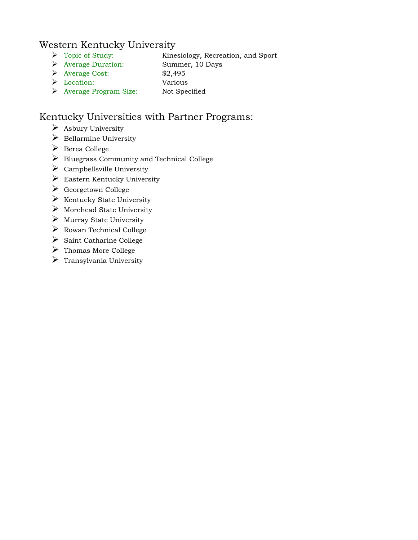### Western Kentucky University

- Topic of Study: Kinesiology, Recreation, and Sport
- Average Duration: Summer, 10 Days
- Average Cost: \$2,495
- Location: Various
- Average Program Size: Not Specified

### Kentucky Universities with Partner Programs:

- $\triangleright$  Asbury University
- $\triangleright$  Bellarmine University
- Berea College
- Bluegrass Community and Technical College
- $\triangleright$  Campbellsville University
- $\triangleright$  Eastern Kentucky University
- $\triangleright$  Georgetown College
- $\triangleright$  Kentucky State University
- $\triangleright$  Morehead State University
- $\triangleright$  Murray State University
- $\triangleright$  Rowan Technical College
- $\triangleright$  Saint Catharine College
- $\triangleright$  Thomas More College
- $\triangleright$  Transylvania University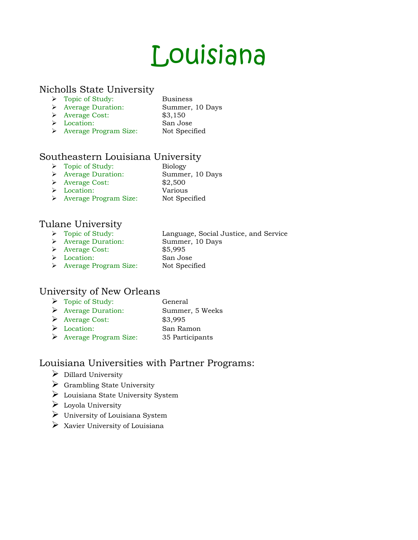## Louisiana

### Nicholls State University

- > Topic of Study: Business
- Average Duration: Summer, 10 Days
- Average Cost: \$3,150
- Location: San Jose
- 
- Average Program Size: Not Specified

### Southeastern Louisiana University

- Topic of Study: Biology
- Average Duration: Summer, 10 Days
- Average Cost: \$2,500
- Location: Various
- > Average Program Size: Not Specified

### Tulane University

- Language, Social Justice, and Service → Topic of Study:<br>
→ Average Duration: Summer, 10 Days
- 
- Average Cost: \$5,995
- 
- 
- Location: San Jose
- > Average Program Size: Not Specified

### University of New Orleans

> Topic of Study: General Average Duration: Summer, 5 Weeks Average Cost: \$3,995 Location: San Ramon Average Program Size: 35 Participants

### Louisiana Universities with Partner Programs:

- $\triangleright$  Dillard University
- $\triangleright$  Grambling State University
- Louisiana State University System
- $\triangleright$  Loyola University
- $\triangleright$  University of Louisiana System
- $\triangleright$  Xavier University of Louisiana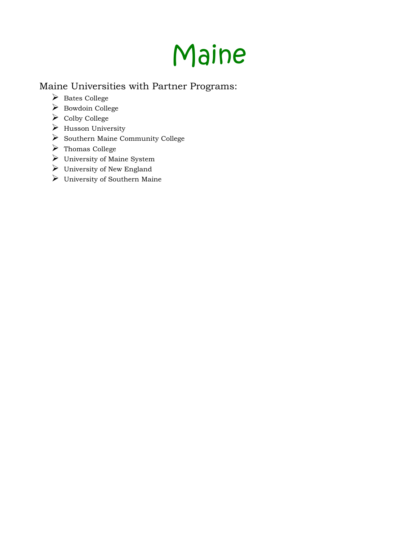## Maine

### Maine Universities with Partner Programs:

- Bates College
- Bowdoin College
- Colby College
- $\triangleright$  Husson University
- $\triangleright$  Southern Maine Community College
- Thomas College
- $\blacktriangleright$  University of Maine System
- $\triangleright$  University of New England
- University of Southern Maine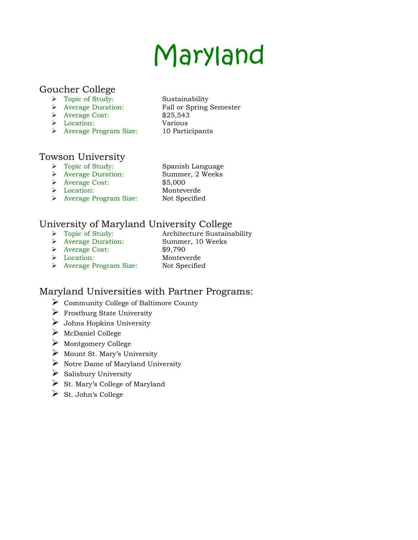# Maryland

### Goucher College

- 
- 
- Average Cost: \$25,543
- Location: Various
- Average Program Size: 10 Participants
- → Topic of Study: Sustainability<br>
→ Average Duration: Fall or Spring Fall or Spring Semester

### Towson University

- > Topic of Study: Spanish Language
- Average Duration: Summer, 2 Weeks
- 
- Average Cost: \$5,000
- 
- Location: Monteverde
- > Average Program Size: Not Specified

### University of Maryland University College

- > Topic of Study: Architecture Sustainability
- Average Duration: Summer, 10 Weeks
- 
- Average Cost: \$9,790
	-
- Location: Monteverde
- Average Program Size: Not Specified

### Maryland Universities with Partner Programs:

- Community College of Baltimore County
- $\triangleright$  Frostburg State University
- $\triangleright$  Johns Hopkins University
- McDaniel College
- Montgomery College
- $\triangleright$  Mount St. Mary's University
- $\triangleright$  Notre Dame of Maryland University
- $\triangleright$  Salisbury University
- $\triangleright$  St. Mary's College of Maryland
- $\triangleright$  St. John's College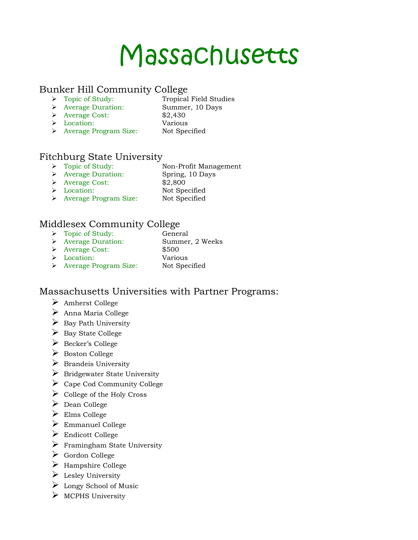### Massachusetts

### Bunker Hill Community College<br>
> Topic of Study: Tropical

- 
- Tropical Field Studies
- Average Duration: Summer, 10 Days Average Cost: \$2,430
	-
- Location: Various
	-
- > Average Program Size: Not Specified

### Fitchburg State University

- > Topic of Study: Non-Profit Management
- Average Duration: Spring, 10 Days
- Average Cost: \$2,800
- Location: Not Specified
- > Average Program Size: Not Specified

### Middlesex Community College

- > Topic of Study: General Average Duration: Summer, 2 Weeks Average Cost: \$500
- Location: Various
- > Average Program Size: Not Specified

### Massachusetts Universities with Partner Programs:

- Amherst College
- $\triangleright$  Anna Maria College
- $\triangleright$  Bay Path University
- $\triangleright$  Bay State College
- Becker's College
- Boston College
- $\triangleright$  Brandeis University
- $\triangleright$  Bridgewater State University
- $\triangleright$  Cape Cod Community College
- $\triangleright$  College of the Holy Cross
- Dean College
- Elms College
- Emmanuel College
- $\triangleright$  Endicott College
- $\triangleright$  Framingham State University
- Gordon College
- $\triangleright$  Hampshire College
- $\triangleright$  Lesley University
- Longy School of Music
- $\triangleright$  MCPHS University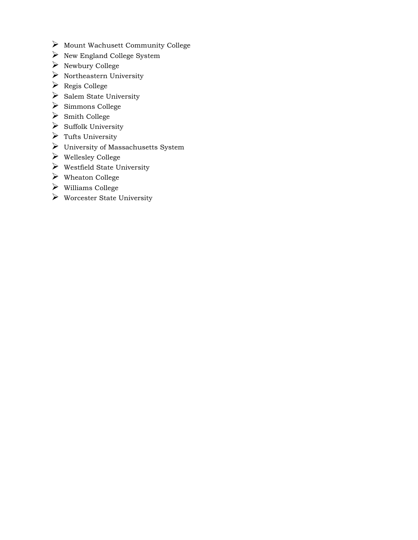- $\blacktriangleright$  Mount Wachusett Community College
- $\blacktriangleright$  New England College System
- $\triangleright$  Newbury College
- $\blacktriangleright$  Northeastern University
- Regis College
- $\triangleright$  Salem State University
- $\triangleright$  Simmons College
- Smith College
- $\triangleright$  Suffolk University
- $\triangleright$  Tufts University
- University of Massachusetts System
- Wellesley College
- $\triangleright$  Westfield State University
- Wheaton College
- Williams College
- $\blacktriangleright$  Worcester State University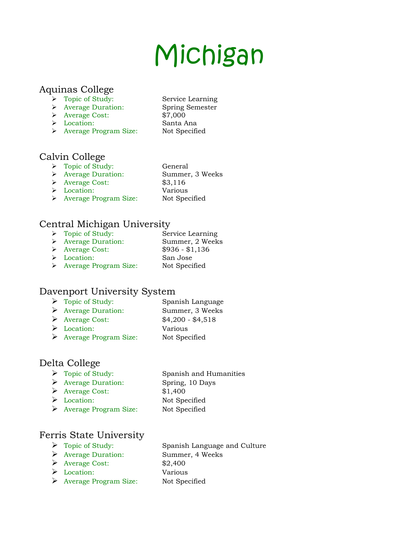# Michigan

#### Aquinas College

- > Topic of Study: Service Learning
- Average Duration: Spring Semester
- $\triangleright$  Average Cost:  $\frac{$7,000}{$7,000}$
- 
- Location: Santa Ana > Average Program Size: Not Specified

# Calvin College

- > Topic of Study: General
- Average Duration: Summer, 3 Weeks
- Average Cost: \$3,116
- Location: Various
- 
- 
- > Average Program Size: Not Specified

# Central Michigan University

> Topic of Study: Service Learning Average Duration: Summer, 2 Weeks Average Cost: \$936 - \$1,136 Location: San Jose > Average Program Size: Not Specified

# Davenport University System

- Topic of Study: Spanish Language Average Duration: Summer, 3 Weeks Average Cost: \$4,200 - \$4,518 Location: Various
- Average Program Size: Not Specified

# Delta College

- Topic of Study: Spanish and Humanities
- Average Duration: Spring, 10 Days
- Average Cost: \$1,400
- 
- Location: Not Specified Average Program Size: Not Specified

# Ferris State University

- 
- Average Duration: Summer, 4 Weeks
- $\triangleright$  Average Cost: \$2,400
- Location: Various
- Average Program Size: Not Specified

> Topic of Study: Spanish Language and Culture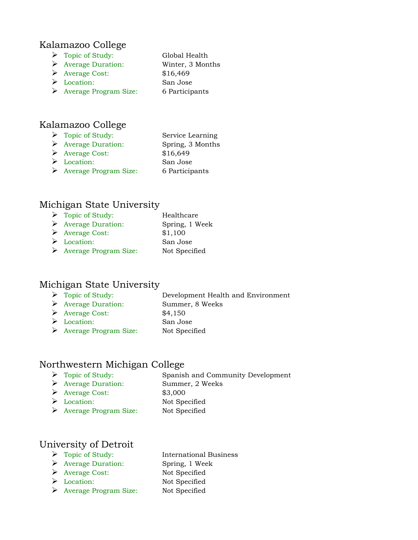#### Kalamazoo College

- > Topic of Study: Global Health
- Average Duration: Winter, 3 Months
- Average Cost: \$16,469
- Location: San Jose
- Average Program Size: 6 Participants

# Kalamazoo College

| $\triangleright$ Topic of Study:   | Service Learning |
|------------------------------------|------------------|
| $\triangleright$ Average Duration: | Spring, 3 Months |
| $\triangleright$ Average Cost:     | \$16,649         |
| $\triangleright$ Location:         | San Jose         |

Average Program Size: 6 Participants

#### Michigan State University

| $\triangleright$ Topic of Study:       | Healthcare     |
|----------------------------------------|----------------|
| $\triangleright$ Average Duration:     | Spring, 1 Week |
| $\triangleright$ Average Cost:         | \$1,100        |
| $\triangleright$ Location:             | San Jose       |
| $\triangleright$ Average Program Size: | Not Specified  |

# Michigan State University

- Topic of Study: Development Health and Environment
- Average Duration: Summer, 8 Weeks
- Average Cost: \$4,150
- Location: San Jose
- Average Program Size: Not Specified

# Northwestern Michigan College

- Topic of Study: Spanish and Community Development
- Average Duration: Summer, 2 Weeks
- Average Cost: \$3,000
- 
- Location: Not Specified
- Average Program Size: Not Specified

# University of Detroit

- 
- Average Duration: Spring, 1 Week
- Average Cost: Not Specified
- 
- Average Program Size: Not Specified
- > Topic of Study: International Business Location: Not Specified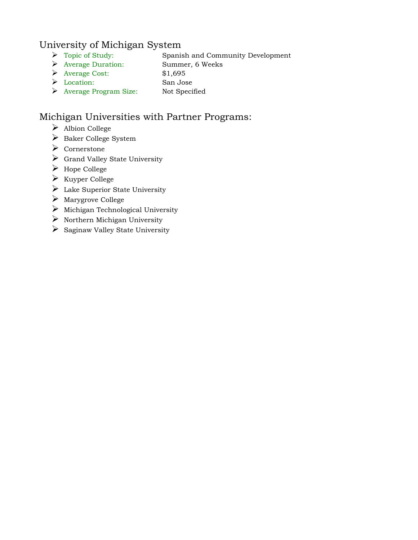#### University of Michigan System

- Topic of Study: Spanish and Community Development
- Average Duration: Summer, 6 Weeks
- Average Cost: \$1,695
- Location: San Jose
- Average Program Size: Not Specified

# Michigan Universities with Partner Programs:

- Albion College
- $\triangleright$  Baker College System
- Cornerstone
- Grand Valley State University
- Hope College
- $\triangleright$  Kuyper College
- $\triangleright$  Lake Superior State University
- Marygrove College
- $\triangleright$  Michigan Technological University
- $\triangleright$  Northern Michigan University
- $\triangleright$  Saginaw Valley State University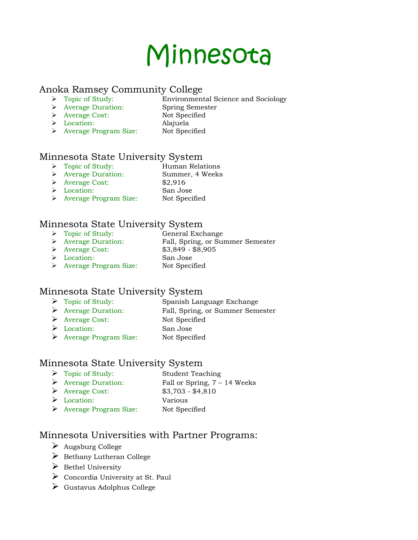# Minnesota

#### Anoka Ramsey Community College

- > Topic of Study: Environmental Science and Sociology
- Average Duration: Spring Semester
	-
- > Average Cost: Not Specified Location: Alajuela
- > Average Program Size: Not Specified

# Minnesota State University System

- > Topic of Study: Human Relations
- Average Duration: Summer, 4 Weeks
- Average Cost: \$2,916
- Location: San Jose
	-
- > Average Program Size: Not Specified

# Minnesota State University System

- 
- → Topic of Study:<br>
→ Average Duration: Fall, Spring, or Su Fall, Spring, or Summer Semester
- Average Cost: \$3,849 \$8,905
- Location: San Jose
- > Average Program Size: Not Specified

# Minnesota State University System

- > Topic of Study: Spanish Language Exchange
- Average Duration: Fall, Spring, or Summer Semester
- Average Cost: Not Specified
- Location: San Jose
- Average Program Size: Not Specified

# Minnesota State University System

- > Topic of Study: Student Teaching
- Average Duration: Fall or Spring, 7 14 Weeks
- Average Cost: \$3,703 \$4,810
- Location: Various
- Average Program Size: Not Specified

# Minnesota Universities with Partner Programs:

- $\blacktriangleright$  Augsburg College
- $\triangleright$  Bethany Lutheran College
- $\triangleright$  Bethel University
- $\triangleright$  Concordia University at St. Paul
- Gustavus Adolphus College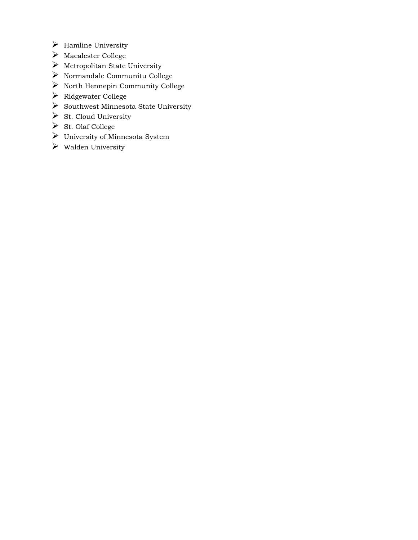- $\triangleright$  Hamline University
- Macalester College
- $\triangleright$  Metropolitan State University
- $\blacktriangleright$  Normandale Communitu College
- $\triangleright$  North Hennepin Community College
- Ridgewater College
- $\triangleright$  Southwest Minnesota State University
- $\triangleright$  St. Cloud University
- St. Olaf College
- $\triangleright$  University of Minnesota System
- $\triangleright$  Walden University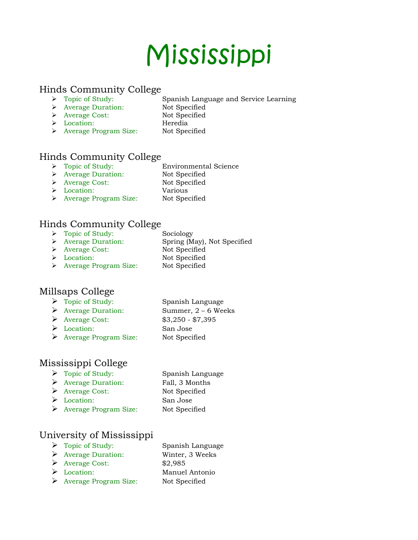# Mississippi

#### Hinds Community College

- Topic of Study: Spanish Language and Service Learning
	- Average Duration: Not Specified
	- Average Cost: Not Specified
	- Location: Heredia
		-
- > Average Program Size: Not Specified

# Hinds Community College

- > Topic of Study: Environmental Science
- > Average Duration: Not Specified
- > Average Cost: Not Specified
- 
- Location: Various
- > Average Program Size: Not Specified

# Hinds Community College

- → Topic of Study:<br>
→ Average Duration: Spring (M Spring (May), Not Specified > Average Cost: Not Specified
- 
- > Location: Not Specified > Average Program Size: Not Specified

# Millsaps College

- Topic of Study: Spanish Language
- Average Duration: Summer, 2 6 Weeks
- Average Cost: \$3,250 \$7,395
- Location: San Jose
- Average Program Size: Not Specified

# Mississippi College

> Topic of Study: Spanish Language Average Duration: Fall, 3 Months Average Cost: Not Specified Location: San Jose Average Program Size: Not Specified

# University of Mississippi

- > Topic of Study: Spanish Language
- Average Duration: Winter, 3 Weeks
- Average Cost: \$2,985
- 
- Average Program Size: Not Specified
- Location: Manuel Antonio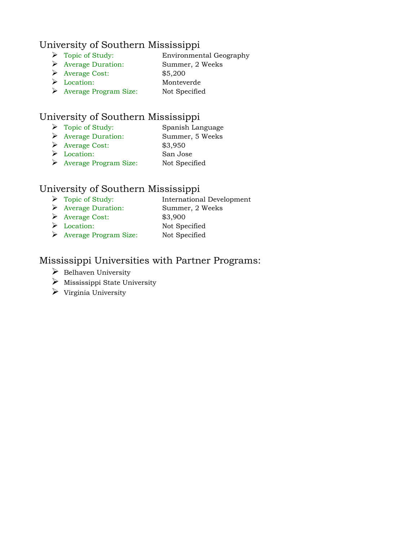# University of Southern Mississippi

- Topic of Study: Environmental Geography
- Average Duration: Summer, 2 Weeks
- Average Cost: \$5,200
- Location: Monteverde
- Average Program Size: Not Specified

# University of Southern Mississippi

- > Topic of Study: Spanish Language
- Average Duration: Summer, 5 Weeks
- Average Cost: \$3,950
- Location: San Jose
- Average Program Size: Not Specified

# University of Southern Mississippi

- Topic of Study: International Development Average Duration: Summer, 2 Weeks
- Average Cost: \$3,900
- Location: Not Specified
- Average Program Size: Not Specified

# Mississippi Universities with Partner Programs:

- $\triangleright$  Belhaven University
- $\triangleright$  Mississippi State University
- $\triangleright$  Virginia University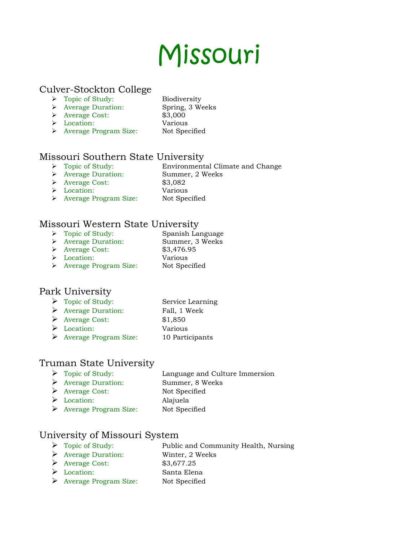# Missouri

#### Culver-Stockton College

- Topic of Study: Biodiversity
	-
- Average Duration: Spring, 3 Weeks Average Cost: \$3,000
	-
- Location: Various
- 
- > Average Program Size: Not Specified
- 

# Missouri Southern State University

- > Topic of Study: Environmental Climate and Change
- Average Duration: Summer, 2 Weeks
- Average Cost: \$3,082
	-
- Location: Various > Average Program Size: Not Specified

# Missouri Western State University

- > Topic of Study: Spanish Language
- Average Duration: Summer, 3 Weeks
- Average Cost: \$3,476.95
- Location: Various
- 
- > Average Program Size: Not Specified

# Park University

- > Topic of Study: Service Learning
- Average Duration: Fall, 1 Week
- Average Cost: \$1,850
- Location: Various
- Average Program Size: 10 Participants

# Truman State University

- Topic of Study: Language and Culture Immersion
- Average Duration: Summer, 8 Weeks
- Average Cost: Not Specified
- Location: Alajuela
- Average Program Size: Not Specified

# University of Missouri System

- > Topic of Study: Public and Community Health, Nursing
- Average Duration: Winter, 2 Weeks
- Average Cost: \$3,677.25
- Location: Santa Elena
- Average Program Size: Not Specified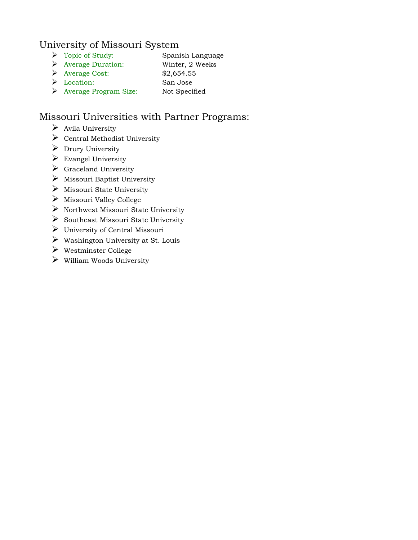#### University of Missouri System

- > Topic of Study: Spanish Language
- Average Duration: Winter, 2 Weeks
- $\blacktriangleright$  Average Cost: \$2,654.55
- Location: San Jose
- Average Program Size: Not Specified

# Missouri Universities with Partner Programs:

- $\triangleright$  Avila University
- $\triangleright$  Central Methodist University
- $\triangleright$  Drury University
- $\triangleright$  Evangel University
- $\triangleright$  Graceland University
- $\triangleright$  Missouri Baptist University
- $\triangleright$  Missouri State University
- $\triangleright$  Missouri Valley College
- $\triangleright$  Northwest Missouri State University
- $\triangleright$  Southeast Missouri State University
- $\triangleright$  University of Central Missouri
- $\triangleright$  Washington University at St. Louis
- Westminster College
- $\triangleright$  William Woods University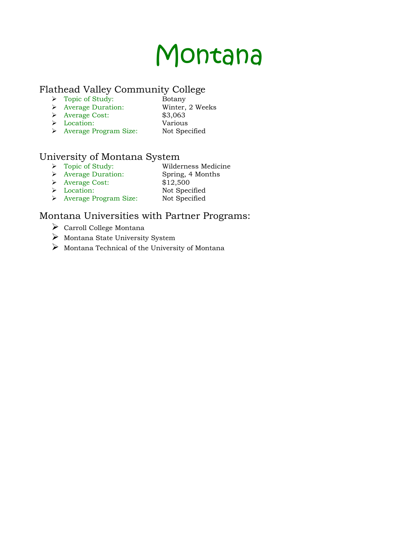# Montana

#### Flathead Valley Community College

- $\triangleright$  Topic of Study: Botany
- Average Duration: Winter, 2 Weeks
- Average Cost: \$3,063
- Location: Various
- 
- Average Program Size: Not Specified

# University of Montana System

- Topic of Study: Wilderness Medicine
- Average Duration: Spring, 4 Months
- Average Cost: \$12,500
- Location: Not Specified
- 
- > Average Program Size: Not Specified

# Montana Universities with Partner Programs:

- $\blacktriangleright$  Carroll College Montana
- $\triangleright$  Montana State University System
- $\triangleright$  Montana Technical of the University of Montana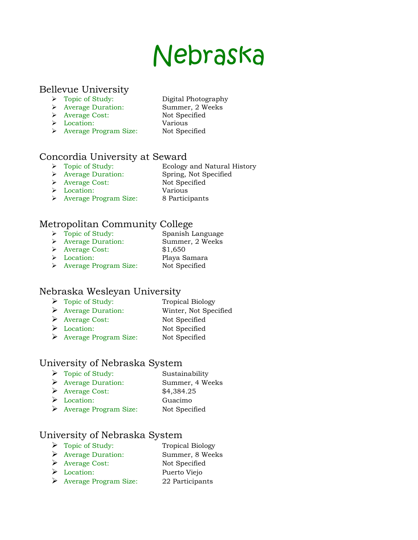# Nebraska

#### Bellevue University

- > Topic of Study: Digital Photography
- Average Duration: Summer, 2 Weeks
- 
- Average Cost: Not Specified
- Location: Various
- 
- > Average Program Size: Not Specified

# Concordia University at Seward<br>  $\rightarrow$  Topic of Study: Ecology

- Ecology and Natural History
- > Average Duration: Spring, Not Specified
- > Average Cost: Not Specified
	-
- Location: Various > Average Program Size: 8 Participants

# Metropolitan Community College

- > Topic of Study: Spanish Language
- Average Duration: Summer, 2 Weeks
- Average Cost: \$1,650
- Location: Playa Samara > Average Program Size: Not Specified

# Nebraska Wesleyan University

- Topic of Study: Tropical Biology
- Average Duration: Winter, Not Specified
- Average Cost: Not Specified
- Location: Not Specified
- Average Program Size: Not Specified

# University of Nebraska System

- Topic of Study: Sustainability
- Average Duration: Summer, 4 Weeks
- Average Cost: \$4,384.25 Location: Guacimo
- Average Program Size: Not Specified

# University of Nebraska System

- Topic of Study: Tropical Biology
- Average Duration: Summer, 8 Weeks
- Average Cost: Not Specified
- Location: Puerto Viejo
- Average Program Size: 22 Participants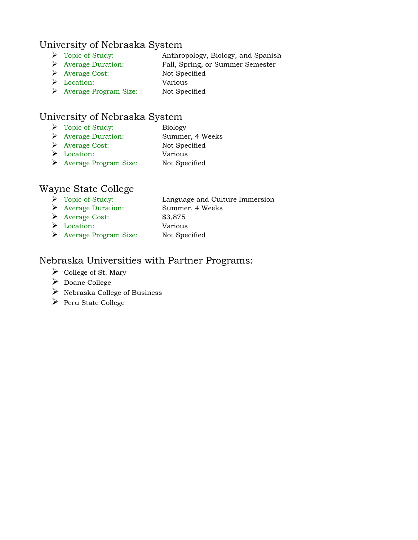#### University of Nebraska System

- Topic of Study: Anthropology, Biology, and Spanish
- Average Duration: Fall, Spring, or Summer Semester
- Average Cost: Not Specified
- Location: Various
- Average Program Size: Not Specified

# University of Nebraska System

- Topic of Study: Biology
- Average Duration: Summer, 4 Weeks
- Average Cost: Not Specified
- Location: Various
- Average Program Size: Not Specified

# Wayne State College

- Topic of Study: Language and Culture Immersion Average Duration: Summer, 4 Weeks Average Cost: \$3,875
- Location: Various
- Average Program Size: Not Specified

#### Nebraska Universities with Partner Programs:

- $\triangleright$  College of St. Mary
- Doane College
- $\triangleright$  Nebraska College of Business
- $\triangleright$  Peru State College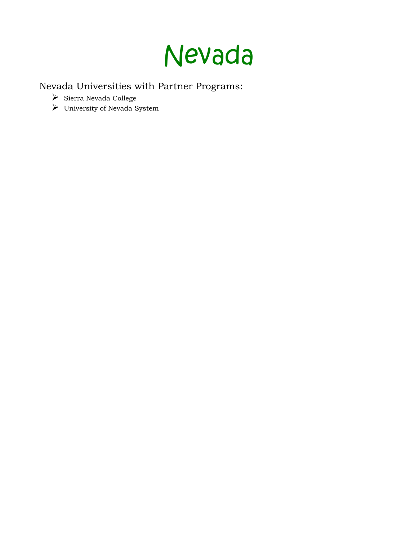

Nevada Universities with Partner Programs:

- $\blacktriangleright~$  Sierra Nevada College
- University of Nevada System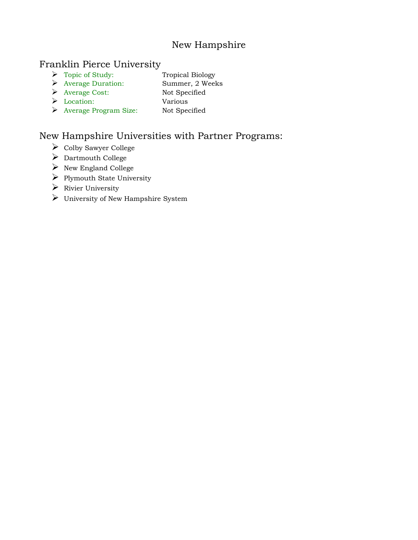# New Hampshire

#### Franklin Pierce University

- > Topic of Study: Tropical Biology
- Average Duration: Summer, 2 Weeks
- Average Cost: Not Specified
- Location: Various Average Program Size: Not Specified
	-

# New Hampshire Universities with Partner Programs:

- $\triangleright$  Colby Sawyer College
- ▶ Dartmouth College
- $\triangleright$  New England College
- $\triangleright$  Plymouth State University
- $\triangleright$  Rivier University
- University of New Hampshire System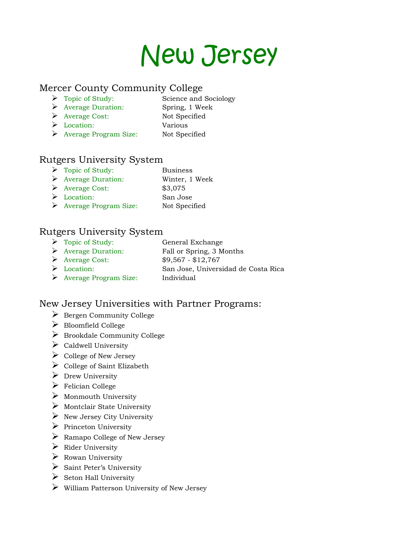

#### Mercer County Community College

- Topic of Study: Science and Sociology
- Average Duration: Spring, 1 Week
- Average Cost: Not Specified
- Location: Various
- Average Program Size: Not Specified

#### Rutgers University System

- > Topic of Study: Business
- Average Duration: Winter, 1 Week
- Average Cost: \$3,075
- Location: San Jose
- Average Program Size: Not Specified

# Rutgers University System

- Topic of Study: General Exchange Average Duration: Fall or Spring, 3 Months Average Cost: \$9,567 - \$12,767 Location: San Jose, Universidad de Costa Rica
- Average Program Size: Individual

# New Jersey Universities with Partner Programs:

- $\triangleright$  Bergen Community College
- Bloomfield College
- $\triangleright$  Brookdale Community College
- $\triangleright$  Caldwell University
- $\triangleright$  College of New Jersey
- $\triangleright$  College of Saint Elizabeth
- $\triangleright$  Drew University
- $\blacktriangleright$  Felician College
- $\triangleright$  Monmouth University
- $\triangleright$  Montclair State University
- $\triangleright$  New Jersey City University
- $\triangleright$  Princeton University
- Ramapo College of New Jersey
- $\triangleright$  Rider University
- $\triangleright$  Rowan University
- $\triangleright$  Saint Peter's University
- $\triangleright$  Seton Hall University
- $\triangleright$  William Patterson University of New Jersey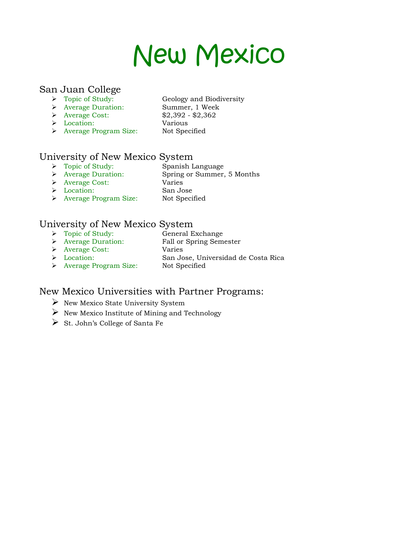# New Mexico

# San Juan College

- Geology and Biodiversity
- Average Duration: Summer, 1 Week
- - -
- Average Cost: \$2,392 \$2,362
- Location: Various Average Program Size: Not Specified
- 
- 

# University of New Mexico System<br>  $\triangleright$  Topic of Study: Spanish Language

- > Topic of Study:<br>> Average Duration:
- 
- Spring or Summer, 5 Months
- Average Cost: Varies
- Location: San Jose
	-
- > Average Program Size: Not Specified

# University of New Mexico System

- > Topic of Study: General Exchange
	-
- Average Duration: Fall or Spring Semester Average Cost: Varies
- Location: San Jose, Universidad de Costa Rica
- > Average Program Size: Not Specified
- 

# New Mexico Universities with Partner Programs:

- $\triangleright$  New Mexico State University System
- $\triangleright$  New Mexico Institute of Mining and Technology
- $\triangleright$  St. John's College of Santa Fe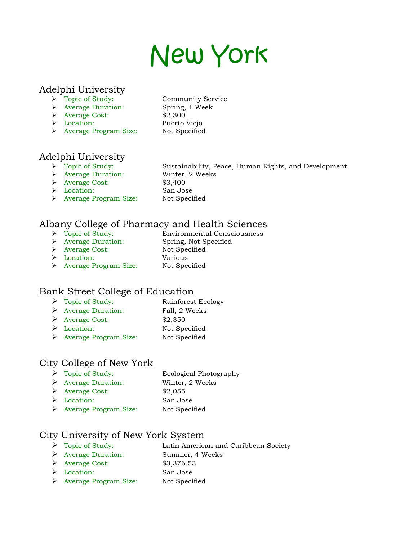# New York

#### Adelphi University

- Topic of Study: Community Service
- Average Duration: Spring, 1 Week
- $\blacktriangleright$  Average Cost:  $$2,300$
- 
- > Average Program Size: Not Specified
- Location: Puerto Viejo

# Adelphi University

- → Topic of Study: Sustainability, P<br>
→ Average Duration: Winter, 2 Weeks
- 
- Average Cost: \$3,400
- Location: San Jose
- 

Sustainability, Peace, Human Rights, and Development

- 
- 
- > Average Program Size: Not Specified

# Albany College of Pharmacy and Health Sciences

- Environmental Consciousness → Topic of Study:<br>
→ Average Duration: Spring, Not Specified
- 
- > Average Cost: Not Specified
- Location: Various
- 
- Average Program Size: Not Specified

# Bank Street College of Education

- Topic of Study: Rainforest Ecology
- Average Duration: Fall, 2 Weeks
- $\blacktriangleright$  Average Cost: \$2,350
- Location: Not Specified
- Average Program Size: Not Specified

#### City College of New York

> Topic of Study: Ecological Photography Average Duration: Winter, 2 Weeks Average Cost: \$2,055 Location: San Jose Average Program Size: Not Specified

# City University of New York System

- Topic of Study: Latin American and Caribbean Society
- Average Duration: Summer, 4 Weeks
- Average Cost: \$3,376.53
- Location: San Jose
- Average Program Size: Not Specified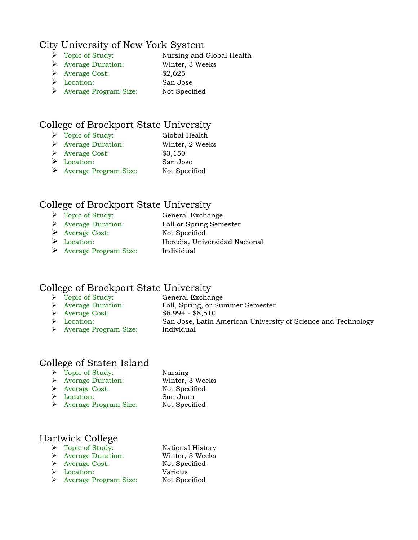#### City University of New York System

- > Topic of Study: Nursing and Global Health
- Average Duration: Winter, 3 Weeks
- Average Cost: \$2,625
- Location: San Jose
- Average Program Size: Not Specified

# College of Brockport State University

- Topic of Study: Global Health
	-
- Average Duration: Winter, 2 Weeks
- Average Cost: \$3,150
- Location: San Jose
- Average Program Size: Not Specified

# College of Brockport State University

- > Topic of Study: General Exchange
- Average Duration: Fall or Spring Semester
- Average Cost: Not Specified
- Location: Heredia, Universidad Nacional
- Average Program Size: Individual

# College of Brockport State University

- > Topic of Study: General Exchange
- 
- Fall, Spring, or Summer Semester Average Duration: Fall, Spring, or State Point (Spring)<br>
Average Cost: \$6,994 - \$8,510
	-
- Location: San Jose, Latin American University of Science and Technology
- > Average Program Size: Individual

# College of Staten Island

- > Topic of Study: Nursing
- Average Duration: Winter, 3 Weeks
- Average Cost: Not Specified
- Location: San Juan
- > Average Program Size: Not Specified
- 

#### Hartwick College

- ▶ Topic of Study: National History
- Average Duration: Winter, 3 Weeks
- > Average Cost: Not Specified
- Location: Various
- > Average Program Size: Not Specified
-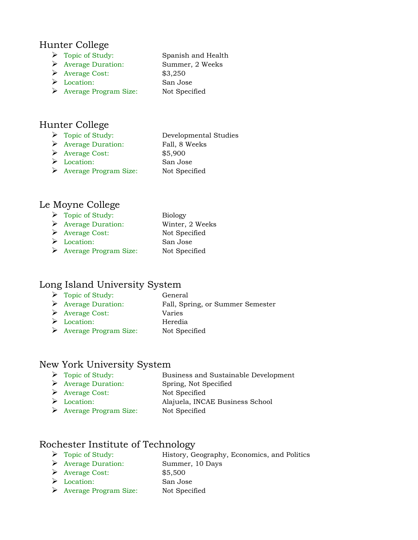#### Hunter College

- > Topic of Study: Spanish and Health
- Average Duration: Summer, 2 Weeks
- $\triangleright$  Average Cost: \$3,250
- 
- Location: San Jose Average Program Size: Not Specified

# Hunter College

- > Topic of Study: Developmental Studies ▶ Average Duration: Fall, 8 Weeks
- Average Cost: \$5,900
- Location: San Jose
- Average Program Size: Not Specified

#### Le Moyne College

- > Topic of Study: Biology Average Duration: Winter, 2 Weeks Average Cost: Not Specified Location: San Jose
- Average Program Size: Not Specified

# Long Island University System

- Topic of Study: General
- Average Duration: Fall, Spring, or Summer Semester
- Average Cost: Varies
- Location: Heredia
- Average Program Size: Not Specified

#### New York University System

- Topic of Study: Business and Sustainable Development
- Average Duration: Spring, Not Specified
- Average Cost: Not Specified
- Location: Alajuela, INCAE Business School
- Average Program Size: Not Specified

# Rochester Institute of Technology

- Topic of Study: History, Geography, Economics, and Politics
- Average Duration: Summer, 10 Days
- Average Cost: \$5,500
- Location: San Jose
- Average Program Size: Not Specified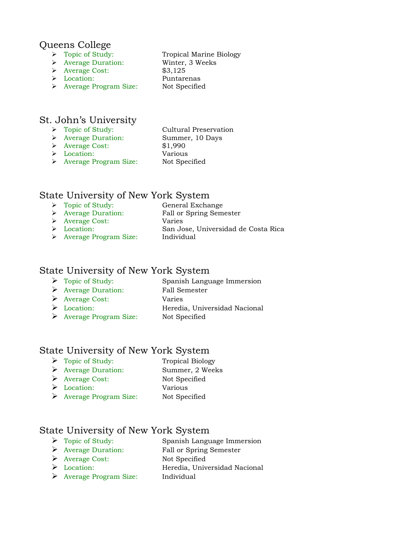#### Queens College

- > Topic of Study: Tropical Marine Biology
- Average Duration: Winter, 3 Weeks
- Average Cost: \$3,125
- 
- Location: Puntarenas > Average Program Size: Not Specified

#### St. John's University

- > Topic of Study: Cultural Preservation Average Duration: Summer, 10 Days Average Cost: \$1,990 Location: Various
	- Average Program Size: Not Specified

#### State University of New York System

- 
- > Topic of Study: General Exchange
- Average Duration: Fall or Spring Semester
- Average Cost: Varies
- 
- Location: San Jose, Universidad de Costa Rica
- Average Program Size: Individual

#### State University of New York System

- > Topic of Study: Spanish Language Immersion
- Average Duration: Fall Semester
- Average Cost: Varies
- 
- Location: Heredia, Universidad Nacional
- Average Program Size: Not Specified

#### State University of New York System

- Topic of Study: Tropical Biology
	-
- Average Duration: Summer, 2 Weeks
- Average Cost: Not Specified
- Location: Various
- Average Program Size: Not Specified

# State University of New York System

- > Topic of Study: Spanish Language Immersion
- Average Duration: Fall or Spring Semester
- Average Cost: Not Specified
- 
- Location: Heredia, Universidad Nacional
- Average Program Size: Individual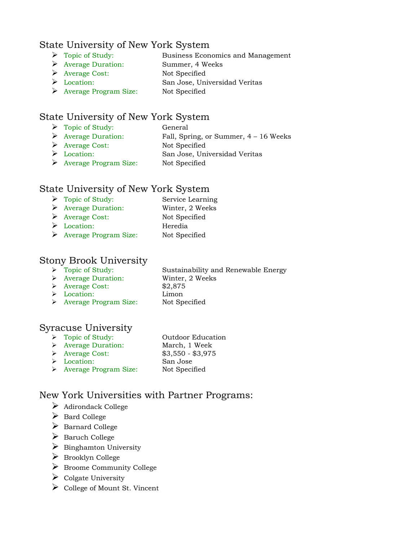#### State University of New York System

- Topic of Study: Business Economics and Management
- Average Duration: Summer, 4 Weeks
	- Average Cost: Not Specified
	- Location: San Jose, Universidad Veritas
	- Average Program Size: Not Specified

### State University of New York System

- > Topic of Study: General
- Average Duration: Fall, Spring, or Summer, 4 16 Weeks
- Average Cost: Not Specified
- Location: San Jose, Universidad Veritas
- Average Program Size: Not Specified

#### State University of New York System

- Topic of Study: Service Learning
- Average Duration: Winter, 2 Weeks
- Average Cost: Not Specified Location: Heredia
- Average Program Size: Not Specified

#### Stony Brook University

- 
- Average Duration: Winter, 2 Weeks

> Topic of Study: Sustainability and Renewable Energy

- Average Cost: \$2,875
- Location: Limon
- Average Program Size: Not Specified

#### Syracuse University

- > Topic of Study: Outdoor Education
- Average Duration: March, 1 Week
- Average Cost: \$3,550 \$3,975
- Location: San Jose
- 
- Average Program Size: Not Specified

# New York Universities with Partner Programs:

- $\triangleright$  Adirondack College
- Bard College
- $\triangleright$  Barnard College
- $\triangleright$  Baruch College
- $\triangleright$  Binghamton University
- Brooklyn College
- $\triangleright$  Broome Community College
- $\triangleright$  Colgate University
- $\triangleright$  College of Mount St. Vincent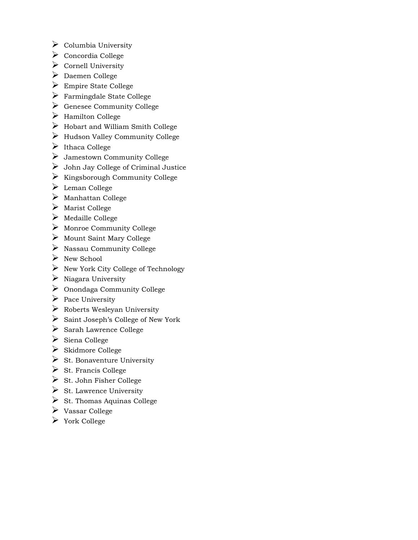- $\triangleright$  Columbia University
- $\triangleright$  Concordia College
- $\triangleright$  Cornell University
- Daemen College
- $\triangleright$  Empire State College
- Farmingdale State College
- $\triangleright$  Genesee Community College
- $\triangleright$  Hamilton College
- $\triangleright$  Hobart and William Smith College
- $\blacktriangleright$  Hudson Valley Community College
- $\blacktriangleright$  Ithaca College
- Jamestown Community College
- $\triangleright$  John Jay College of Criminal Justice
- $\triangleright$  Kingsborough Community College
- Leman College
- $\triangleright$  Manhattan College
- $\triangleright$  Marist College
- $\triangleright$  Medaille College
- $\triangleright$  Monroe Community College
- $\triangleright$  Mount Saint Mary College
- $\triangleright$  Nassau Community College
- $\triangleright$  New School
- $\triangleright$  New York City College of Technology
- $\triangleright$  Niagara University
- Onondaga Community College
- $\triangleright$  Pace University
- $\triangleright$  Roberts Wesleyan University
- $\triangleright$  Saint Joseph's College of New York
- $\triangleright$  Sarah Lawrence College
- $\triangleright$  Siena College
- $\triangleright$  Skidmore College
- $\triangleright$  St. Bonaventure University
- $\triangleright$  St. Francis College
- $\triangleright$  St. John Fisher College
- $\triangleright$  St. Lawrence University
- $\triangleright$  St. Thomas Aquinas College
- Vassar College
- York College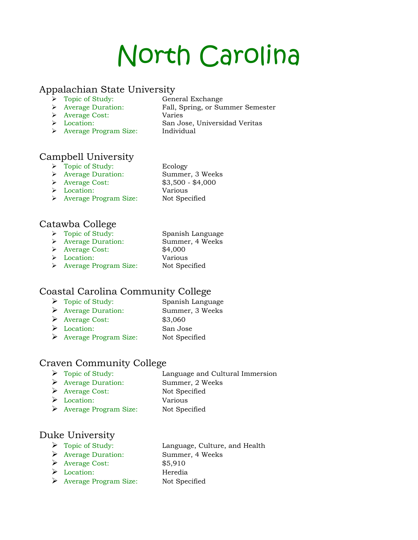# North Carolina

#### Appalachian State University

- 
- 
- → Topic of Study: General Exchange<br>
→ Average Duration: Fall, Spring, or Su Fall, Spring, or Summer Semester
- Average Cost: Varies
- 
- > Average Program Size: Individual
- Location: San Jose, Universidad Veritas

# Campbell University

- > Topic of Study: Ecology
- Average Duration: Summer, 3 Weeks
- Average Cost: \$3,500 \$4,000
	-
- Location: Various > Average Program Size: Not Specified

#### Catawba College

- > Topic of Study: Spanish Language
- Average Duration: Summer, 4 Weeks
- Average Cost: \$4,000
- Location: Various
- > Average Program Size: Not Specified
- Coastal Carolina Community College
	- Topic of Study: Spanish Language Average Duration: Summer, 3 Weeks Average Cost: \$3,060 Location: San Jose
	- Average Program Size: Not Specified

# Craven Community College

- Topic of Study: Language and Cultural Immersion
- Average Duration: Summer, 2 Weeks
- Average Cost: Not Specified
- Location: Various
- Average Program Size: Not Specified

# Duke University

- Topic of Study: Language, Culture, and Health
	- Average Duration: Summer, 4 Weeks
	- Average Cost: \$5,910
- Location: Heredia
- Average Program Size: Not Specified
-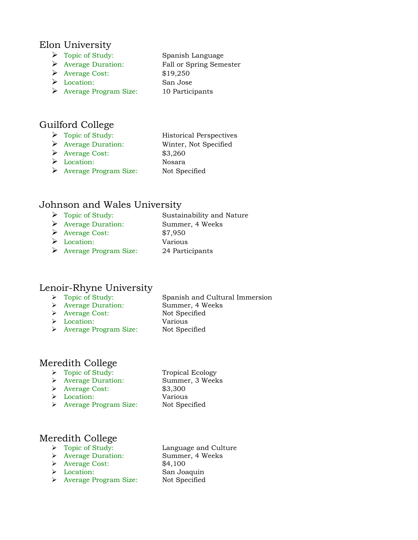#### Elon University

- > Topic of Study: Spanish Language
- Average Duration: Fall or Spring Semester
- $\triangleright$  Average Cost: \$19,250
- 
- Location: San Jose Average Program Size: 10 Participants

# Guilford College

- > Topic of Study: Historical Perspectives Average Duration: Winter, Not Specified  $\blacktriangleright$  Average Cost: \$3,260
- Location: Nosara
- Average Program Size: Not Specified

# Johnson and Wales University

- > Topic of Study: Sustainability and Nature Average Duration: Summer, 4 Weeks Average Cost: \$7,950 Location: Various
- Average Program Size: 24 Participants

# Lenoir-Rhyne University

- > Topic of Study: Spanish and Cultural Immersion
	-
- Average Duration: Summer, 4 Weeks
- 
- Average Cost: Not Specified Location: Various
- > Average Program Size: Not Specified

# Meredith College

- > Topic of Study: Tropical Ecology
- Average Duration: Summer, 3 Weeks
- Average Cost: \$3,300
- Location: Various
- > Average Program Size: Not Specified
- 

# Meredith College<br> $\rightarrow$  Topic of Study:

- 
- Average Duration: Summer, 4 Weeks
- Average Cost: \$4,100
- Location: San Joaquin
- Average Program Size: Not Specified

Language and Culture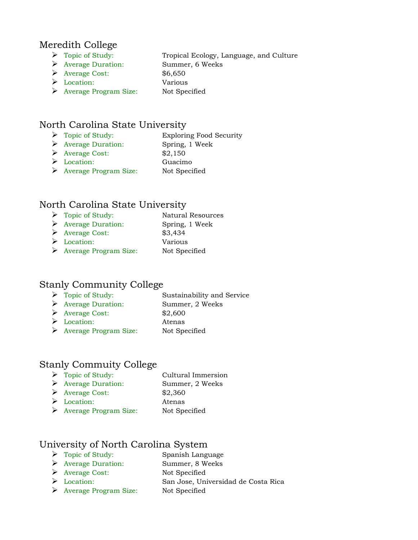#### Meredith College

- > Topic of Study: Tropical Ecology, Language, and Culture
- Average Duration: Summer, 6 Weeks
- Average Cost: \$6,650
- Location: Various
- Average Program Size: Not Specified

# North Carolina State University

- > Topic of Study: Exploring Food Security
- Average Duration: Spring, 1 Week
- $\triangleright$  Average Cost:  $$2,150$
- Location: Guacimo
- Average Program Size: Not Specified

#### North Carolina State University

- Topic of Study: Natural Resources Average Duration: Spring, 1 Week Average Cost: \$3,434
- Location: Various
- Average Program Size: Not Specified

#### Stanly Community College

- > Topic of Study: Sustainability and Service
- Average Duration: Summer, 2 Weeks
- Average Cost: \$2,600
- Location: Atenas
- Average Program Size: Not Specified

#### Stanly Commuity College

- > Topic of Study: Cultural Immersion Average Duration: Summer, 2 Weeks
- $\triangleright$  Average Cost:  $$2,360$
- Location: Atenas
- Average Program Size: Not Specified

# University of North Carolina System

- Topic of Study: Spanish Language
- Average Duration: Summer, 8 Weeks
- Average Cost: Not Specified
- Location: San Jose, Universidad de Costa Rica
- Average Program Size: Not Specified
-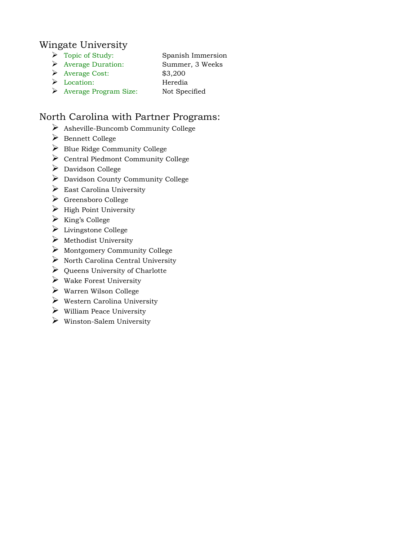#### Wingate University

- > Topic of Study: Spanish Immersion
- Average Duration: Summer, 3 Weeks
- $\triangleright$  Average Cost: \$3,200
- Location: Heredia
- Average Program Size: Not Specified

# North Carolina with Partner Programs:

- Asheville-Buncomb Community College
- Bennett College
- $\triangleright$  Blue Ridge Community College
- Central Piedmont Community College
- ▶ Davidson College
- $\triangleright$  Davidson County Community College
- $\triangleright$  East Carolina University
- Greensboro College
- $\triangleright$  High Point University
- $\triangleright$  King's College
- Livingstone College
- $\triangleright$  Methodist University
- $\triangleright$  Montgomery Community College
- $\triangleright$  North Carolina Central University
- $\triangleright$  Queens University of Charlotte
- $\triangleright$  Wake Forest University
- $\triangleright$  Warren Wilson College
- $\triangleright$  Western Carolina University
- $\triangleright$  William Peace University
- $\triangleright$  Winston-Salem University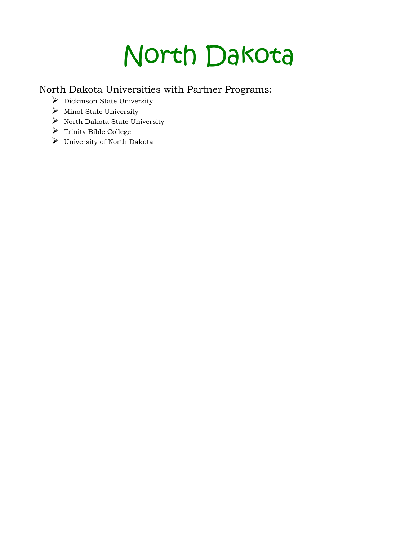# North Dakota

North Dakota Universities with Partner Programs:

- $\triangleright$  Dickinson State University
- $\triangleright$  Minot State University
- $\triangleright$  North Dakota State University
- $\triangleright$  Trinity Bible College
- University of North Dakota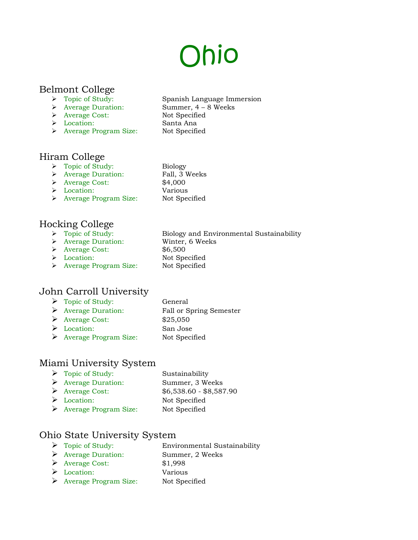# Ohio

# Belmont College

- 
- 
- > Average Cost: Not Specified
- Location: Santa Ana
- > Average Program Size: Not Specified

#### Hiram College

- > Topic of Study: Biology
- Average Duration: Fall, 3 Weeks
- Average Cost: \$4,000
- Location: Various
- > Average Program Size: Not Specified

#### Hocking College

- 
- 
- Average Cost: \$6,500
- 
- > Average Program Size: Not Specified

#### John Carroll University

> Topic of Study: General Average Duration: Fall or Spring Semester  $\triangleright$  Average Cost: \$25,050 Location: San Jose Average Program Size: Not Specified

#### Miami University System

> Topic of Study: Sustainability Average Duration: Summer, 3 Weeks Average Cost: \$6,538.60 - \$8,587.90 Location: Not Specified Average Program Size: Not Specified

#### Ohio State University System

- > Topic of Study: Environmental Sustainability Average Duration: Summer, 2 Weeks
- Average Cost: \$1,998
- Location: Various
- Average Program Size: Not Specified
- Spanish Language Immersion Average Duration: Summer, 4 – 8 Weeks
	-
	-
	-
	- -
	-
	-
- Biology and Environmental Sustainability
- → Topic of Study: Biology and Envi<br>→ Average Duration: Winter, 6 Weeks
	-
- > Location: Not Specified
	-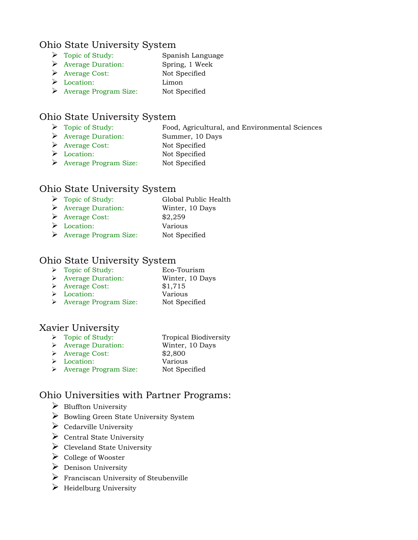#### Ohio State University System

- > Topic of Study: Spanish Language
- Average Duration: Spring, 1 Week
- Average Cost: Not Specified
- Location: Limon
- Average Program Size: Not Specified

# Ohio State University System

- Topic of Study: Food, Agricultural, and Environmental Sciences
- Average Duration: Summer, 10 Days
- Average Cost: Not Specified
- Location: Not Specified
- Average Program Size: Not Specified

# Ohio State University System

- > Topic of Study: Global Public Health Average Duration: Winter, 10 Days  $\triangleright$  Average Cost:  $$2,259$ Location: Various
- Average Program Size: Not Specified

#### Ohio State University System

- Topic of Study: Eco-Tourism Average Duration: Winter, 10 Days Average Cost: \$1,715 Location: Various
- > Average Program Size: Not Specified

# Xavier University<br> $\rightarrow$  Topic of Study:

- Tropical Biodiversity Average Duration: Winter, 10 Days Average Cost: \$2,800 Location: Various
- > Average Program Size: Not Specified

# Ohio Universities with Partner Programs:

- $\triangleright$  Bluffton University
- ▶ Bowling Green State University System
- $\triangleright$  Cedarville University
- $\triangleright$  Central State University
- $\triangleright$  Cleveland State University
- $\triangleright$  College of Wooster
- $\triangleright$  Denison University
- $\triangleright$  Franciscan University of Steubenville
- $\triangleright$  Heidelburg University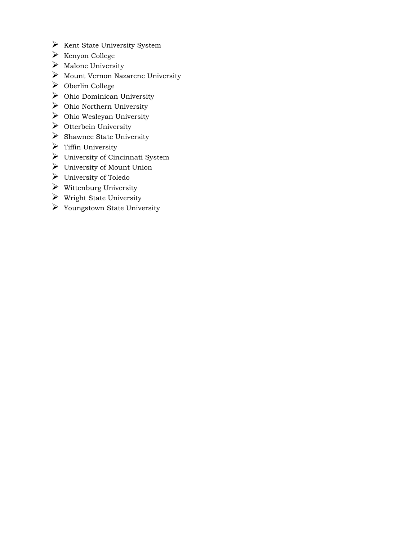- $\triangleright$  Kent State University System
- $\triangleright$  Kenyon College
- $\triangleright$  Malone University
- $\triangleright$  Mount Vernon Nazarene University
- Oberlin College
- Ohio Dominican University
- $\triangleright$  Ohio Northern University
- $\triangleright$  Ohio Wesleyan University
- $\triangleright$  Otterbein University
- $\triangleright$  Shawnee State University
- $\triangleright$  Tiffin University
- University of Cincinnati System
- University of Mount Union
- University of Toledo
- $\triangleright$  Wittenburg University
- $\triangleright$  Wright State University
- Youngstown State University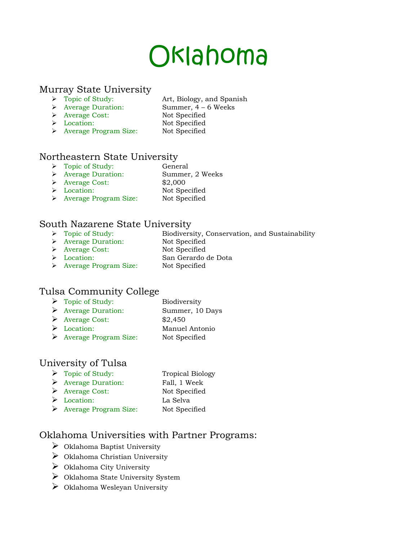# Oklahoma

# Murray State University<br> $\rightarrow$  Topic of Study:

- Art, Biology, and Spanish
- Average Duration: Summer, 4 6 Weeks
- Average Cost: Not Specified
- Location: Not Specified
- > Average Program Size: Not Specified

#### Northeastern State University

- > Topic of Study: General
- Average Duration: Summer, 2 Weeks
- Average Cost: \$2,000
- Location: Not Specified
	-
- > Average Program Size: Not Specified

# South Nazarene State University

- Biodiversity, Conservation, and Sustainability → Topic of Study: Biodiversity, <br>
→ Average Duration: Not Specified
- 
- Average Cost: Not Specified
- Location: San Gerardo de Dota
- > Average Program Size: Not Specified

# Tulsa Community College

- $\triangleright$  Topic of Study: Biodiversity Average Duration: Summer, 10 Days
- $\triangleright$  Average Cost: \$2,450
- Location: Manuel Antonio
- Average Program Size: Not Specified

# University of Tulsa

> Topic of Study: Tropical Biology > Average Duration: Fall, 1 Week Average Cost: Not Specified Location: La Selva Average Program Size: Not Specified

# Oklahoma Universities with Partner Programs:

- $\triangleright$  Oklahoma Baptist University
- $\triangleright$  Oklahoma Christian University
- $\triangleright$  Oklahoma City University
- Oklahoma State University System
- Oklahoma Wesleyan University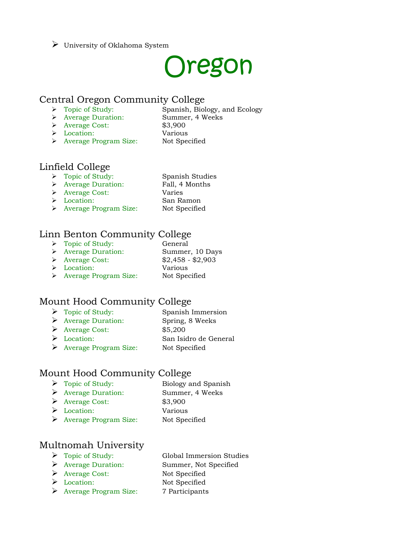#### $\triangleright$  University of Oklahoma System

# Oregon

#### Central Oregon Community College

- > Topic of Study: Spanish, Biology, and Ecology
- Average Duration: Summer, 4 Weeks
- 
- Average Cost: \$3,900
- Location: Various
- 
- > Average Program Size: Not Specified

#### Linfield College

- Topic of Study: Spanish Studies
- Average Duration: Fall, 4 Months
- Average Cost: Varies
- Location: San Ramon
- 
- Average Program Size: Not Specified

# Linn Benton Community College

> Topic of Study: General Average Duration: Summer, 10 Days Average Cost: \$2,458 - \$2,903 Location: Various > Average Program Size: Not Specified

# Mount Hood Community College

> Topic of Study: Spanish Immersion Average Duration: Spring, 8 Weeks Average Cost: \$5,200 Location: San Isidro de General Average Program Size: Not Specified

#### Mount Hood Community College

- Topic of Study: Biology and Spanish
- Average Duration: Summer, 4 Weeks
- Average Cost: \$3,900
- Location: Various
- 
- Average Program Size: Not Specified

# Multnomah University

- 
- 
- ▶ Average Cost: Not Specified
- 
- Average Program Size: 7 Participants
- Topic of Study: Global Immersion Studies Average Duration: Summer, Not Specified Location: Not Specified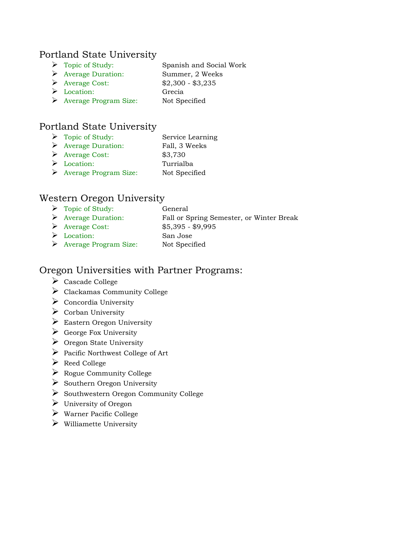#### Portland State University

- Topic of Study: Spanish and Social Work
- Average Duration: Summer, 2 Weeks
- Average Cost: \$2,300 \$3,235 Location: Grecia
- 
- Average Program Size: Not Specified

### Portland State University

 Topic of Study: Service Learning Average Duration: Fall, 3 Weeks Average Cost: \$3,730 Location: Turrialba Average Program Size: Not Specified

#### Western Oregon University

> Topic of Study: General Average Duration: Fall or Spring Semester, or Winter Break Average Cost: \$5,395 - \$9,995 Location: San Jose Average Program Size: Not Specified

#### Oregon Universities with Partner Programs:

- Cascade College
- Clackamas Community College
- $\triangleright$  Concordia University
- $\triangleright$  Corban University
- $\triangleright$  Eastern Oregon University
- $\triangleright$  George Fox University
- $\triangleright$  Oregon State University
- $\triangleright$  Pacific Northwest College of Art
- Reed College
- $\triangleright$  Rogue Community College
- $\triangleright$  Southern Oregon University
- $\triangleright$  Southwestern Oregon Community College
- $\triangleright$  University of Oregon
- $\triangleright$  Warner Pacific College
- $\triangleright$  Williamette University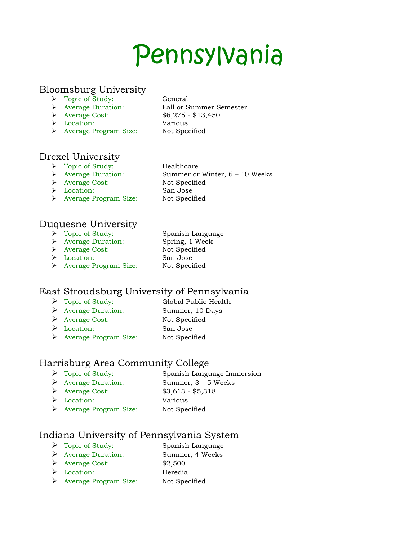# Pennsylvania

#### Bloomsburg University

- > Topic of Study: General
- 
- 
- Location: Various
- > Average Program Size: Not Specified

 Average Duration: Fall or Summer Semester Average Cost: \$6,275 - \$13,450

Summer or Winter,  $6 - 10$  Weeks

# Drexel University

- → Topic of Study:<br>
→ Average Duration: Summer or
- 
- 
- 
- > Average Program Size: Not Specified

#### Duquesne University

- > Topic of Study: Spanish Language
- Average Duration: Spring, 1 Week
- 
- 
- > Average Cost: Not Specified
- Location: San Jose
- 
- > Average Program Size: Not Specified

# East Stroudsburg University of Pennsylvania

- > Topic of Study: Global Public Health
- Average Duration: Summer, 10 Days
- Average Cost: Not Specified
- Location: San Jose
- Average Program Size: Not Specified

# Harrisburg Area Community College

- > Topic of Study: Spanish Language Immersion
- Average Duration: Summer, 3 5 Weeks
- Average Cost: \$3,613 \$5,318
- Location: Various
- Average Program Size: Not Specified

#### Indiana University of Pennsylvania System

- > Topic of Study: Spanish Language
- Average Duration: Summer, 4 Weeks
- $\triangleright$  Average Cost:  $$2,500$
- Location: Heredia
- Average Program Size: Not Specified

> Average Cost: Not Specified Location: San Jose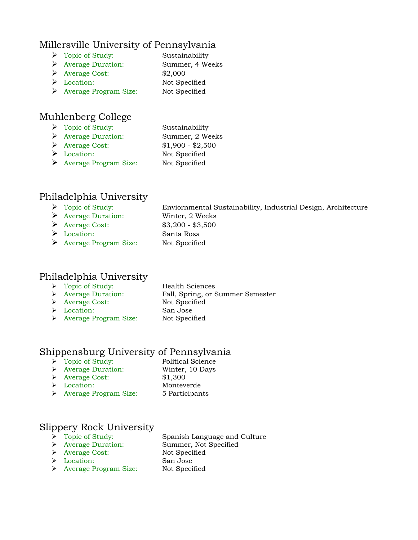#### Millersville University of Pennsylvania

- > Topic of Study: Sustainability
- Average Duration: Summer, 4 Weeks
- Average Cost: \$2,000
- Location: Not Specified
- Average Program Size: Not Specified

# Muhlenberg College

- > Topic of Study: Sustainability Average Duration: Summer, 2 Weeks Average Cost: \$1,900 - \$2,500
- Location: Not Specified
- Average Program Size: Not Specified

# Philadelphia University

- Topic of Study: Enviornmental Sustainability, Industrial Design, Architecture
- Average Duration: Winter, 2 Weeks
- Average Cost: \$3,200 \$3,500
- Location: Santa Rosa
- Average Program Size: Not Specified

# Philadelphia University

- Topic of Study: Health Sciences
- 

#### Average Duration: Fall, Spring, or Summer Semester > Average Cost: Not Specified Location: San Jose

> Average Program Size: Not Specified

# Shippensburg University of Pennsylvania

- > Topic of Study: Political Science
	-
- Average Duration: Winter, 10 Days
- Average Cost: \$1,300
- Location: Monteverde
- 
- Average Program Size: 5 Participants

# Slippery Rock University<br>  $\rightarrow$  Topic of Study:

Spanish Language and Culture Average Duration: Summer, Not Specified

- Average Cost: Not Specified
- > Location: San Jose
- > Average Program Size: Not Specified
- 
-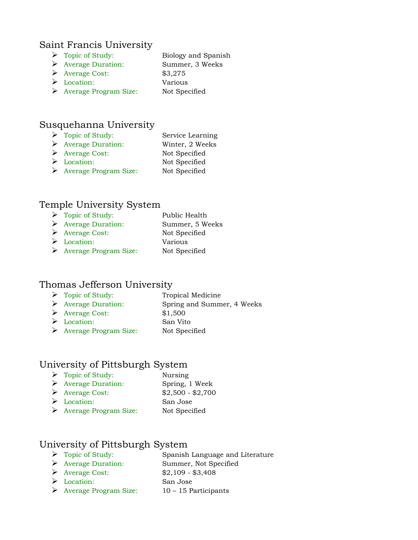#### Saint Francis University

- > Topic of Study: Biology and Spanish
- Average Duration: Summer, 3 Weeks
- Average Cost: \$3,275
- Location: Various
- Average Program Size: Not Specified

#### Susquehanna University

- Topic of Study: Service Learning
- Average Duration: Winter, 2 Weeks
- Average Cost: Not Specified
- Location: Not Specified
- Average Program Size: Not Specified

#### Temple University System

> Topic of Study: Public Health Average Duration: Summer, 5 Weeks Average Cost: Not Specified Location: Various Average Program Size: Not Specified

### Thomas Jefferson University

- > Topic of Study: Tropical Medicine
- Average Duration: Spring and Summer, 4 Weeks
- Average Cost: \$1,500
- Location: San Vito
- Average Program Size: Not Specified

#### University of Pittsburgh System

- Topic of Study: Nursing
- Average Duration: Spring, 1 Week
- Average Cost: \$2,500 \$2,700
- Location: San Jose
- Average Program Size: Not Specified

#### University of Pittsburgh System

- > Topic of Study: Spanish Language and Literature
- Average Duration: Summer, Not Specified
- Average Cost: \$2,109 \$3,408
- Location: San Jose
- Average Program Size:  $10 15$  Participants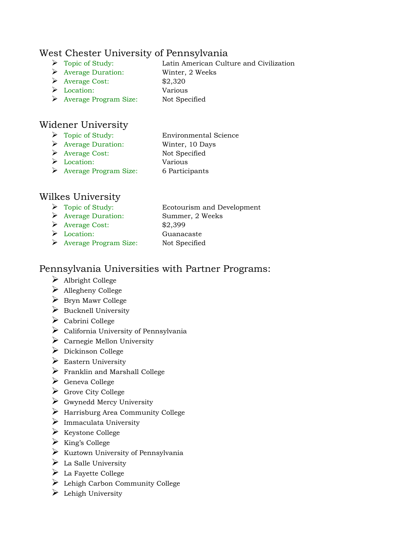#### West Chester University of Pennsylvania

- Topic of Study: Latin American Culture and Civilization
- Average Duration: Winter, 2 Weeks
- $\triangleright$  Average Cost:  $$2,320$
- Location: Various
- Average Program Size: Not Specified

### Widener University

- 
- > Topic of Study: Environmental Science
- Average Duration: Winter, 10 Days
- Average Cost: Not Specified Location: Various
- 
- Average Program Size: 6 Participants
- Wilkes University
	- Topic of Study: Ecotourism and Development Average Duration: Summer, 2 Weeks Average Cost: \$2,399 Location: Guanacaste
	- Average Program Size: Not Specified

#### Pennsylvania Universities with Partner Programs:

- Albright College
- $\triangleright$  Allegheny College
- $\triangleright$  Bryn Mawr College
- $\triangleright$  Bucknell University
- $\triangleright$  Cabrini College
- $\triangleright$  California University of Pennsylvania
- $\triangleright$  Carnegie Mellon University
- $\triangleright$  Dickinson College
- $\triangleright$  Eastern University
- $\triangleright$  Franklin and Marshall College
- Geneva College
- $\triangleright$  Grove City College
- $\triangleright$  Gwynedd Mercy University
- Harrisburg Area Community College
- $\triangleright$  Immaculata University
- $\triangleright$  Keystone College
- $\triangleright$  King's College
- $\triangleright$  Kuztown University of Pennsylvania
- $\triangleright$  La Salle University
- $\triangleright$  La Fayette College
- Lehigh Carbon Community College
- $\triangleright$  Lehigh University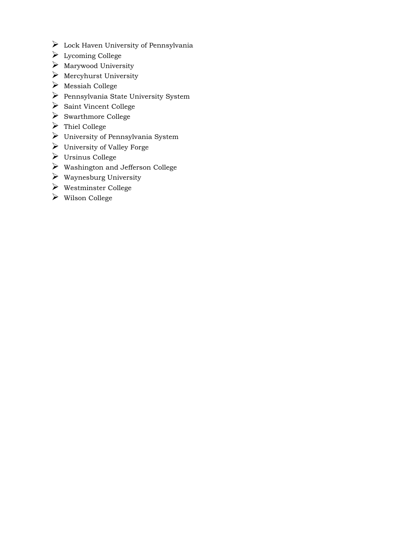- $\triangleright$  Lock Haven University of Pennsylvania
- Lycoming College
- $\triangleright$  Marywood University
- $\triangleright$  Mercyhurst University
- Messiah College
- Pennsylvania State University System
- $\triangleright$  Saint Vincent College
- $\triangleright$  Swarthmore College
- Thiel College
- University of Pennsylvania System
- $\blacktriangleright$  University of Valley Forge
- Ursinus College
- $\blacktriangleright$  Washington and Jefferson College
- $\blacktriangleright$  Waynesburg University
- Westminster College
- Wilson College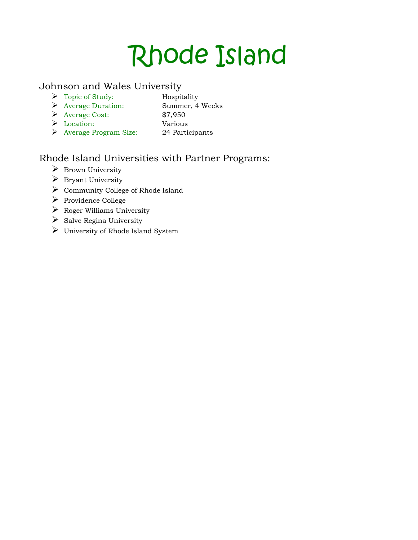## Rhode Island

#### Johnson and Wales University

- > Topic of Study: Hospitality
	-
- Average Duration: Summer, 4 Weeks
- Average Cost: \$7,950 Location: Various
- 
- 
- Average Program Size: 24 Participants

## Rhode Island Universities with Partner Programs:

- $\triangleright$  Brown University
- $\triangleright$  Bryant University
- Community College of Rhode Island
- Providence College
- $\triangleright$  Roger Williams University
- $\triangleright$  Salve Regina University
- University of Rhode Island System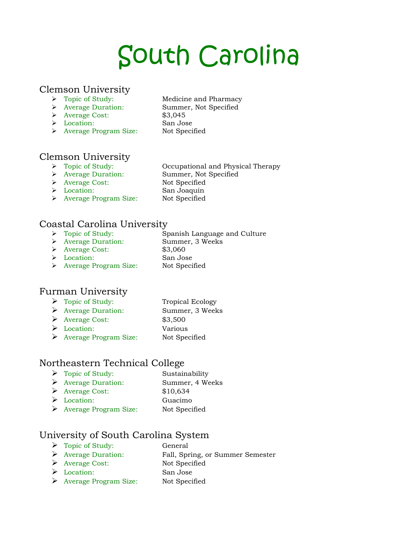# South Carolina

#### Clemson University

- 
- 
- Average Cost: \$3,045
- Location: San Jose
- Average Program Size: Not Specified
- Topic of Study: Medicine and Pharmacy Average Duration: Summer, Not Specified

## Clemson University<br>  $\triangleright$  Topic of Study:

- → Topic of Study: Occupational and Physical Therapy<br>
→ Average Duration: Summer, Not Specified
	- Summer, Not Specified
- > Average Cost: Not Specified
- 
- Location: San Joaquin
- > Average Program Size: Not Specified

#### Coastal Carolina University

- Spanish Language and Culture > Topic of Study:<br>
> Average Duration: Summer, 3 Weeks
- 
- Average Cost: \$3,060
- Location: San Jose
- > Average Program Size: Not Specified

#### Furman University

- Topic of Study: Tropical Ecology Average Duration: Summer, 3 Weeks
- Average Cost: \$3,500
- Location: Various
- Average Program Size: Not Specified

## Northeastern Technical College

- > Topic of Study: Sustainability
- Average Duration: Summer, 4 Weeks
- Average Cost: \$10,634
- Location: Guacimo
- Average Program Size: Not Specified

#### University of South Carolina System

- > Topic of Study: General
- Average Duration: Fall, Spring, or Summer Semester
- Average Cost: Not Specified
- Location: San Jose
- Average Program Size: Not Specified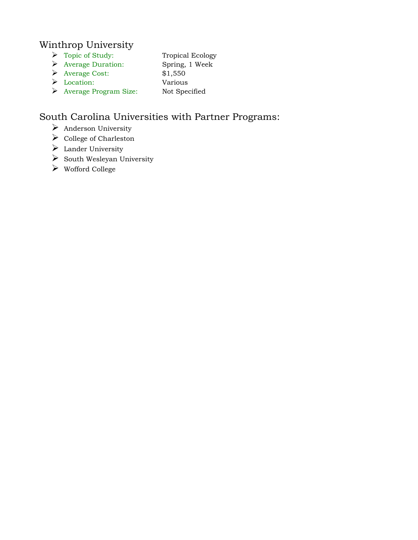#### Winthrop University

- Topic of Study: Tropical Ecology
- Average Duration: Spring, 1 Week
- Average Cost: \$1,550
- Location: Various
- Average Program Size: Not Specified

## South Carolina Universities with Partner Programs:

- $\triangleright$  Anderson University
- $\triangleright$  College of Charleston
- $\blacktriangleright$  Lander University
- $\triangleright$  South Wesleyan University
- Wofford College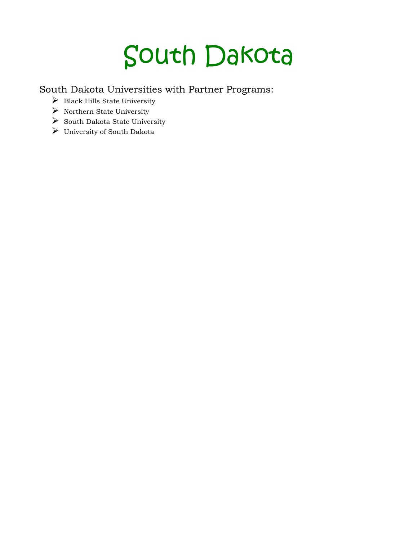## South Dakota

South Dakota Universities with Partner Programs:

- $\triangleright$  Black Hills State University
- $\blacktriangleright$  Northern State University
- $\triangleright$  South Dakota State University
- University of South Dakota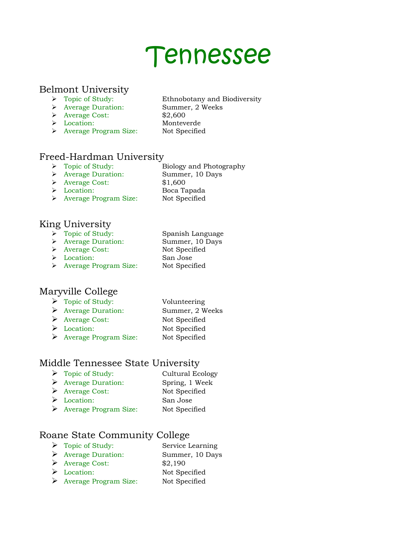## Tennessee

#### Belmont University

- > Topic of Study: Ethnobotany and Biodiversity
- Average Duration: Summer, 2 Weeks
- 
- Average Cost: \$2,600
- 
- Location: Monteverde
- > Average Program Size: Not Specified
- 

#### Freed-Hardman University

- > Topic of Study: Biology and Photography
- Average Duration: Summer, 10 Days
- Average Cost: \$1,600
- 
- Location: Boca Tapada
- > Average Program Size: Not Specified

#### King University

- > Topic of Study: Spanish Language
- Average Duration: Summer, 10 Days
	-
	-
- > Average Cost: Not Specified Location: San Jose
- > Average Program Size: Not Specified

#### Maryville College

- > Topic of Study: Volunteering Average Duration: Summer, 2 Weeks Average Cost: Not Specified Location: Not Specified
- Average Program Size: Not Specified

## Middle Tennessee State University

- > Topic of Study: Cultural Ecology Average Duration: Spring, 1 Week Average Cost: Not Specified Location: San Jose
- Average Program Size: Not Specified

#### Roane State Community College

- Topic of Study: Service Learning Average Duration: Summer, 10 Days Average Cost: \$2,190
- Location: Not Specified
- Average Program Size: Not Specified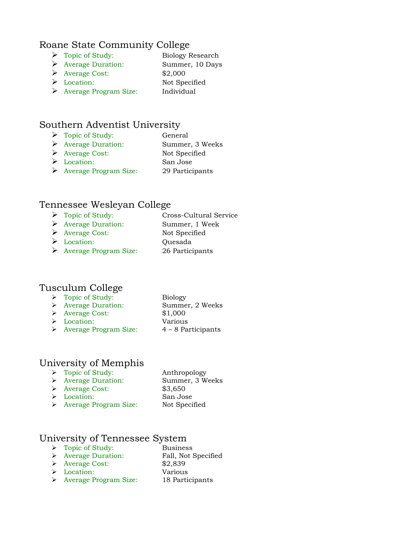#### Roane State Community College

- Topic of Study: Biology Research
- Average Duration: Summer, 10 Days
- Average Cost: \$2,000
- Location: Not Specified
- Average Program Size: Individual

#### Southern Adventist University

- Topic of Study: General
- Average Duration: Summer, 3 Weeks
- Average Cost: Not Specified
- Location: San Jose
- Average Program Size: 29 Participants

#### Tennessee Wesleyan College

> Topic of Study: Cross-Cultural Service Average Duration: Summer, 1 Week Average Cost: Not Specified Location: Quesada Average Program Size: 26 Participants

#### Tusculum College

- > Topic of Study: Biology
- Average Duration: Summer, 2 Weeks
	-
- Average Cost: \$1,000
- Location: Various Average Program Size: 4 – 8 Participants

#### University of Memphis

- > Topic of Study: Anthropology Average Duration: Summer, 3 Weeks Average Cost: \$3,650 Location: San Jose
	- > Average Program Size: Not Specified

#### University of Tennessee System

- > Topic of Study: Business
- > Average Duration: Fall, Not Specified
- Average Cost: \$2,839
- Location: Various
- Average Program Size: 18 Participants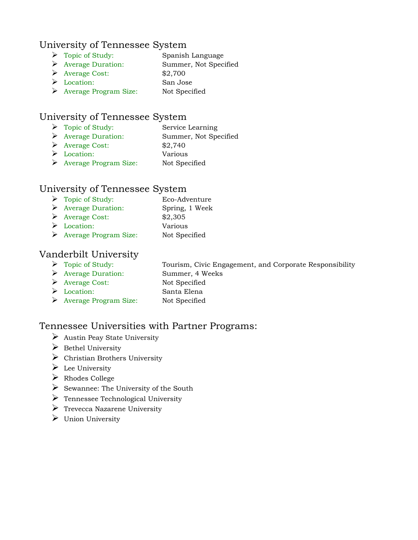#### University of Tennessee System

- Topic of Study: Spanish Language
- Average Duration: Summer, Not Specified
- Average Cost: \$2,700
- Location: San Jose
- Average Program Size: Not Specified

### University of Tennessee System

- > Topic of Study: Service Learning
- Average Duration: Summer, Not Specified
- $\blacktriangleright$  Average Cost: \$2,740
- Location: Various
- Average Program Size: Not Specified

### University of Tennessee System

- Topic of Study: Eco-Adventure
- Average Duration: Spring, 1 Week
- Average Cost: \$2,305
- Location: Various
- Average Program Size: Not Specified

### Vanderbilt University

- 
- Topic of Study: Tourism, Civic Engagement, and Corporate Responsibility
- Average Duration: Summer, 4 Weeks
- Average Cost: Not Specified Location: Santa Elena
- 
- 
- Average Program Size: Not Specified

#### Tennessee Universities with Partner Programs:

- $\triangleright$  Austin Peay State University
- $\triangleright$  Bethel University
- $\triangleright$  Christian Brothers University
- $\triangleright$  Lee University
- Rhodes College
- $\triangleright$  Sewannee: The University of the South
- $\triangleright$  Tennessee Technological University
- $\triangleright$  Trevecca Nazarene University
- $\triangleright$  Union University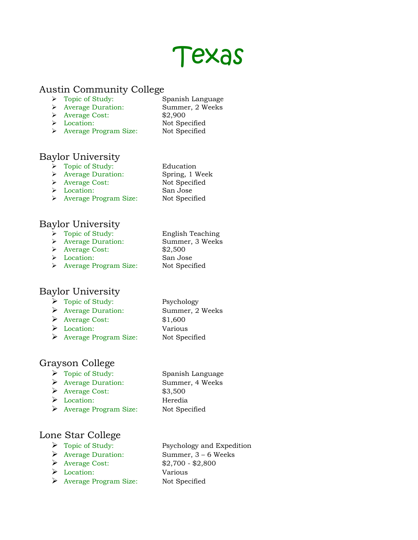## Texas

#### Austin Community College

- > Topic of Study: Spanish Language
	-
- Average Duration: Summer, 2 Weeks
- Average Cost: \$2,900
- 
- Location: Not Specified
- > Average Program Size: Not Specified

## Baylor University

- > Topic of Study: Education
- Average Duration: Spring, 1 Week
- > Average Cost: Not Specified
- Location: San Jose
- > Average Program Size: Not Specified

## Baylor University

- > Topic of Study: English Teaching
- Average Duration: Summer, 3 Weeks
- Average Cost: \$2,500
- Location: San Jose
- > Average Program Size: Not Specified

#### Baylor University

- > Topic of Study: Psychology
- Average Duration: Summer, 2 Weeks
- Average Cost: \$1,600
- Location: Various
- Average Program Size: Not Specified

## Grayson College

- > Topic of Study: Spanish Language
- Average Duration: Summer, 4 Weeks
- Average Cost: \$3,500
- Location: Heredia
- Average Program Size: Not Specified
- 

#### Lone Star College

- 
- 
- Average Cost: \$2,700 \$2,800
- Location: Various
- Average Program Size: Not Specified

> Topic of Study: Psychology and Expedition Average Duration: Summer, 3 – 6 Weeks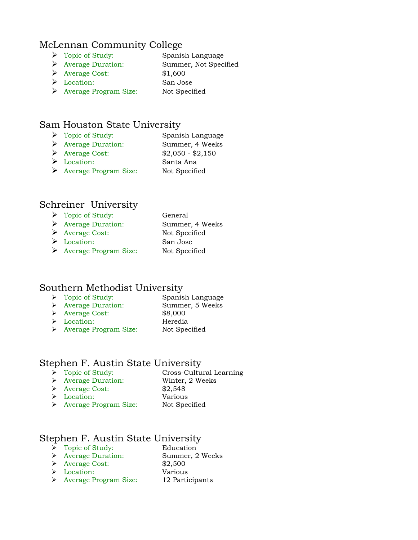#### McLennan Community College

- > Topic of Study: Spanish Language
- Average Duration: Summer, Not Specified
- Average Cost: \$1,600
- Location: San Jose
- Average Program Size: Not Specified

#### Sam Houston State University

- > Topic of Study: Spanish Language
- Average Duration: Summer, 4 Weeks
- Average Cost: \$2,050 \$2,150
- Location: Santa Ana
- Average Program Size: Not Specified

#### Schreiner University

| $\triangleright$ Topic of Study:       | General         |
|----------------------------------------|-----------------|
| $\triangleright$ Average Duration:     | Summer, 4 Weeks |
| $\triangleright$ Average Cost:         | Not Specified   |
| $\triangleright$ Location:             | San Jose        |
| $\triangleright$ Average Program Size: | Not Specified   |

#### Southern Methodist University

| $\triangleright$ Topic of Study:   | Spanish Language |
|------------------------------------|------------------|
| $\triangleright$ Average Duration: | Summer, 5 Weeks  |
| $\triangleright$ Average Cost:     | \$8,000          |
|                                    |                  |

- Location: Heredia
- 
- > Average Program Size: Not Specified

#### Stephen F. Austin State University

- > Topic of Study: Cross-Cultural Learning
- Average Duration: Winter, 2 Weeks
- $\triangleright$  Average Cost: \$2,548
- Location: Various
- 
- > Average Program Size: Not Specified

#### Stephen F. Austin State University

- > Topic of Study: Education
- Average Duration: Summer, 2 Weeks
- Average Cost: \$2,500
- Location: Various
- Average Program Size: 12 Participants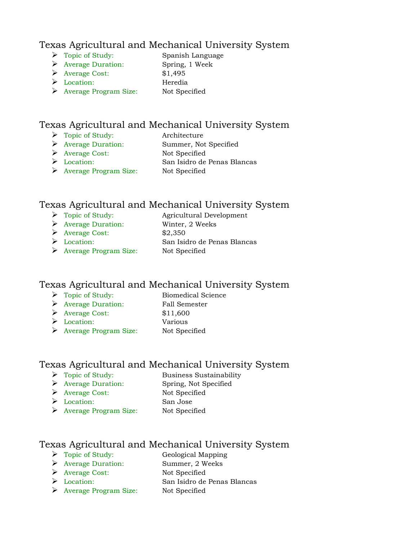#### Texas Agricultural and Mechanical University System

- Topic of Study: Spanish Language
	-
- Average Duration: Spring, 1 Week
- Average Cost: \$1,495
- Location: Heredia
- Average Program Size: Not Specified

#### Texas Agricultural and Mechanical University System

- Topic of Study: Architecture
	-
- Average Duration: Summer, Not Specified
- Average Cost: Not Specified
- Location: San Isidro de Penas Blancas
- Average Program Size: Not Specified

#### Texas Agricultural and Mechanical University System

- > Topic of Study: Agricultural Development
- Average Duration: Winter, 2 Weeks
- Average Cost: \$2,350
- Location: San Isidro de Penas Blancas
- Average Program Size: Not Specified

#### Texas Agricultural and Mechanical University System

- > Topic of Study: Biomedical Science
	-
- Average Duration: Fall Semester Average Cost: \$11,600
- Location: Various
- 
- 
- Average Program Size: Not Specified

#### Texas Agricultural and Mechanical University System

- > Topic of Study: Business Sustainability
- Average Duration: Spring, Not Specified
- Average Cost: Not Specified
- Location: San Jose
- 
- Average Program Size: Not Specified

#### Texas Agricultural and Mechanical University System

- > Topic of Study: Geological Mapping
- Average Duration: Summer, 2 Weeks
- Average Cost: Not Specified
- Location: San Isidro de Penas Blancas
- Average Program Size: Not Specified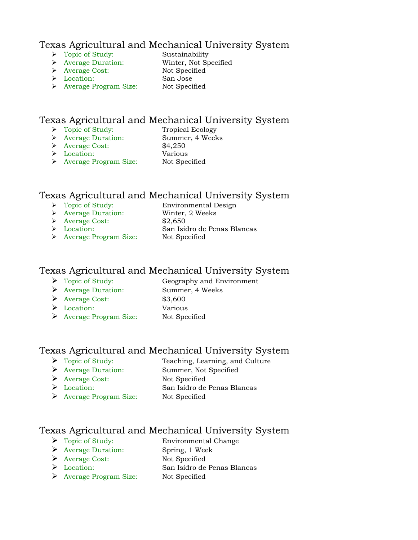#### Texas Agricultural and Mechanical University System

- > Topic of Study: Sustainability
- Average Duration: Winter, Not Specified
- 
- Location: San Jose
- Average Cost: Not Specified
- Average Program Size: Not Specified

#### Texas Agricultural and Mechanical University System

- > Topic of Study: Tropical Ecology
- Average Duration: Summer, 4 Weeks
- Average Cost: \$4,250
- Location: Various
	-
- Average Program Size: Not Specified

#### Texas Agricultural and Mechanical University System

- 
- > Topic of Study: Environmental Design
- Average Duration: Winter, 2 Weeks
- Average Cost: \$2,650
- 
- Location: San Isidro de Penas Blancas
- Average Program Size: Not Specified

#### Texas Agricultural and Mechanical University System

- > Topic of Study: Geography and Environment
- Average Duration: Summer, 4 Weeks
- Average Cost: \$3,600
- Location: Various
- 
- Average Program Size: Not Specified

#### Texas Agricultural and Mechanical University System

- Topic of Study: Teaching, Learning, and Culture
- Average Duration: Summer, Not Specified
- Average Cost: Not Specified
- 
- Location: San Isidro de Penas Blancas
- Average Program Size: Not Specified
- 

## Texas Agricultural and Mechanical University System

- > Topic of Study: Environmental Change
- Average Duration: Spring, 1 Week
- Average Cost: Not Specified
- Location: San Isidro de Penas Blancas
- Average Program Size: Not Specified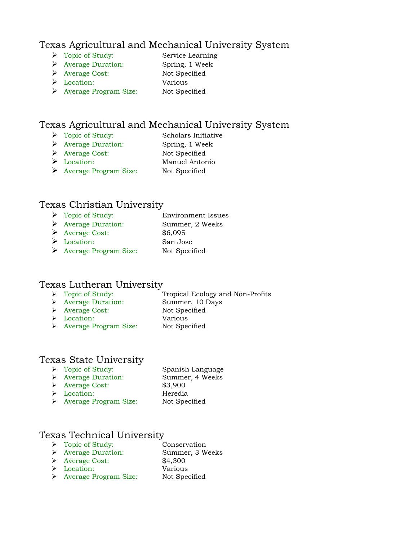#### Texas Agricultural and Mechanical University System

- > Topic of Study: Service Learning
	-
- Average Duration: Spring, 1 Week
- Average Cost: Not Specified Location: Various
- 
- Average Program Size: Not Specified

#### Texas Agricultural and Mechanical University System

- > Topic of Study: Scholars Initiative
	-
- Average Duration: Spring, 1 Week Average Cost: Not Specified
- Location: Manuel Antonio
- Average Program Size: Not Specified

#### Texas Christian University

- ▶ Topic of Study: Environment Issues Average Duration: Summer, 2 Weeks Average Cost: \$6,095
- Location: San Jose
- Average Program Size: Not Specified

#### Texas Lutheran University

- > Topic of Study: Tropical Ecology and Non-Profits
- Average Duration: Summer, 10 Days
- > Average Cost: Not Specified
- 
- Location: Various Average Program Size: Not Specified

## Texas State University

→ Topic of Study: Spanish Language<br>→ Average Duration: Summer, 4 Weeks Average Duration: Summer, 4 Weeks Average Cost: \$3,900 Location: Heredia > Average Program Size: Not Specified

#### Texas Technical University

- > Topic of Study: Conservation
- Average Duration: Summer, 3 Weeks
- Average Cost: \$4,300
- Location: Various
- > Average Program Size: Not Specified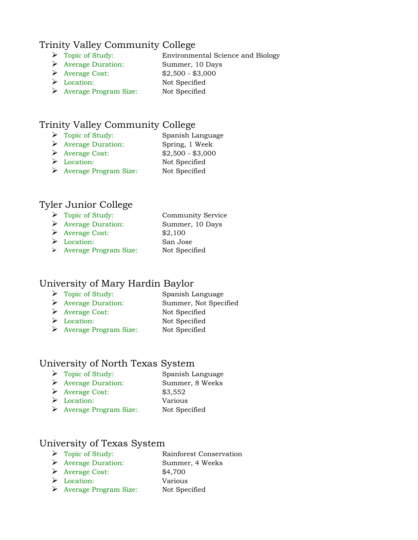#### Trinity Valley Community College

- > Topic of Study: Environmental Science and Biology
- Average Duration: Summer, 10 Days
- Average Cost: \$2,500 \$3,000
- Location: Not Specified
- Average Program Size: Not Specified

### Trinity Valley Community College

- > Topic of Study: Spanish Language
- Average Duration: Spring, 1 Week
- Average Cost: \$2,500 \$3,000
- Location: Not Specified
- Average Program Size: Not Specified

#### Tyler Junior College

| $\triangleright$ Topic of Study:   | <b>Community Service</b> |
|------------------------------------|--------------------------|
| $\triangleright$ Average Duration: | Summer, 10 Days          |
| $\triangleright$ Average Cost:     | \$2,100                  |
| $\triangleright$ Location:         | San Jose                 |
| > Average Program Size:            | Not Specified            |

#### University of Mary Hardin Baylor

- > Topic of Study: Spanish Language
- Average Duration: Summer, Not Specified
- Average Cost: Not Specified
- Location: Not Specified
- Average Program Size: Not Specified

#### University of North Texas System

- > Topic of Study: Spanish Language
- Average Duration: Summer, 8 Weeks
- ◆ Average Cost: \$3,552 American State<br>
Average Cost: \$3,552<br>
A Location: Various
- 
- Average Program Size: Not Specified

#### University of Texas System

| $\triangleright$ Topic of Study:   | Rainforest Conservation |
|------------------------------------|-------------------------|
| $\triangleright$ Average Duration: | Summer, 4 Weeks         |

- Average Cost: \$4,700
- Location: Various
- → Location: Various<br>→ Average Program Size: Not Specified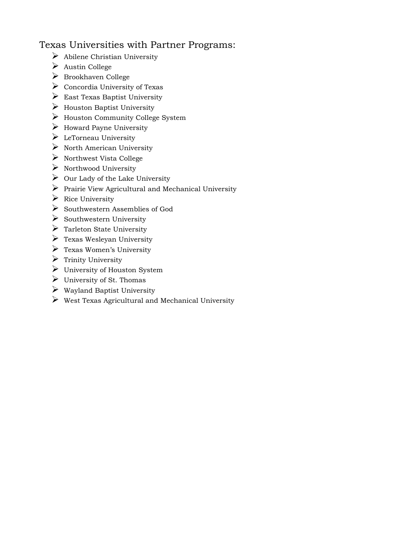#### Texas Universities with Partner Programs:

- $\triangleright$  Abilene Christian University
- $\triangleright$  Austin College
- $\triangleright$  Brookhaven College
- $\triangleright$  Concordia University of Texas
- $\triangleright$  East Texas Baptist University
- $\triangleright$  Houston Baptist University
- Houston Community College System
- $\triangleright$  Howard Payne University
- $\triangleright$  LeTorneau University
- $\triangleright$  North American University
- $\triangleright$  Northwest Vista College
- $\triangleright$  Northwood University
- $\triangleright$  Our Lady of the Lake University
- $\triangleright$  Prairie View Agricultural and Mechanical University
- $\triangleright$  Rice University
- $\triangleright$  Southwestern Assemblies of God
- $\triangleright$  Southwestern University
- $\triangleright$  Tarleton State University
- $\triangleright$  Texas Wesleyan University
- $\triangleright$  Texas Women's University
- $\triangleright$  Trinity University
- $\triangleright$  University of Houston System
- $\triangleright$  University of St. Thomas
- Wayland Baptist University
- $\triangleright$  West Texas Agricultural and Mechanical University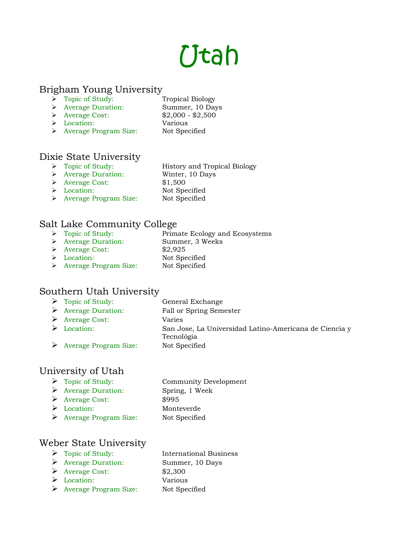## Utah

#### Brigham Young University

- > Topic of Study: Tropical Biology
- Average Duration: Summer, 10 Days
	-
- $\triangleright$  Average Cost: \$2,000 \$2,500
- Location: Various
- > Average Program Size: Not Specified

## Dixie State University<br>  $\triangleright$  Topic of Study:

- History and Tropical Biology
- Average Duration: Winter, 10 Days
- Average Cost: \$1,500
- 
- Location: Not Specified
- > Average Program Size: Not Specified

#### Salt Lake Community College

- Primate Ecology and Ecosystems → Topic of Study:<br>
→ Average Duration: Summer, 3 Weeks
- 
- Average Cost: \$2,925
- > Location: Not Specified
	-
- > Average Program Size: Not Specified

#### Southern Utah University

> Topic of Study: General Exchange Average Duration: Fall or Spring Semester Average Cost: Varies Location: San Jose, La Universidad Latino-Americana de Ciencia y Tecnológia Average Program Size: Not Specified

#### University of Utah

- Topic of Study: Community Development Average Duration: Spring, 1 Week Average Cost: \$995
	-
- 
- Location: Monteverde Average Program Size: Not Specified

#### Weber State University

- 
- Average Duration: Summer, 10 Days
- $\blacktriangleright$  Average Cost: \$2,300
- Location: Various
- Average Program Size: Not Specified
- > Topic of Study: International Business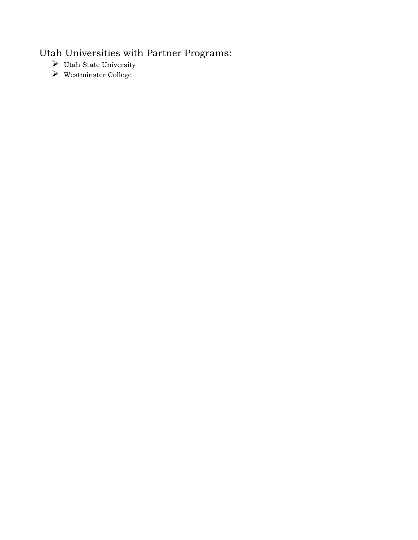## Utah Universities with Partner Programs:

- $\blacktriangleright\;$  Utah State University
- Westminster College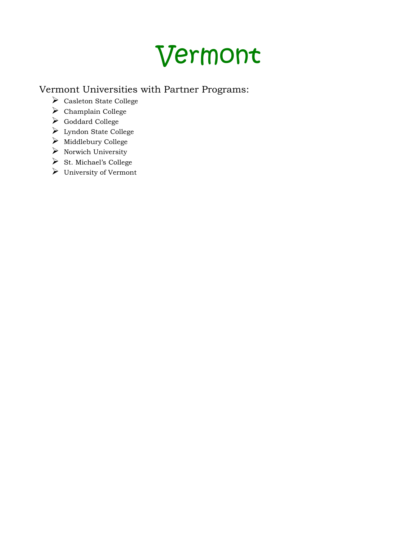## Vermont

## Vermont Universities with Partner Programs:

- $\triangleright$  Casleton State College
- $\blacktriangleright$  Champlain College
- Goddard College
- Lyndon State College
- $\triangleright$  Middlebury College
- $\triangleright$  Norwich University
- $\triangleright$  St. Michael's College
- University of Vermont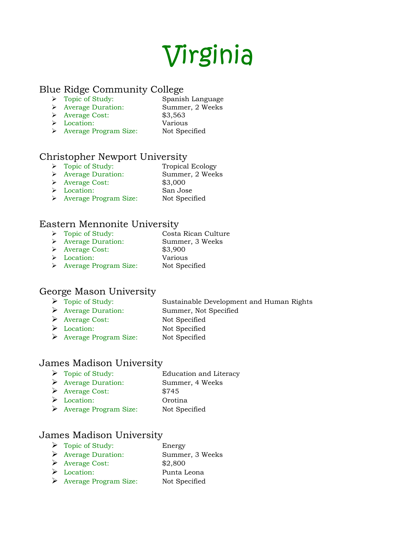## Virginia

#### Blue Ridge Community College

- > Topic of Study: Spanish Language
- Average Duration: Summer, 2 Weeks
- → Average Cost: \$3,563
- Location: Various
- 
- > Average Program Size: Not Specified

#### Christopher Newport University

- > Topic of Study: Tropical Ecology Average Duration: Summer, 2 Weeks
- Average Cost: \$3,000
- Location: San Jose
- > Average Program Size: Not Specified

#### Eastern Mennonite University

- Topic of Study: Costa Rican Culture
- Average Duration: Summer, 3 Weeks
- Average Cost: \$3,900
- Location: Various
- Average Program Size: Not Specified

#### George Mason University

- Topic of Study: Sustainable Development and Human Rights
- Average Duration: Summer, Not Specified
- Average Cost: Not Specified
- Location: Not Specified
- Average Program Size: Not Specified

#### James Madison University

> Topic of Study: Education and Literacy Average Duration: Summer, 4 Weeks Average Cost: \$745 Location: Orotina Average Program Size: Not Specified

#### James Madison University

> Topic of Study: Energy Average Duration: Summer, 3 Weeks Average Cost: \$2,800 Location: Punta Leona Average Program Size: Not Specified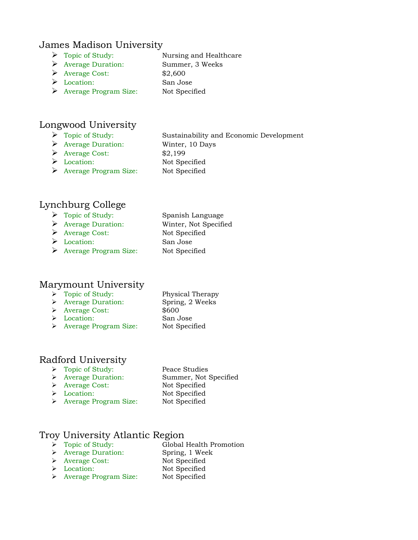#### James Madison University

- Topic of Study: Nursing and Healthcare
- Average Duration: Summer, 3 Weeks
- $\blacktriangleright$  Average Cost: \$2,600
- Location: San Jose
- Average Program Size: Not Specified

#### Longwood University

- 
- Average Duration: Winter, 10 Days

 Topic of Study: Sustainability and Economic Development  $\triangleright$  Average Cost: \$2,199 Location: Not Specified Average Program Size: Not Specified

#### Lynchburg College

- Topic of Study: Spanish Language
- Average Duration: Winter, Not Specified
- Average Cost: Not Specified
- Location: San Jose
- Average Program Size: Not Specified

#### Marymount University

- > Topic of Study: Physical Therapy
- Average Duration: Spring, 2 Weeks
- Average Cost: \$600
- Location: San Jose
- Average Program Size: Not Specified

#### Radford University

- > Topic of Study: Peace Studies
- 
- > Average Cost: Not Specified
- 
- Average Duration: Summer, Not Specified Location: Not Specified > Average Program Size: Not Specified

#### Troy University Atlantic Region

- Topic of Study: Global Health Promotion
- Average Duration: Spring, 1 Week
- > Average Cost: Not Specified
- 
- Location: Not Specified > Average Program Size: Not Specified
- 
- 
-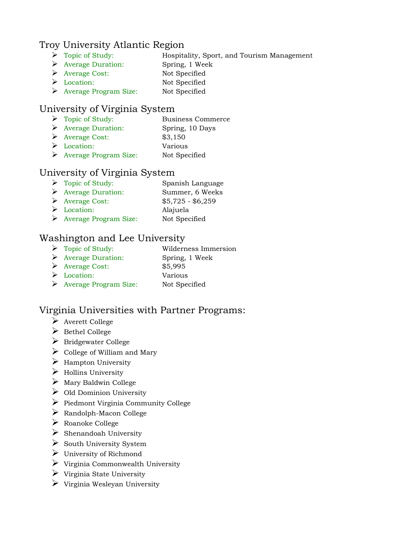#### Troy University Atlantic Region

- Topic of Study: Hospitality, Sport, and Tourism Management
- Average Duration: Spring, 1 Week
- Average Cost: Not Specified
- Location: Not Specified
- Average Program Size: Not Specified

#### University of Virginia System

- > Topic of Study: Business Commerce Average Duration: Spring, 10 Days
- $\triangleright$  Average Cost: \$3,150
- Location: Various
- Average Program Size: Not Specified

#### University of Virginia System

- > Topic of Study: Spanish Language Average Duration: Summer, 6 Weeks Average Cost: \$5,725 - \$6,259 Location: Alajuela
- Average Program Size: Not Specified

#### Washington and Lee University

> Topic of Study: Wilderness Immersion Average Duration: Spring, 1 Week Average Cost: \$5,995 Location: Various Average Program Size: Not Specified

#### Virginia Universities with Partner Programs:

- $\triangleright$  Averett College
- $\triangleright$  Bethel College
- $\triangleright$  Bridgewater College
- $\triangleright$  College of William and Mary
- $\triangleright$  Hampton University
- $\triangleright$  Hollins University
- $\triangleright$  Mary Baldwin College
- $\triangleright$  Old Dominion University
- $\triangleright$  Piedmont Virginia Community College
- $\triangleright$  Randolph-Macon College
- Roanoke College
- $\triangleright$  Shenandoah University
- $\triangleright$  South University System
- University of Richmond
- $\triangleright$  Virginia Commonwealth University
- $\triangleright$  Virginia State University
- $\triangleright$  Virginia Wesleyan University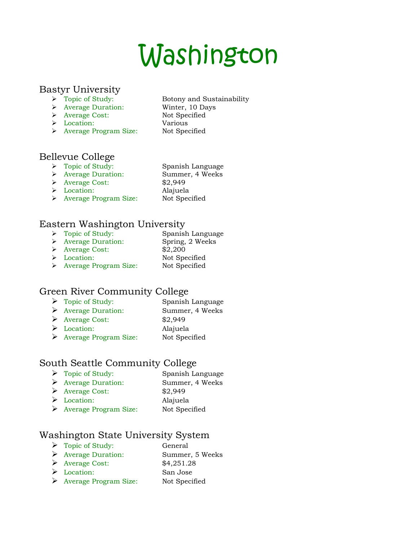## Washington

#### Bastyr University

- > Topic of Study: Botony and Sustainability
- Average Duration: Winter, 10 Days
- Average Cost: Not Specified
- Location: Various
- > Average Program Size: Not Specified

- Bellevue College
	- > Topic of Study: Spanish Language
	-
	- > Average Duration: Summer, 4 Weeks
	- Average Cost: \$2,949
	-
- 
- Location: Alajuela
- > Average Program Size: Not Specified

#### Eastern Washington University

> Topic of Study: Spanish Language Average Duration: Spring, 2 Weeks Average Cost: \$2,200 > Location: Not Specified > Average Program Size: Not Specified

## Green River Community College

- Topic of Study: Spanish Language Average Duration: Summer, 4 Weeks Average Cost: \$2,949 Location: Alajuela
- Average Program Size: Not Specified

## South Seattle Community College

- > Topic of Study: Spanish Language Average Duration: Summer, 4 Weeks Average Cost: \$2,949 Location: Alajuela
- Average Program Size: Not Specified

#### Washington State University System

- > Topic of Study: General Average Duration: Summer, 5 Weeks  $\triangleright$  Average Cost:  $$4,251.28$ Location: San Jose
- Average Program Size: Not Specified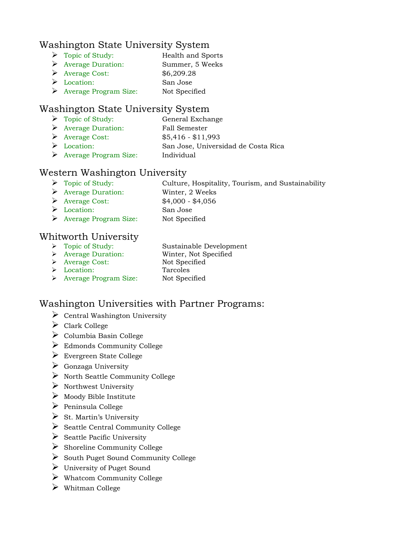#### Washington State University System

| $\triangleright$ Topic of Study:       | <b>Health and Sports</b> |
|----------------------------------------|--------------------------|
| $\triangleright$ Average Duration:     | Summer, 5 Weeks          |
| $\triangleright$ Average Cost:         | \$6,209.28               |
| $\triangleright$ Location:             | San Jose                 |
| $\triangleright$ Average Program Size: | Not Specified            |

#### Washington State University System

- Topic of Study: General Exchange
- Average Duration: Fall Semester
- Average Cost: \$5,416 \$11,993
- $\begin{minipage}{.4\linewidth} \begin{minipage}{.4\linewidth} \begin{tabular}{l} \bf{1} & \bf{2} & \bf{1} & \bf{1} \\ \bf{2} & \bf{2} & \bf{2} \\ \bf{3} & \bf{3} & \bf{1} \\ \bf{4} & \bf{4} & \bf{1} \\ \bf{5} & \bf{1} & \bf{2} \\ \bf{2} & \bf{2} & \bf{2} \\ \bf{3} & \bf{1} & \bf{2} \\ \bf{2} & \bf{2} & \bf{2} \\ \bf{3} & \bf{2} & \bf{2} \\ \bf{3} & \bf{2} & \bf{2} \\ \bf$
- $\triangleright$  Average Program Size:

#### Western Washington University

- Topic of Study: Culture, Hospitality, Tourism, and Sustainability
- Average Duration: Winter, 2 Weeks
- Average Cost: \$4,000 \$4,056
- Location: San Jose
- Average Program Size: Not Specified

#### Whitworth University

- > Topic of Study: Sustainable Development
- Average Duration: Winter, Not Specified
- Average Cost: Not Specified
- 
- 
- 
- Location: Tarcoles > Average Program Size: Not Specified

## Washington Universities with Partner Programs:

- $\triangleright$  Central Washington University
- Clark College
- $\triangleright$  Columbia Basin College
- $\triangleright$  Edmonds Community College
- Evergreen State College
- $\triangleright$  Gonzaga University
- $\triangleright$  North Seattle Community College
- $\triangleright$  Northwest University
- $\triangleright$  Moody Bible Institute
- $\triangleright$  Peninsula College
- $\triangleright$  St. Martin's University
- $\triangleright$  Seattle Central Community College
- $\triangleright$  Seattle Pacific University
- $\triangleright$  Shoreline Community College
- $\triangleright$  South Puget Sound Community College
- University of Puget Sound
- $\triangleright$  Whatcom Community College
- Whitman College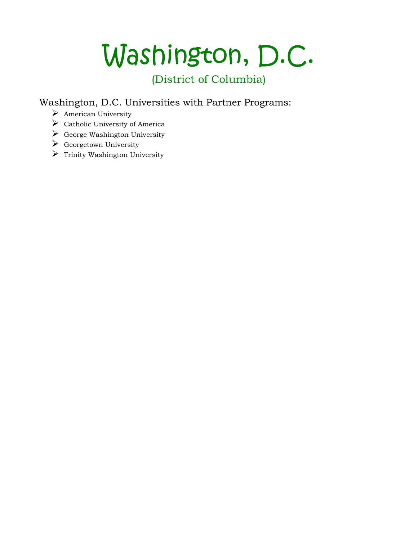# Washington, D.C.

## (District of Columbia)

Washington, D.C. Universities with Partner Programs:

- American University
- $\triangleright$  Catholic University of America
- $\triangleright$  George Washington University
- $\triangleright$  Georgetown University
- $\triangleright$  Trinity Washington University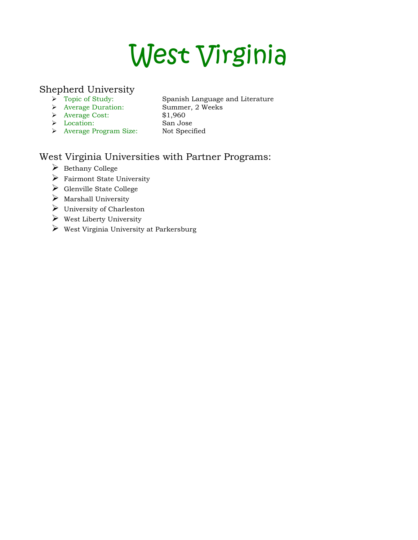# West Virginia

#### Shepherd University

- 
- Average Duration: Summer, 2 Weeks
- Spanish Language and Literature
- Average Cost: \$1,960
- Location: San Jose
- 
- Average Program Size: Not Specified
- 

## West Virginia Universities with Partner Programs:

- $\triangleright$  Bethany College
- Fairmont State University
- $\triangleright$  Glenville State College
- $\triangleright$  Marshall University
- $\triangleright$  University of Charleston
- $\triangleright$  West Liberty University
- $\triangleright$  West Virginia University at Parkersburg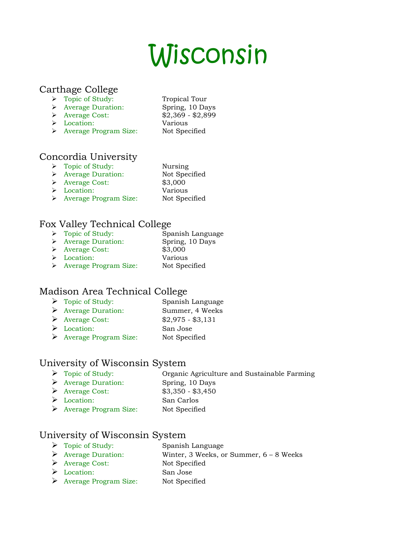# Wisconsin

#### Carthage College

- > Topic of Study: Tropical Tour
- Average Duration: Spring, 10 Days
	-
- Location: Various
- → Average Cost: \$2,369 \$2,899 > Average Program Size: Not Specified

## Concordia University

- > Topic of Study: Nursing
- > Average Duration: Not Specified
- Average Cost: \$3,000
- 
- 
- Location: Various
- > Average Program Size: Not Specified

#### Fox Valley Technical College

> Topic of Study: Spanish Language Average Duration: Spring, 10 Days Average Cost: \$3,000 Location: Various Average Program Size: Not Specified

#### Madison Area Technical College

- Topic of Study: Spanish Language Average Duration: Summer, 4 Weeks
- Average Cost: \$2,975 \$3,131
- Location: San Jose
- Average Program Size: Not Specified

#### University of Wisconsin System

- Topic of Study: Organic Agriculture and Sustainable Farming
- Average Duration: Spring, 10 Days
- Average Cost: \$3,350 \$3,450
- Location: San Carlos
- Average Program Size: Not Specified

#### University of Wisconsin System

- > Topic of Study: Spanish Language
- Average Duration: Winter, 3 Weeks, or Summer, 6 8 Weeks
- Average Cost: Not Specified
- Location: San Jose
- Average Program Size: Not Specified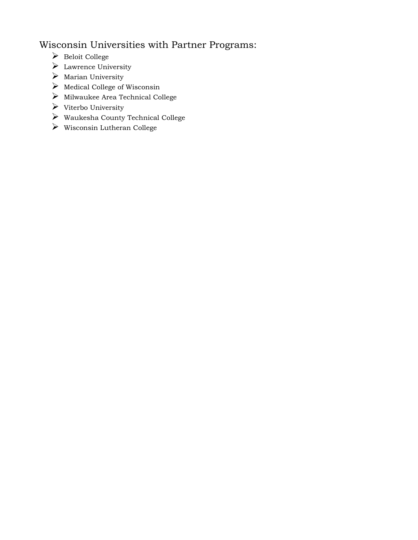## Wisconsin Universities with Partner Programs:

- $\blacktriangleright$  Beloit College
- Lawrence University
- $\triangleright$  Marian University
- $\triangleright$  Medical College of Wisconsin
- $\blacktriangleright$ Milwaukee Area Technical College
- $\triangleright$  Viterbo University
- $\blacktriangleright$  Waukesha County Technical College
- $\blacktriangleright$  Wisconsin Lutheran College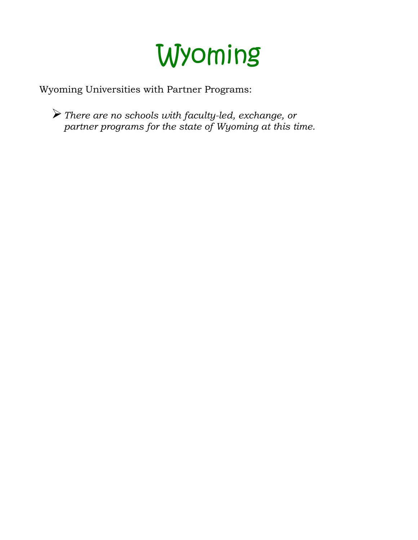

Wyoming Universities with Partner Programs:

*There are no schools with faculty-led, exchange, or partner programs for the state of Wyoming at this time.*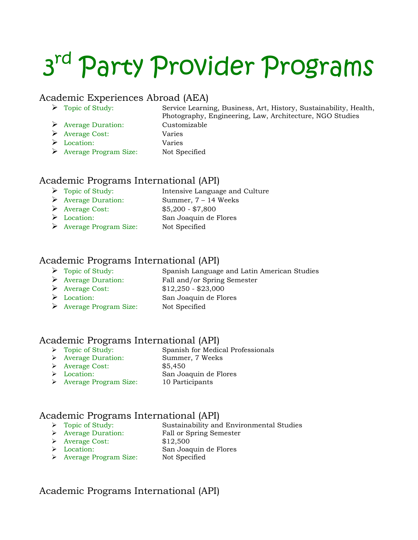# 3<sup>rd</sup> Party Provider Programs

#### Academic Experiences Abroad (AEA)

- 
- Average Duration: Customizable
- Topic of Study: Service Learning, Business, Art, History, Sustainability, Health, Photography, Engineering, Law, Architecture, NGO Studies Average Cost: Varies Location: Varies Average Program Size: Not Specified

#### Academic Programs International (API)

- > Topic of Study: Intensive Language and Culture
- Average Duration: Summer, 7 14 Weeks Average Cost: \$5,200 - \$7,800
- Location: San Joaquin de Flores
- Average Program Size: Not Specified

#### Academic Programs International (API)

- Topic of Study: Spanish Language and Latin American Studies
- Average Duration: Fall and/or Spring Semester
- Average Cost: \$12,250 \$23,000
- 
- Location: San Joaquin de Flores
- Average Program Size: Not Specified

## Academic Programs International (API)<br>  $\triangleright$  Topic of Study: Spanish for Media

- 
- Spanish for Medical Professionals Average Duration: Summer, 7 Weeks
- Average Cost: \$5,450
- 
- Location: San Joaquin de Flores
- Average Program Size: 10 Participants

#### Academic Programs International (API)

- Topic of Study: Sustainability and Environmental Studies
- 
- > Average Duration: Fall or Spring Semester
- → Average Cost: \$12,500<br>→ Location: San Joac
- San Joaquin de Flores
- > Average Program Size: Not Specified

#### Academic Programs International (API)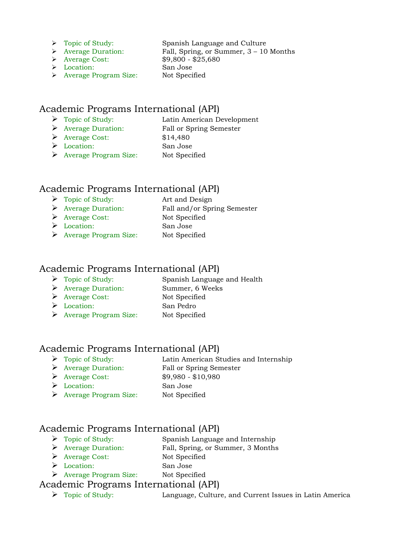- 
- 

Location: San Jose

> Topic of Study: Spanish Language and Culture Average Duration: Fall, Spring, or Summer, 3 – 10 Months Average Cost: \$9,800 - \$25,680 Average Program Size: Not Specified

#### Academic Programs International (API)

- Topic of Study: Latin American Development
- Average Duration: Fall or Spring Semester
- Average Cost: \$14,480
- Location: San Jose
- Average Program Size: Not Specified

#### Academic Programs International (API)

- Topic of Study: Art and Design
- Average Duration: Fall and/or Spring Semester
- Average Cost: Not Specified
- Location: San Jose
- Average Program Size: Not Specified

#### Academic Programs International (API)

- > Topic of Study: Spanish Language and Health
- Average Duration: Summer, 6 Weeks
- Average Cost: Not Specified
- 
- 
- Location: San Pedro
- Average Program Size: Not Specified

#### Academic Programs International (API)

- Topic of Study: Latin American Studies and Internship
- Average Duration: Fall or Spring Semester
- Average Cost: \$9,980 \$10,980
- Location: San Jose
- Average Program Size: Not Specified

#### Academic Programs International (API)

- Topic of Study: Spanish Language and Internship
- Average Duration: Fall, Spring, or Summer, 3 Months
- Average Cost: Not Specified
- Location: San Jose
- Average Program Size: Not Specified

#### Academic Programs International (API)

Topic of Study: Language, Culture, and Current Issues in Latin America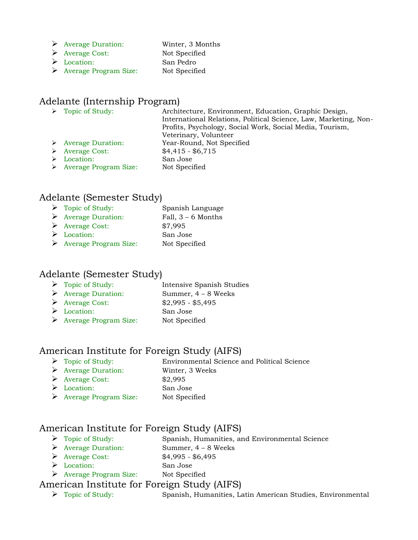- Average Duration: Winter, 3 Months
- Average Cost: Not Specified
- Location: San Pedro
- Average Program Size: Not Specified

#### Adelante (Internship Program)

| $\triangleright$ Topic of Study:       | Architecture, Environment, Education, Graphic Design,            |
|----------------------------------------|------------------------------------------------------------------|
|                                        | International Relations, Political Science, Law, Marketing, Non- |
|                                        | Profits, Psychology, Social Work, Social Media, Tourism,         |
|                                        | Veterinary, Volunteer                                            |
| $\triangleright$ Average Duration:     | Year-Round, Not Specified                                        |
| $\triangleright$ Average Cost:         | $$4,415 - $6,715$                                                |
| Location:                              | San Jose                                                         |
| $\triangleright$ Average Program Size: | Not Specified                                                    |

#### Adelante (Semester Study)

| Topic of Study: | Spanish Language |
|-----------------|------------------|
|                 |                  |

- Average Duration: Fall, 3 6 Months
- Average Cost: \$7,995
- Location: San Jose
- Average Program Size: Not Specified

#### Adelante (Semester Study)

| $\triangleright$ Topic of Study:   | Intensive Spanish Studies |
|------------------------------------|---------------------------|
| $\triangleright$ Average Duration: | Summer, $4 - 8$ Weeks     |
| $\triangleright$ Average Cost:     | $$2,995 - $5,495$         |
| $\triangleright$ Location:         | San Jose                  |

Average Program Size: Not Specified

#### American Institute for Foreign Study (AIFS)

- Topic of Study: Environmental Science and Political Science Average Duration: Winter, 3 Weeks Average Cost: \$2,995
- Location: San Jose
- Average Program Size: Not Specified

#### American Institute for Foreign Study (AIFS)

- Topic of Study: Spanish, Humanities, and Environmental Science
- Average Duration: Summer, 4 8 Weeks
- Average Cost: \$4,995 \$6,495 Location: San Jose
- Average Program Size: Not Specified

#### American Institute for Foreign Study (AIFS)

Topic of Study: Spanish, Humanities, Latin American Studies, Environmental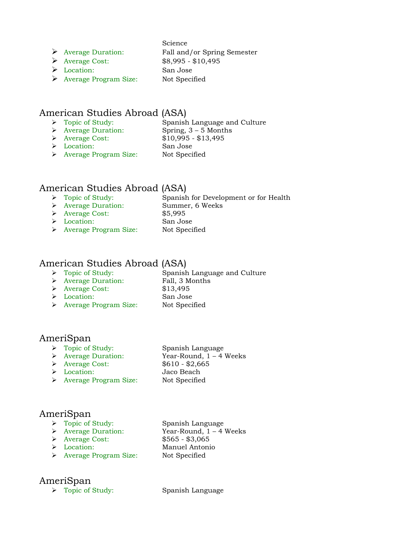#### Science

Average Duration: Fall and/or Spring Semester

- 
- 
- Average Cost: \$8,995 \$10,495 Location: San Jose Average Program Size: Not Specified

#### American Studies Abroad (ASA)

- Spanish Language and Culture → Topic of Study:<br>
→ Average Duration: Spring, 3 – 5 Months
- 
- 
- Average Cost: \$10,995 \$13,495
- Location: San Jose
- > Average Program Size: Not Specified

#### American Studies Abroad (ASA)

- Spanish for Development or for Health → Topic of Study:<br>
→ Average Duration: Summer, 6 Weeks<br>
→ Average Cost: \$5,995  $\triangleright$  Average Cost: Location: San Jose
- > Average Program Size: Not Specified

#### American Studies Abroad (ASA)

- > Topic of Study: Spanish Language and Culture
- Average Duration: Fall, 3 Months
- Average Cost: \$13,495
	-
- Location: San Jose
- > Average Program Size: Not Specified

#### AmeriSpan

- 
- 
- 
- Location: Jaco Beach
- > Average Program Size: Not Specified

> Topic of Study: Spanish Language Year-Round,  $1 - 4$  Weeks → Average Duration: Year-Round, 1<br>
→ Average Cost: \$610 - \$2,665

#### AmeriSpan

- > Topic of Study: Spanish Language
- Average Duration: Year-Round, 1 4 Weeks
- Average Cost: \$565 \$3,065
- Location: Manuel Antonio
- > Average Program Size: Not Specified

#### AmeriSpan

> Topic of Study: Spanish Language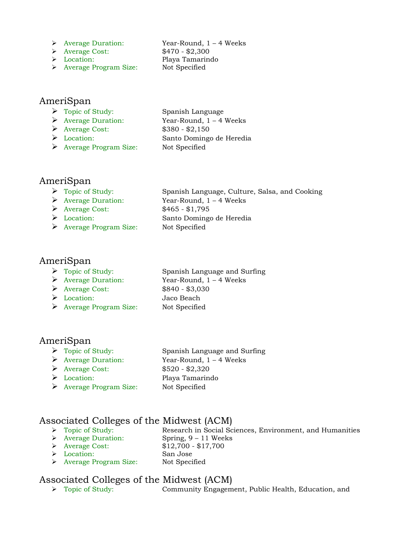Average Duration: Year-Round, 1 – 4 Weeks

- Average Cost: \$470 \$2,300
- Location: Playa Tamarindo
- Average Program Size: Not Specified

#### AmeriSpan

 Topic of Study: Spanish Language Average Duration: Year-Round, 1 – 4 Weeks Average Cost: \$380 - \$2,150 Location: Santo Domingo de Heredia Average Program Size: Not Specified

#### AmeriSpan

| Spanish Language, Culture, Salsa, and Cooking |
|-----------------------------------------------|
| Year-Round, $1 - 4$ Weeks                     |
| $$465 - $1,795$                               |
| Santo Domingo de Heredia                      |
| Not Specified                                 |
|                                               |

#### AmeriSpan

- Topic of Study: Spanish Language and Surfing
- 
- 
- 

 Average Duration: Year-Round, 1 – 4 Weeks Average Cost: \$840 - \$3,030 Location: Jaco Beach Average Program Size: Not Specified

#### AmeriSpan

- > Topic of Study: Spanish Language and Surfing
- Average Duration: Year-Round, 1 4 Weeks
- Average Cost: \$520 \$2,320
- 
- Average Program Size: Not Specified
- Location: Playa Tamarindo

#### Associated Colleges of the Midwest (ACM)

- 
- Topic of Study: Research in Social Sciences, Environment, and Humanities
- → Average Duration: Spring, 9 11 Weeks<br>
→ Average Cost: \$12,700 \$17,700  $\triangleright$  Average Cost:
- Location: San Jose
- 
- Average Program Size: Not Specified

## Associated Colleges of the Midwest (ACM)<br>  $\rightarrow$  Topic of Study: Community Engagem

Community Engagement, Public Health, Education, and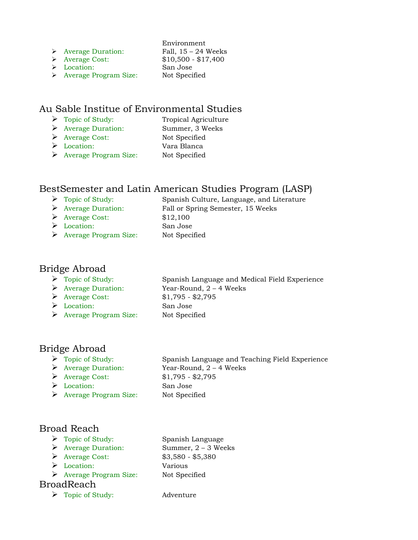| <b>Average Duration:</b> | Fall, $15 - 24$ Weeks |
|--------------------------|-----------------------|
|                          |                       |

|                                        | Environment           |
|----------------------------------------|-----------------------|
| $\triangleright$ Average Duration:     | Fall, $15 - 24$ Weeks |
| $\triangleright$ Average Cost:         | $$10,500 - $17,400$   |
| $\triangleright$ Location:             | San Jose              |
| $\triangleright$ Average Program Size: | Not Specified         |

#### Au Sable Institue of Environmental Studies

- 
- > Topic of Study: Tropical Agriculture
- Average Duration: Summer, 3 Weeks
- Average Cost: Not Specified
- Location: Vara Blanca
- Average Program Size: Not Specified

#### BestSemester and Latin American Studies Program (LASP)

| $\triangleright$ Topic of Study:       | Spanish Culture, Language, and Literature |
|----------------------------------------|-------------------------------------------|
| $\triangleright$ Average Duration:     | Fall or Spring Semester, 15 Weeks         |
| $\triangleright$ Average Cost:         | \$12,100                                  |
| $\triangleright$ Location:             | San Jose                                  |
| $\triangleright$ Average Program Size: | Not Specified                             |
|                                        |                                           |

#### Bridge Abroad

| $\triangleright$ Topic of Study:       | Spanish Language and Medical Field Experience |
|----------------------------------------|-----------------------------------------------|
| $\triangleright$ Average Duration:     | Year-Round, $2 - 4$ Weeks                     |
| $\triangleright$ Average Cost:         | $$1,795 - $2,795$                             |
| $\triangleright$ Location:             | San Jose                                      |
| $\triangleright$ Average Program Size: | Not Specified                                 |
|                                        |                                               |

#### Bridge Abroad

- 
- 
- 
- Location: San Jose
- Average Program Size: Not Specified

 Topic of Study: Spanish Language and Teaching Field Experience Average Duration: Year-Round, 2 – 4 Weeks Average Cost: \$1,795 - \$2,795

#### Broad Reach

- > Topic of Study: Spanish Language
- 
- 
- Location: Various
- Average Program Size: Not Specified

#### BroadReach

Topic of Study: Adventure

 Average Duration: Summer, 2 – 3 Weeks Average Cost: \$3,580 - \$5,380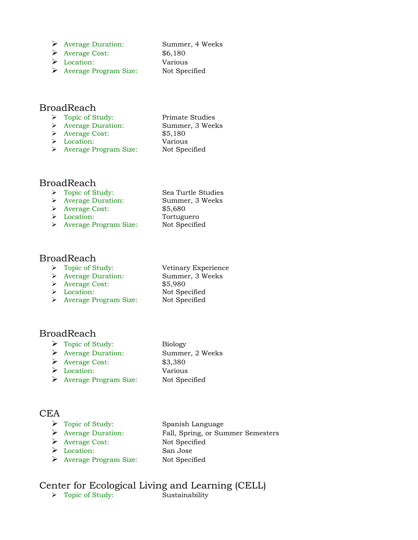- Average Duration: Summer, 4 Weeks
- Average Cost: \$6,180 Location: Various
- Average Program Size: Not Specified

#### BroadReach

- > Topic of Study: Primate Studies
- Average Duration: Summer, 3 Weeks
- Average Cost: \$5,180
- Location: Various > Average Program Size: Not Specified

#### BroadReach

 Topic of Study: Sea Turtle Studies Average Duration: Summer, 3 Weeks Average Cost: \$5,680 Location: Tortuguero > Average Program Size: Not Specified

#### BroadReach

- > Topic of Study: Vetinary Experience Average Duration: Summer, 3 Weeks Average Cost: \$5,980
- 
- → Location: Not Specified<br>
→ Average Program Size: Not Specified  $\triangleright$  Average Program Size:

#### BroadReach

| $\triangleright$ Topic of Study:       | <b>Biology</b>  |
|----------------------------------------|-----------------|
| $\triangleright$ Average Duration:     | Summer, 2 Weeks |
| $\triangleright$ Average Cost:         | \$3,380         |
| $\triangleright$ Location:             | Various         |
| $\triangleright$ Average Program Size: | Not Specified   |

#### CEA

| $\triangleright$ Topic of Study:   | Spanish Language                  |
|------------------------------------|-----------------------------------|
| $\triangleright$ Average Duration: | Fall, Spring, or Summer Semesters |
| $\triangleright$ Average Cost:     | Not Specified                     |
| $\triangleright$ Location:         | San Jose                          |
| Average Program Size:              | Not Specified                     |

## Center for Ecological Living and Learning (CELL)<br>  $\rightarrow$  Topic of Study: Sustainability

 $\triangleright$  Topic of Study: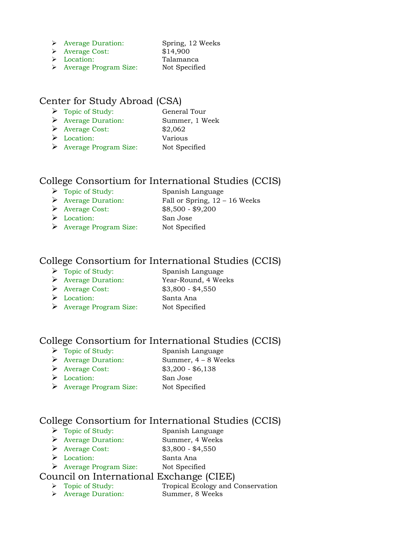- Average Duration: Spring, 12 Weeks
	-
- Average Cost: \$14,900 Location: Talamanca
- > Average Program Size: Not Specified

#### Center for Study Abroad (CSA)

- Topic of Study: General Tour
- Average Duration: Summer, 1 Week
- Average Cost: \$2,062
- Location: Various
- Average Program Size: Not Specified

#### College Consortium for International Studies (CCIS)

- > Topic of Study: Spanish Language  $\triangleright$  Average Duration: Fall or Spring, 12 – 16 Weeks
- Average Cost: \$8,500 \$9,200
- Location: San Jose
- Average Program Size: Not Specified

#### College Consortium for International Studies (CCIS)

- Topic of Study: Spanish Language
	-
- Average Cost: \$3,800 \$4,550
- 
- Average Duration: Year-Round, 4 Weeks Location: Santa Ana Average Program Size: Not Specified

### College Consortium for International Studies (CCIS)

- > Topic of Study: Spanish Language
- Average Duration: Summer, 4 8 Weeks
- Average Cost: \$3,200 \$6,138
- Location: San Jose
- Average Program Size: Not Specified

#### College Consortium for International Studies (CCIS)

- Topic of Study: Spanish Language Average Duration: Summer, 4 Weeks
- 
- Average Cost: \$3,800 \$4,550
- Location: Santa Ana
- Average Program Size: Not Specified

## Council on International Exchange (CIEE)<br>  $\triangleright$  Topic of Study: Tropical Ecology and G

- Tropical Ecology and Conservation
- Average Duration: Summer, 8 Weeks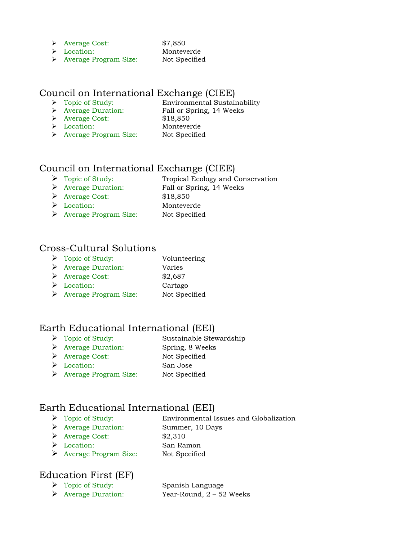- Average Cost: \$7,850
- Location: Monteverde
- 
- > Average Program Size: Not Specified

#### Council on International Exchange (CIEE)

- > Topic of Study: Environmental Sustainability
- Average Duration: Fall or Spring, 14 Weeks
- Average Cost: \$18,850
- 
- 
- Location: Monteverde
- 
- > Average Program Size: Not Specified

#### Council on International Exchange (CIEE)

- ▶ Topic of Study: Tropical Ecology and Conservation
- Average Duration: Fall or Spring, 14 Weeks
- Average Cost: \$18,850
- Location: Monteverde
- Average Program Size: Not Specified

#### Cross-Cultural Solutions

- > Topic of Study: Volunteering
- Average Duration: Varies
- Average Cost: \$2,687
- Location: Cartago
- Average Program Size: Not Specified

#### Earth Educational International (EEI)

- > Topic of Study: Sustainable Stewardship
- Average Duration: Spring, 8 Weeks
- Average Cost: Not Specified
- Location: San Jose
- Average Program Size: Not Specified

### Earth Educational International (EEI)

- Topic of Study: Environmental Issues and Globalization Average Duration: Summer, 10 Days
- $\triangleright$  Average Cost:  $$2,310$
- 
- Location: San Ramon Average Program Size: Not Specified

#### Education First (EF)

 Topic of Study: Spanish Language Average Duration: Year-Round, 2 – 52 Weeks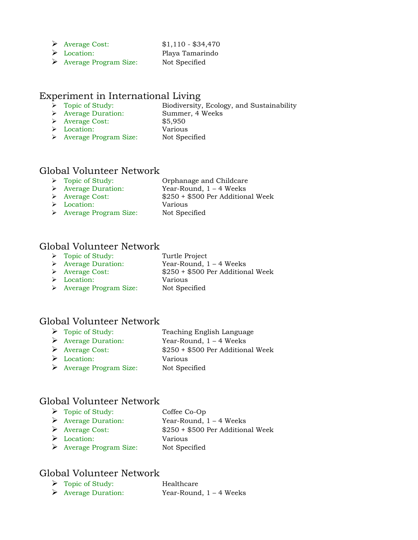Average Cost: \$1,110 - \$34,470

- Location: Playa Tamarindo
- Average Program Size: Not Specified

#### Experiment in International Living

- Biodiversity, Ecology, and Sustainability → Topic of Study: Biodiversity, Ecolo<br>
→ Average Duration: Summer, 4 Weeks
- 
- Average Cost: \$5,950 Location: Various
- 
- 
- > Average Program Size: Not Specified

# Global Volunteer Network<br> $\rightarrow$  Topic of Study:

- 
- → Topic of Study: Orphanage and Childcare<br>
→ Average Duration: Year-Round, 1 4 Weeks
- 
- 

Year-Round,  $1 - 4$  Weeks

Average Cost: \$250 + \$500 Per Additional Week

- Location: Various
- > Average Program Size: Not Specified

#### Global Volunteer Network

- > Topic of Study: Turtle Project
	-
- Average Duration: Year-Round, 1 4 Weeks
- Average Cost: \$250 + \$500 Per Additional Week
- Location: Various
- Average Program Size: Not Specified

#### Global Volunteer Network

- > Topic of Study: Teaching English Language
- Average Duration: Year-Round, 1 4 Weeks
- Average Cost: \$250 + \$500 Per Additional Week
- Location: Various
- Average Program Size: Not Specified

#### Global Volunteer Network

 Topic of Study: Coffee Co-Op Average Duration: Year-Round, 1 – 4 Weeks Average Cost: \$250 + \$500 Per Additional Week Location: Various Average Program Size: Not Specified

#### Global Volunteer Network

| $\triangleright$ Topic of Study:   | Healthcare                |
|------------------------------------|---------------------------|
| $\triangleright$ Average Duration: | Year-Round, $1 - 4$ Weeks |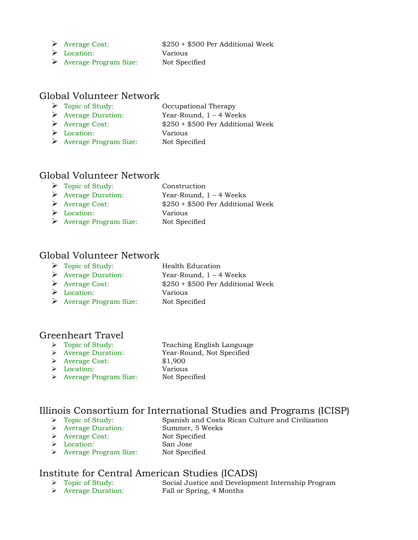Average Cost: \$250 + \$500 Per Additional Week

- Location: Various
- Average Program Size: Not Specified

#### Global Volunteer Network

- > Topic of Study: Occupational Therapy Average Duration: Year-Round, 1 – 4 Weeks Average Cost: \$250 + \$500 Per Additional Week Location: Various Average Program Size: Not Specified
- 

#### Global Volunteer Network

| $\triangleright$ Topic of Study:       | Construction                      |
|----------------------------------------|-----------------------------------|
| $\triangleright$ Average Duration:     | Year-Round, $1 - 4$ Weeks         |
| $\triangleright$ Average Cost:         | \$250 + \$500 Per Additional Week |
| $\triangleright$ Location:             | Various                           |
| $\triangleright$ Average Program Size: | Not Specified                     |

#### Global Volunteer Network

| Topic of Study: | Health Education |
|-----------------|------------------|
|-----------------|------------------|

Average Duration: Year-Round, 1 – 4 Weeks

Location: Various

Average Cost: \$250 + \$500 Per Additional Week

Average Program Size: Not Specified

#### Greenheart Travel

- → Topic of Study: Teachir<br>
→ Average Duration: Year-Ro<br>
→ Average Cost: \$1,900
- 
- 
- 
- Location: Various Average Program Size: Not Specified
- Teaching English Language Year-Round, Not Specified

# Illinois Consortium for International Studies and Programs (ICISP)<br>  $\rightarrow$  Topic of Study: Spanish and Costa Rican Culture and Civilization

Spanish and Costa Rican Culture and Civilization > Average Duration: Summer, 5 Weeks Average Cost: Not Specified Location: San Jose > Average Program Size: Not Specified

# Institute for Central American Studies (ICADS)<br>
> Topic of Study: Social Justice and Developme

- Social Justice and Development Internship Program
- Average Duration: Fall or Spring, 4 Months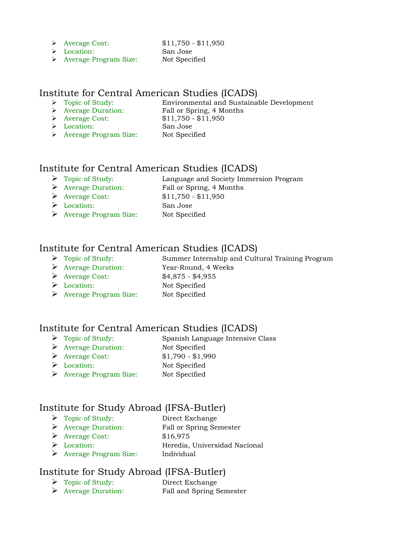- Average Cost: \$11,750 \$11,950
	-
- Location: San Jose
- > Average Program Size: Not Specified

# Institute for Central American Studies (ICADS)<br>
> Topic of Study: Environmental and Sustaina

- -
- $\triangleright$  Average Cost:
- Location: San Jose

Environmental and Sustainable Development → Average Duration: Fall or Spring, 4 Months<br>
→ Average Cost: \$11,750 - \$11,950 > Average Program Size: Not Specified

#### Institute for Central American Studies (ICADS)

- Topic of Study: Language and Society Immersion Program Average Duration: Fall or Spring, 4 Months
- Average Cost: \$11,750 \$11,950
- Location: San Jose
- Average Program Size: Not Specified
- 

#### Institute for Central American Studies (ICADS)

- Topic of Study: Summer Internship and Cultural Training Program
- Average Duration: Year-Round, 4 Weeks
- Average Cost: \$4,875 \$4,955
- Location: Not Specified
- Average Program Size: Not Specified

#### Institute for Central American Studies (ICADS)

- Topic of Study: Spanish Language Intensive Class
- Average Duration: Not Specified
- Average Cost: \$1,790 \$1,990
- Location: Not Specified
- Average Program Size: Not Specified

### Institute for Study Abroad (IFSA-Butler)

- Topic of Study: Direct Exchange
- Average Duration: Fall or Spring Semester
- $\blacktriangleright$  Average Cost:  $$16,975$
- Location: Heredia, Universidad Nacional
- Average Program Size: Individual

#### Institute for Study Abroad (IFSA-Butler)

 Topic of Study: Direct Exchange Average Duration: Fall and Spring Semester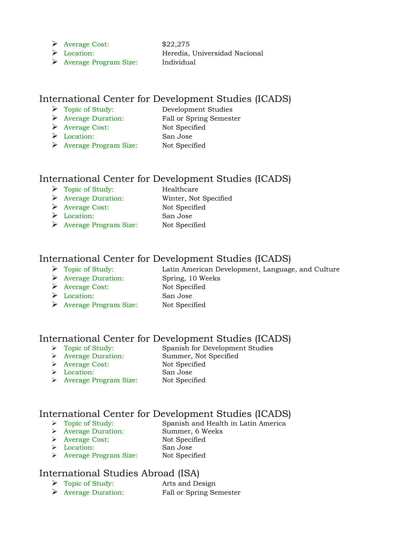$\triangleright$  Average Cost: \$22,275

- Location: Heredia, Universidad Nacional
- Average Program Size: Individual

#### International Center for Development Studies (ICADS)

- Topic of Study: Development Studies
- Average Duration: Fall or Spring Semester
- Average Cost: Not Specified
- Location: San Jose
- 
- Average Program Size: Not Specified

#### International Center for Development Studies (ICADS)

- > Topic of Study: Healthcare Average Duration: Winter, Not Specified
- Average Cost: Not Specified
- Location: San Jose
- Average Program Size: Not Specified

#### International Center for Development Studies (ICADS)

- Topic of Study: Latin American Development, Language, and Culture Average Duration: Spring, 10 Weeks
- Average Cost: Not Specified
- Location: San Jose
- Average Program Size: Not Specified

#### International Center for Development Studies (ICADS)

- Topic of Study: Spanish for Development Studies
- > Average Duration: Summer, Not Specified
- Average Cost: Not Specified
- Location: San Jose
- > Average Program Size: Not Specified

# International Center for Development Studies (ICADS)<br>
> Topic of Study: Spanish and Health in Latin America

- $\triangleright$  Average Duration:
- Spanish and Health in Latin America<br>Summer, 6 Weeks
- > Average Cost: Not Specified
- Location: San Jose
- > Average Program Size: Not Specified

#### International Studies Abroad (ISA)

- Topic of Study: Arts and Design
- Average Duration: Fall or Spring Semester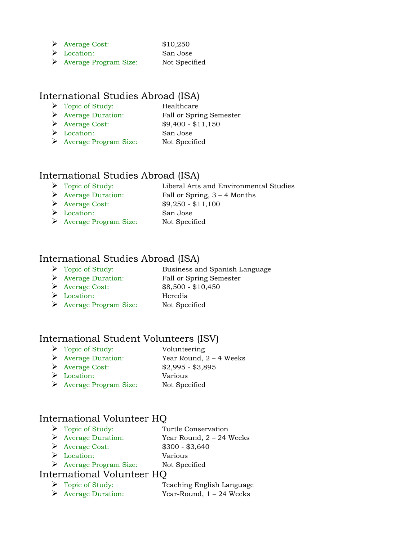| Average Cost: | \$10,250 |
|---------------|----------|
|---------------|----------|

- Location: San Jose
- Average Program Size: Not Specified

#### International Studies Abroad (ISA)

- > Topic of Study: Healthcare
- Average Duration: Fall or Spring Semester Average Cost: \$9,400 - \$11,150
- Location: San Jose
- Average Program Size: Not Specified

#### International Studies Abroad (ISA)

- Topic of Study: Liberal Arts and Environmental Studies
- 
- Average Duration: Fall or Spring, 3 4 Months
- $\triangleright$  Average Cost:  $\$9,250 $11,100$
- Location: San Jose Average Program Size: Not Specified

#### International Studies Abroad (ISA)

- > Topic of Study: Business and Spanish Language
- Average Duration: Fall or Spring Semester

- Average Cost: \$8,500 \$10,450
- Location: Heredia
- 
- Average Program Size: Not Specified

#### International Student Volunteers (ISV)

- Topic of Study: Volunteering
- $\triangleright$  Average Duration: Year Round, 2 4 Weeks
- Average Cost: \$2,995 \$3,895
- Location: Various
- Average Program Size: Not Specified

#### International Volunteer HQ

- > Topic of Study: Turtle Conservation Average Duration: Year Round, 2 – 24 Weeks Average Cost: \$300 - \$3,640 Location: Various
- Average Program Size: Not Specified

#### International Volunteer HQ

> Topic of Study: Teaching English Language Average Duration: Year-Round, 1 – 24 Weeks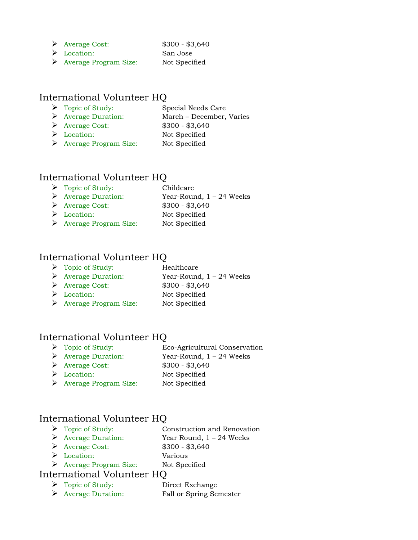- Average Cost: \$300 \$3,640
	-
- Location: San Jose
- Average Program Size: Not Specified

#### International Volunteer HQ

- Topic of Study: Special Needs Care
- Average Duration: March December, Varies
- Average Cost: \$300 \$3,640 Location: Not Specified
- Average Program Size: Not Specified

#### International Volunteer HQ

> Topic of Study: Childcare Average Duration: Year-Round, 1 – 24 Weeks Average Cost: \$300 - \$3,640 ▶ Location: Not Specified Average Program Size: Not Specified

#### International Volunteer HQ

| $\triangleright$ Topic of Study:   | Healthcare                 |
|------------------------------------|----------------------------|
| $\triangleright$ Average Duration: | Year-Round, $1 - 24$ Weeks |
| $\triangleright$ Average Cost:     | $$300 - $3,640$            |
| $\triangleright$ Location:         | Not Specified              |
| Average Program Size:              | Not Specified              |

#### International Volunteer HQ

- Topic of Study: Eco-Agricultural Conservation
- Average Duration: Year-Round, 1 24 Weeks
- Average Cost: \$300 \$3,640
- Location: Not Specified
- Average Program Size: Not Specified

#### International Volunteer HQ

- > Topic of Study: Construction and Renovation Average Duration: Year Round, 1 – 24 Weeks
- Average Cost: \$300 \$3,640
- Location: Various
- Average Program Size: Not Specified
- 

### International Volunteer HQ

 Topic of Study: Direct Exchange Average Duration: Fall or Spring Semester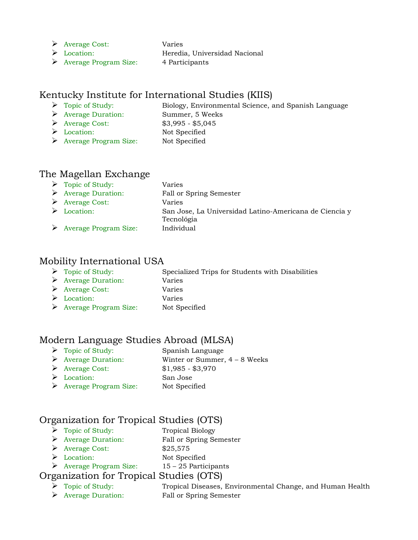- Average Cost: Varies
- 

- Location: Heredia, Universidad Nacional
- Average Program Size: 4 Participants

#### Kentucky Institute for International Studies (KIIS)

- Topic of Study: Biology, Environmental Science, and Spanish Language
- Average Duration: Summer, 5 Weeks
- Average Cost: \$3,995 \$5,045 Location: Not Specified
- 
- Average Program Size: Not Specified

#### The Magellan Exchange

| $\triangleright$ Topic of Study:       | Varies                                                               |
|----------------------------------------|----------------------------------------------------------------------|
| $\triangleright$ Average Duration:     | Fall or Spring Semester                                              |
| $\triangleright$ Average Cost:         | Varies                                                               |
| $\triangleright$ Location:             | San Jose, La Universidad Latino-Americana de Ciencia y<br>Tecnológia |
| $\triangleright$ Average Program Size: | Individual                                                           |

#### Mobility International USA

| $\triangleright$ Topic of Study: | Specialized Trips for Students with Disabilities |
|----------------------------------|--------------------------------------------------|
|----------------------------------|--------------------------------------------------|

- Average Duration: Varies
- Average Cost: Varies
- Location: Varies
	-
- Average Program Size: Not Specified

#### Modern Language Studies Abroad (MLSA)

- Topic of Study: Spanish Language
- Average Duration: Winter or Summer, 4 8 Weeks
- Average Cost: \$1,985 \$3,970
- Location: San Jose
- Average Program Size: Not Specified

#### Organization for Tropical Studies (OTS)

- > Topic of Study: Tropical Biology
- Average Duration: Fall or Spring Semester
- $\blacktriangleright$  Average Cost:  $$25,575$
- Location: Not Specified
- Average Program Size:  $15 25$  Participants

#### Organization for Tropical Studies (OTS)

> Topic of Study: Tropical Diseases, Environmental Change, and Human Health Average Duration: Fall or Spring Semester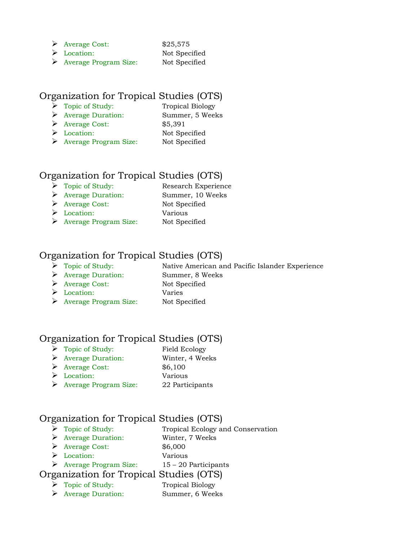- $\triangleright$  Average Cost:  $$25,575$ 
	-
- Location: Not Specified Average Program Size: Not Specified

#### Organization for Tropical Studies (OTS)

- Topic of Study: Tropical Biology
- Average Duration: Summer, 5 Weeks
- Average Cost: \$5,391
- 
- Location: Not Specified
- Average Program Size: Not Specified

#### Organization for Tropical Studies (OTS)

- Topic of Study: Research Experience
- Average Duration: Summer, 10 Weeks
	-
- Average Cost: Not Specified Location: Various
- Average Program Size: Not Specified

#### Organization for Tropical Studies (OTS)

## Topic of Study: Native American and Pacific Islander Experience

- Average Duration: Summer, 8 Weeks
- Average Cost: Not Specified Location: Varies
- 
- 
- Average Program Size: Not Specified

#### Organization for Tropical Studies (OTS)

- > Topic of Study: Field Ecology
- Average Duration: Winter, 4 Weeks
- Average Cost: \$6,100
- Location: Various
- Average Program Size: 22 Participants

#### Organization for Tropical Studies (OTS)

- ▶ Topic of Study: Tropical Ecology and Conservation
- Average Duration: Winter, 7 Weeks
- Average Cost: \$6,000
- Location: Various
- $\triangleright$  Average Program Size: 15 20 Participants

#### Organization for Tropical Studies (OTS)

- Topic of Study: Tropical Biology
- Average Duration: Summer, 6 Weeks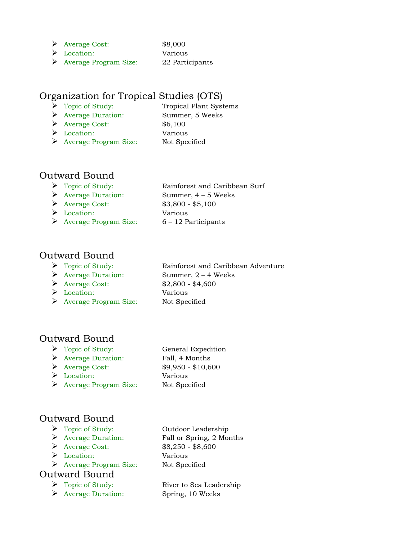- Average Cost: \$8,000
- Location: Various
- Average Program Size: 22 Participants

#### Organization for Tropical Studies (OTS)

- > Topic of Study: Tropical Plant Systems Average Duration: Summer, 5 Weeks
- Average Cost: \$6,100
- Location: Various
- Average Program Size: Not Specified

#### Outward Bound

- > Topic of Study: Rainforest and Caribbean Surf
- Average Duration: Summer, 4 5 Weeks
- Average Cost: \$3,800 \$5,100
- Location: Various
- $\triangleright$  Average Program Size: 6 12 Participants

#### Outward Bound

- > Topic of Study: Rainforest and Caribbean Adventure
- 
- Average Cost: \$2,800 \$4,600
- Location: Various
- Average Program Size: Not Specified

Average Duration: Summer, 2 – 4 Weeks

#### Outward Bound

- > Topic of Study: General Expedition
- Average Duration: Fall, 4 Months
- 
- Location: Various
- Average Program Size: Not Specified

Average Cost: \$9,950 - \$10,600

#### Outward Bound

- Topic of Study: Outdoor Leadership
- 
- 
- Location: Various
- Average Program Size: Not Specified

#### Outward Bound

- 
- Average Duration: Spring, 10 Weeks

 Average Duration: Fall or Spring, 2 Months Average Cost: \$8,250 - \$8,600

Topic of Study: River to Sea Leadership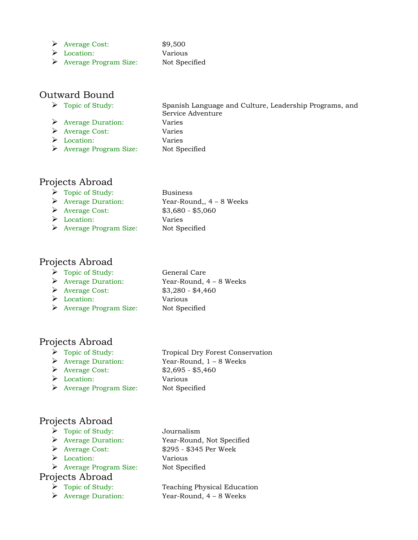- $\triangleright$  Average Cost: \$9,500
- Location: Various
- Average Program Size: Not Specified

#### Outward Bound

- 
- Average Duration: Varies
- Average Cost: Varies
- Location: Varies
- Average Program Size: Not Specified
- Topic of Study: Spanish Language and Culture, Leadership Programs, and Service Adventure
	-

#### Projects Abroad

| $\triangleright$ Topic of Study:       | <b>Business</b>            |
|----------------------------------------|----------------------------|
| $\triangleright$ Average Duration:     | Year-Round,, $4 - 8$ Weeks |
| $\triangleright$ Average Cost:         | $$3,680 - $5,060$          |
| $\triangleright$ Location:             | Varies                     |
| $\triangleright$ Average Program Size: | Not Specified              |

#### Projects Abroad

- Topic of Study: General Care
- 
- Average Cost: \$3,280 \$4,460
- Location: Various
- Average Program Size: Not Specified
- Average Duration: Year-Round, 4 8 Weeks

#### Projects Abroad

- 
- 
- 
- Location: Various
- Average Program Size: Not Specified

## Topic of Study: Tropical Dry Forest Conservation Average Duration: Year-Round, 1 – 8 Weeks Average Cost: \$2,695 - \$5,460

#### Projects Abroad

- > Topic of Study: Journalism
- 
- 
- Location: Various
- Average Program Size: Not Specified

#### Projects Abroad

- 
- 

 Average Duration: Year-Round, Not Specified Average Cost: \$295 - \$345 Per Week

> Topic of Study: Teaching Physical Education Average Duration: Year-Round, 4 – 8 Weeks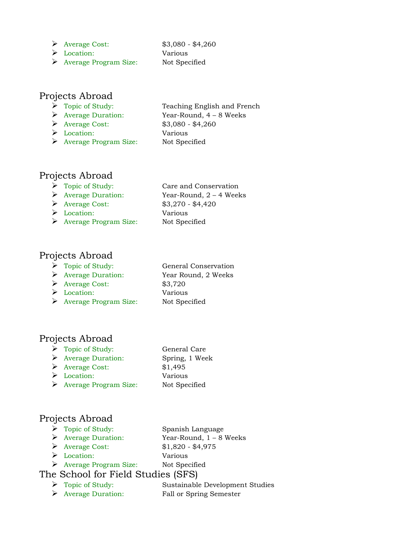- Average Cost: \$3,080 \$4,260
- Location: Various
- 
- Average Program Size: Not Specified

#### Projects Abroad

- > Topic of Study: Teaching English and French
- Average Duration: Year-Round, 4 8 Weeks
- Average Cost: \$3,080 \$4,260
- Location: Various
- Average Program Size: Not Specified

#### Projects Abroad

- ▶ Topic of Study: Care and Conservation Average Duration: Year-Round, 2 – 4 Weeks Average Cost: \$3,270 - \$4,420 Location: Various
- Average Program Size: Not Specified

#### Projects Abroad

- > Topic of Study: General Conservation
- 
- Average Cost: \$3,720
- Location: Various
- Average Program Size: Not Specified

# Average Duration: Year Round, 2 Weeks

#### Projects Abroad

- Topic of Study: General Care
- Average Duration: Spring, 1 Week
- Average Cost: \$1,495
- Location: Various
- Average Program Size: Not Specified

#### Projects Abroad

- Topic of Study: Spanish Language Average Duration: Year-Round, 1 – 8 Weeks
- 
- Average Cost: \$1,820 \$4,975 Location: Various
	-
- Average Program Size: Not Specified

#### The School for Field Studies (SFS)

- Topic of Study: Sustainable Development Studies
- Average Duration: Fall or Spring Semester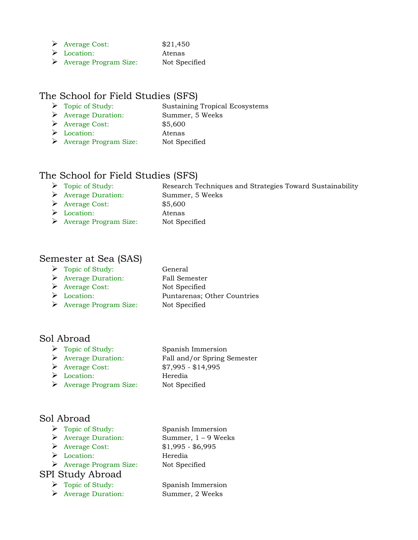| ≻ | <b>Average Cost:</b> |  |
|---|----------------------|--|
|---|----------------------|--|

- Location: Atenas
- Average Program Size: Not Specified

#### The School for Field Studies (SFS)

> Topic of Study: Sustaining Tropical Ecosystems

 $$21,450$ 

- Average Duration: Summer, 5 Weeks
- Average Cost: \$5,600
- Location: Atenas
- Average Program Size: Not Specified

#### The School for Field Studies (SFS)

| $\triangleright$ Topic of Study:   | Research Techniques and Strategies Toward Sustainability |
|------------------------------------|----------------------------------------------------------|
| $\triangleright$ Average Duration: | Summer, 5 Weeks                                          |

- Average Cost: \$5,600
- Location: Atenas
- Average Program Size: Not Specified

#### Semester at Sea (SAS)

- > Topic of Study: General
- Average Duration: Fall Semester
- Average Cost: Not Specified
- 
- Average Program Size: Not Specified

# Location: Puntarenas; Other Countries

#### Sol Abroad

- > Topic of Study: Spanish Immersion
- Average Duration: Fall and/or Spring Semester

Average Cost: \$7,995 - \$14,995

- Location: Heredia
- Average Program Size: Not Specified

#### Sol Abroad

- 
- 
- 
- Location: Heredia
- Average Program Size: Not Specified

#### SPI Study Abroad

- Topic of Study: Spanish Immersion
- Average Duration: Summer, 2 Weeks

> Topic of Study: Spanish Immersion Average Duration: Summer, 1 – 9 Weeks Average Cost: \$1,995 - \$6,995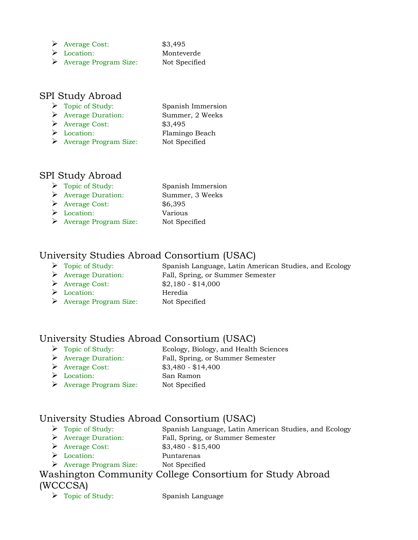- Average Cost: \$3,495
- Location: Monteverde
- Average Program Size: Not Specified

#### SPI Study Abroad

- > Topic of Study: Spanish Immersion Average Duration: Summer, 2 Weeks
- Average Cost: \$3,495
- 
- Location: Flamingo Beach Average Program Size: Not Specified

### SPI Study Abroad

> Topic of Study: Spanish Immersion Average Duration: Summer, 3 Weeks Average Cost: \$6,395 Location: Various Average Program Size: Not Specified

#### University Studies Abroad Consortium (USAC)

- 
- 
- Average Cost: \$2,180 \$14,000
- Location: Heredia
- Average Program Size: Not Specified

 Topic of Study: Spanish Language, Latin American Studies, and Ecology Average Duration: Fall, Spring, or Summer Semester

#### University Studies Abroad Consortium (USAC)

- Topic of Study: Ecology, Biology, and Health Sciences
- Average Duration: Fall, Spring, or Summer Semester
- Average Cost: \$3,480 \$14,400
- Location: San Ramon
- Average Program Size: Not Specified

#### University Studies Abroad Consortium (USAC)

- Topic of Study: Spanish Language, Latin American Studies, and Ecology
- Average Duration: Fall, Spring, or Summer Semester
- → Average Cost: \$3,480 \$15,400
- Location: Puntarenas
- Average Program Size: Not Specified

#### Washington Community College Consortium for Study Abroad (WCCCSA)

> Topic of Study: Spanish Language